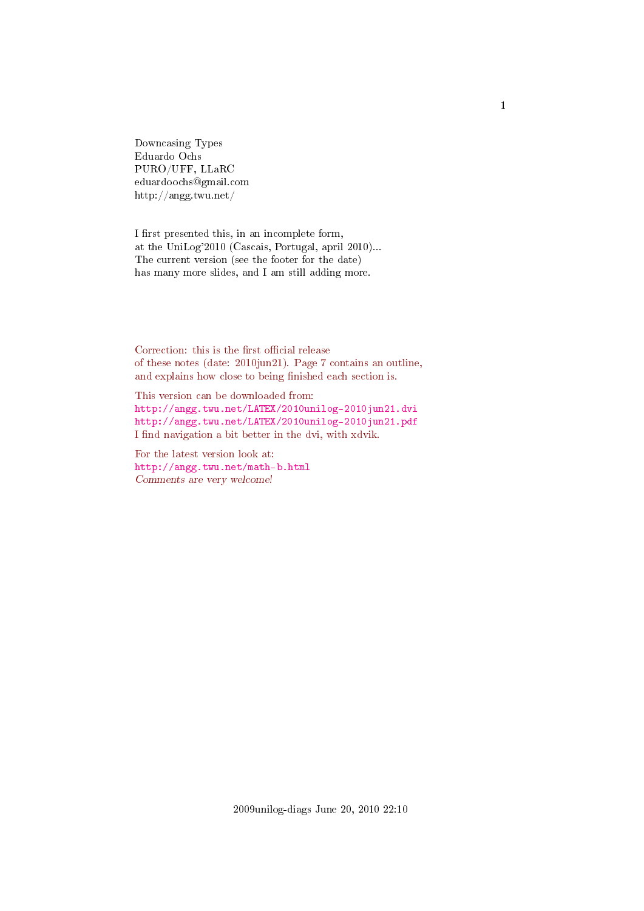Downcasing Types Eduardo Ochs PURO/UFF, LLaRC eduardoochs@gmail.com http://angg.twu.net/

I first presented this, in an incomplete form, at the UniLog'2010 (Cascais, Portugal, april 2010)... The current version (see the footer for the date) has many more slides, and I am still adding more.

Correction: this is the first official release of these notes (date: 2010jun21). Page 7 contains an outline, and explains how close to being finished each section is.

This version can be downloaded from: <http://angg.twu.net/LATEX/2010unilog-2010jun21.dvi> <http://angg.twu.net/LATEX/2010unilog-2010jun21.pdf> I find navigation a bit better in the dvi, with xdvik.

For the latest version look at: <http://angg.twu.net/math-b.html> Comments are very welcome!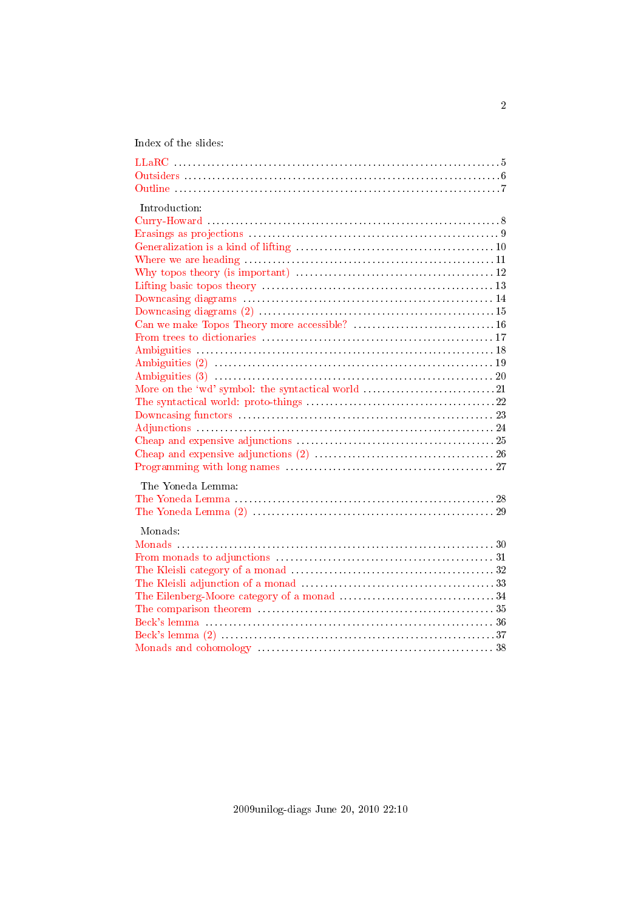Index of the slides:

<span id="page-1-31"></span><span id="page-1-30"></span><span id="page-1-29"></span><span id="page-1-28"></span><span id="page-1-27"></span><span id="page-1-26"></span><span id="page-1-25"></span><span id="page-1-24"></span><span id="page-1-23"></span><span id="page-1-22"></span><span id="page-1-21"></span><span id="page-1-20"></span><span id="page-1-19"></span><span id="page-1-18"></span><span id="page-1-17"></span><span id="page-1-16"></span><span id="page-1-15"></span><span id="page-1-14"></span><span id="page-1-13"></span><span id="page-1-12"></span><span id="page-1-11"></span><span id="page-1-10"></span><span id="page-1-9"></span><span id="page-1-8"></span><span id="page-1-7"></span><span id="page-1-6"></span><span id="page-1-5"></span><span id="page-1-4"></span><span id="page-1-3"></span><span id="page-1-2"></span><span id="page-1-1"></span><span id="page-1-0"></span>

| Introduction:      |
|--------------------|
|                    |
|                    |
|                    |
|                    |
|                    |
|                    |
|                    |
|                    |
|                    |
|                    |
|                    |
|                    |
| Ambiguities (3) 20 |
|                    |
|                    |
|                    |
|                    |
|                    |
|                    |
|                    |
| The Yoneda Lemma:  |
|                    |
|                    |
| Monads:            |
|                    |
|                    |
|                    |
|                    |
|                    |
|                    |
|                    |
|                    |
|                    |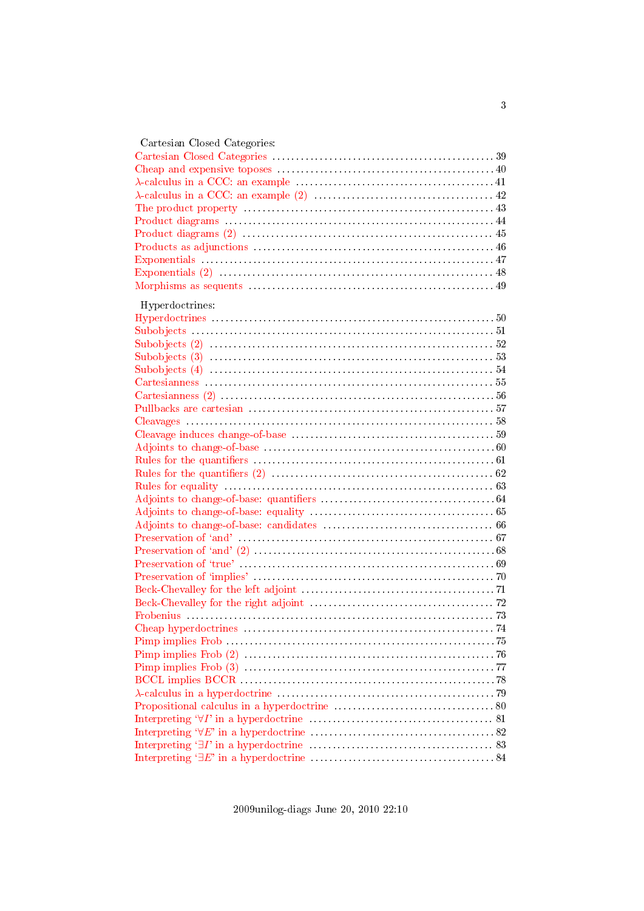| Cartesian Closed Categories: |  |
|------------------------------|--|
|                              |  |
|                              |  |
|                              |  |
|                              |  |
|                              |  |
|                              |  |
|                              |  |
|                              |  |
|                              |  |
|                              |  |
|                              |  |
| Hyperdoctrines:              |  |
|                              |  |
|                              |  |
|                              |  |
|                              |  |
|                              |  |
|                              |  |
|                              |  |
|                              |  |
|                              |  |
|                              |  |
|                              |  |
|                              |  |
|                              |  |
|                              |  |
|                              |  |
|                              |  |
|                              |  |
|                              |  |
|                              |  |
|                              |  |
|                              |  |
|                              |  |
|                              |  |
|                              |  |
|                              |  |
|                              |  |
|                              |  |
|                              |  |
|                              |  |
|                              |  |
|                              |  |
|                              |  |
|                              |  |
|                              |  |
|                              |  |
|                              |  |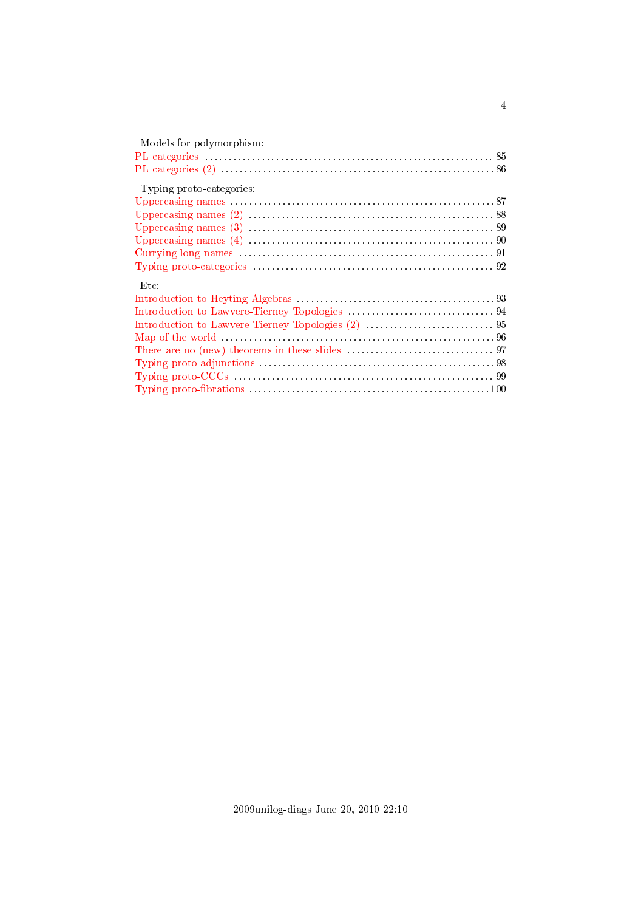| Models for polymorphism: |
|--------------------------|
|                          |
|                          |
| Typing proto-categories: |
|                          |
|                          |
|                          |
|                          |
|                          |
|                          |
| $_{\rm Etc}$             |
|                          |
|                          |
|                          |
|                          |
|                          |
|                          |
|                          |
|                          |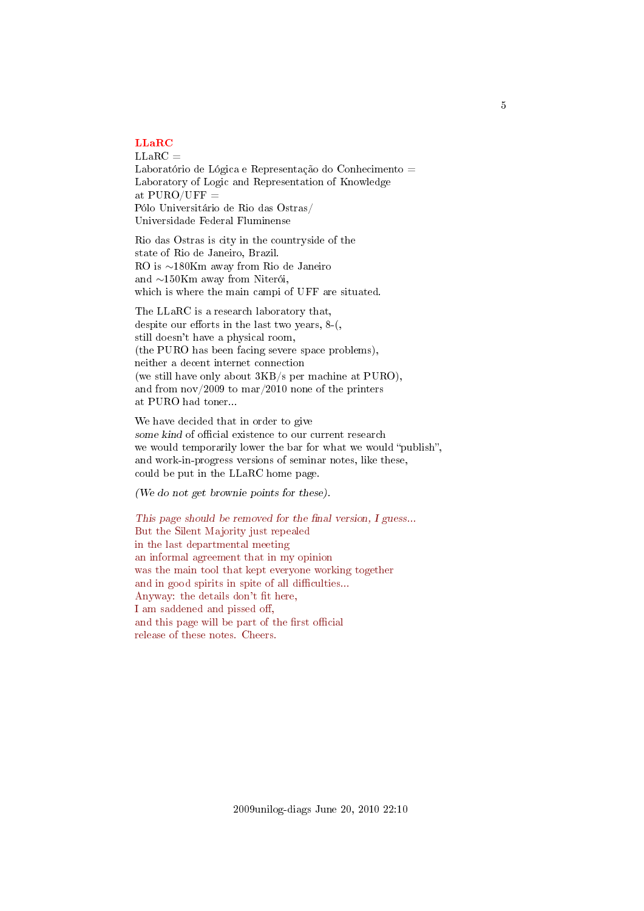# <span id="page-4-0"></span>[LLaRC](#page-1-0)

 $LLaRC =$ Laboratório de Lógica e Representação do Conhecimento = Laboratory of Logic and Representation of Knowledge at  $PURO/UFF =$ Pólo Universitário de Rio das Ostras/ Universidade Federal Fluminense

Rio das Ostras is city in the countryside of the state of Rio de Janeiro, Brazil. RO is ∼180Km away from Rio de Janeiro and ∼150Km away from Niterói, which is where the main campi of UFF are situated.

The LLaRC is a research laboratory that, despite our efforts in the last two years,  $8-($ , still doesn't have a physical room, (the PURO has been facing severe space problems), neither a decent internet connection (we still have only about 3KB/s per machine at PURO), and from nov/2009 to mar/2010 none of the printers at PURO had toner...

We have decided that in order to give some kind of official existence to our current research we would temporarily lower the bar for what we would "publish", and work-in-progress versions of seminar notes, like these, could be put in the LLaRC home page.

(We do not get brownie points for these).

This page should be removed for the final version,  $I$  guess... But the Silent Majority just repealed in the last departmental meeting an informal agreement that in my opinion was the main tool that kept everyone working together and in good spirits in spite of all difficulties... Anyway: the details don't fit here, I am saddened and pissed off, and this page will be part of the first official release of these notes. Cheers.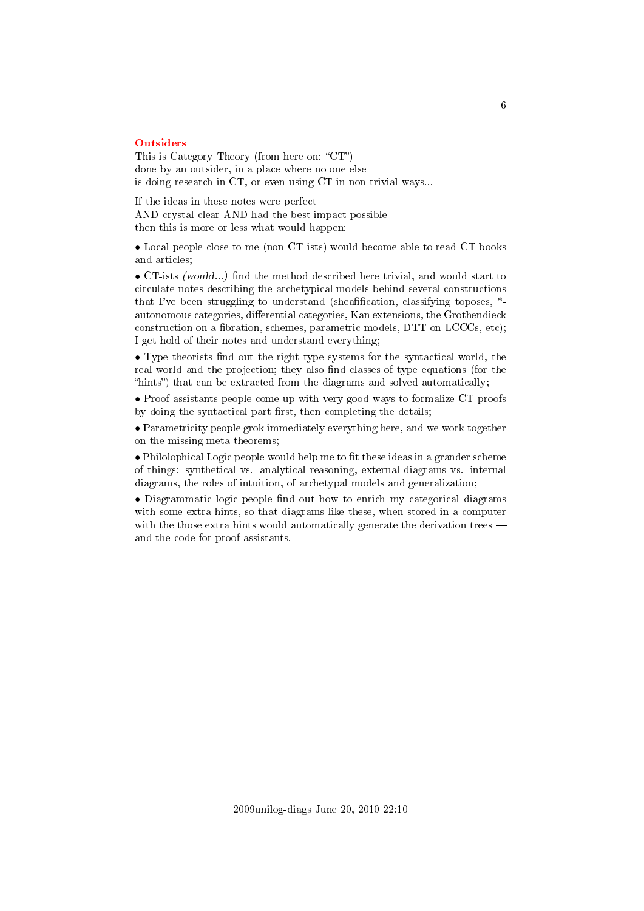#### <span id="page-5-0"></span>**[Outsiders](#page-1-1)**

This is Category Theory (from here on: " $CT$ ") done by an outsider, in a place where no one else is doing research in CT, or even using CT in non-trivial ways...

If the ideas in these notes were perfect AND crystal-clear AND had the best impact possible then this is more or less what would happen:

• Local people close to me (non-CT-ists) would become able to read CT books and articles;

• CT-ists (would...) find the method described here trivial, and would start to circulate notes describing the archetypical models behind several constructions that I've been struggling to understand (sheafification, classifying toposes,  $*$ autonomous categories, differential categories, Kan extensions, the Grothendieck construction on a fibration, schemes, parametric models,  $DTT$  on  $LCCCs$ , etc); I get hold of their notes and understand everything;

• Type theorists find out the right type systems for the syntactical world, the real world and the projection; they also find classes of type equations (for the "hints") that can be extracted from the diagrams and solved automatically;

• Proof-assistants people come up with very good ways to formalize CT proofs by doing the syntactical part first, then completing the details;

• Parametricity people grok immediately everything here, and we work together on the missing meta-theorems;

 $\bullet$  Philolophical Logic people would help me to fit these ideas in a grander scheme of things: synthetical vs. analytical reasoning, external diagrams vs. internal diagrams, the roles of intuition, of archetypal models and generalization;

• Diagrammatic logic people find out how to enrich my categorical diagrams with some extra hints, so that diagrams like these, when stored in a computer with the those extra hints would automatically generate the derivation trees  $$ and the code for proof-assistants.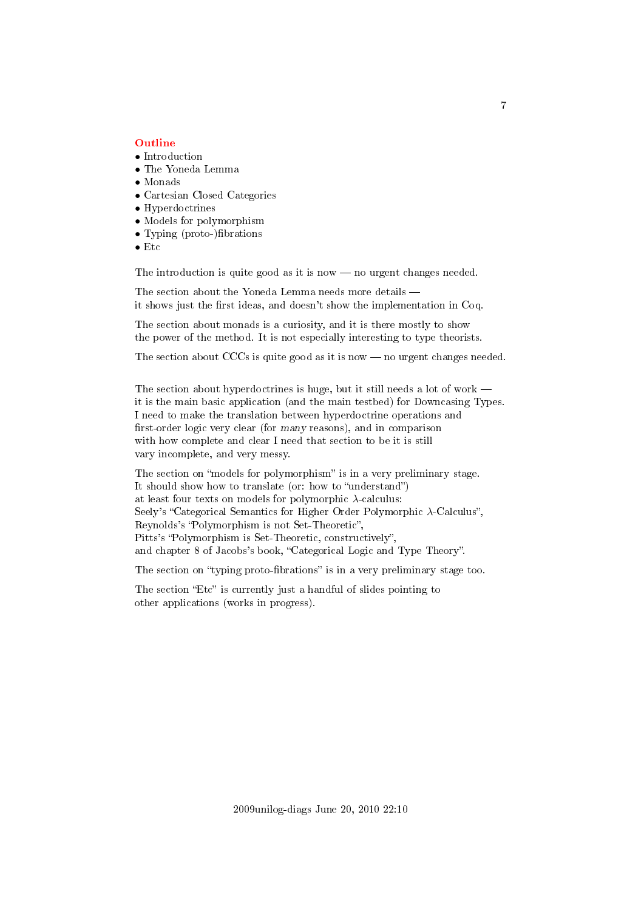#### <span id="page-6-0"></span>[Outline](#page-1-2)

- Introduction
- The Yoneda Lemma
- Monads
- Cartesian Closed Categories
- Hyperdoctrines
- Models for polymorphism
- Typing (proto-)fibrations
- Etc

The introduction is quite good as it is now  $-$  no urgent changes needed.

The section about the Yoneda Lemma needs more details it shows just the first ideas, and doesn't show the implementation in Coq.

The section about monads is a curiosity, and it is there mostly to show the power of the method. It is not especially interesting to type theorists.

The section about CCCs is quite good as it is now  $-$  no urgent changes needed.

The section about hyperdoctrines is huge, but it still needs a lot of work it is the main basic application (and the main testbed) for Downcasing Types. I need to make the translation between hyperdoctrine operations and first-order logic very clear (for many reasons), and in comparison with how complete and clear I need that section to be it is still vary incomplete, and very messy.

The section on "models for polymorphism" is in a very preliminary stage. It should show how to translate (or: how to "understand") at least four texts on models for polymorphic  $\lambda$ -calculus: Seely's "Categorical Semantics for Higher Order Polymorphic  $\lambda$ -Calculus", Reynolds's "Polymorphism is not Set-Theoretic", Pitts's "Polymorphism is Set-Theoretic, constructively", and chapter 8 of Jacobs's book, "Categorical Logic and Type Theory".

The section on "typing proto-fibrations" is in a very preliminary stage too.

The section "Etc" is currently just a handful of slides pointing to other applications (works in progress).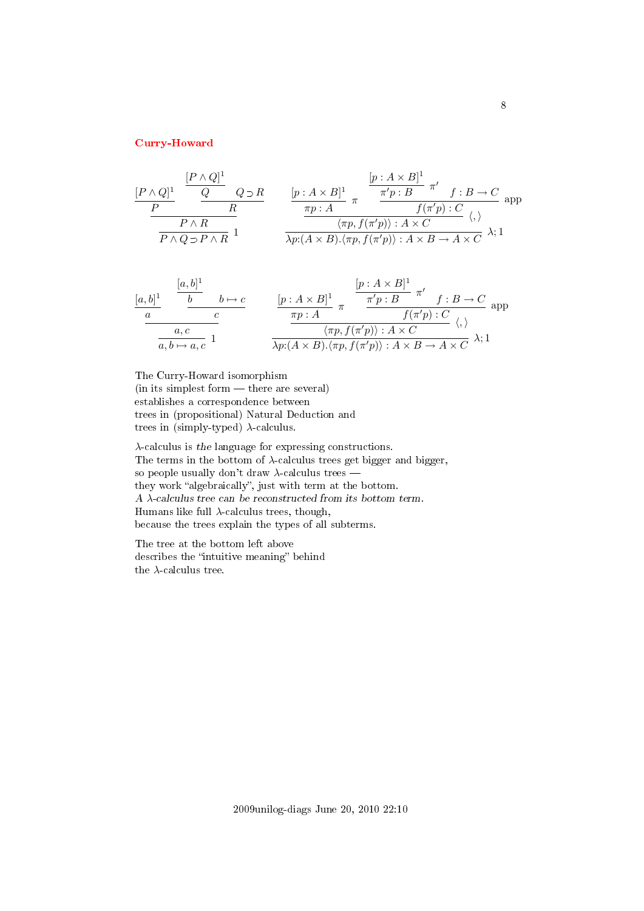# <span id="page-7-0"></span>[Curry-Howard](#page-1-3)

$$
\frac{[P \wedge Q]^1}{P} \xrightarrow{\qquad \qquad} \frac{[P \wedge Q]^1}{R} \qquad \qquad \frac{[p: A \times B]^1}{\pi} \pi \xrightarrow{\qquad \qquad} \frac{\pi' p: B}{f(\pi' p): C} \pi' \qquad f: B \to C \text{ and } P \wedge R
$$
\n
$$
\frac{P \wedge R}{P \wedge Q \supset P \wedge R} 1 \qquad \qquad \frac{\langle \pi p: A \times B \rangle^1}{\lambda p: (A \times B) \cdot \langle \pi p, f(\pi' p) \rangle: A \times C} \langle \varphi, \varphi \rangle
$$

$$
\frac{[a,b]^1}{a} \quad \frac{[b \rightarrow b \rightarrow c]}{c} \quad \frac{[p:A \times B]^1}{\pi p:A} \pi \quad \frac{\pi' p:B}{f(\pi' p):C} \quad \text{app}
$$
\n
$$
\frac{a,c}{a,b \mapsto a,c} \quad 1 \quad \frac{\pi p:A}{\lambda p:(A \times B).\langle \pi p, f(\pi' p) \rangle : A \times C} \quad \langle,\rangle
$$

The Curry-Howard isomorphism (in its simplest form — there are several) establishes a correspondence between trees in (propositional) Natural Deduction and trees in (simply-typed)  $\lambda$ -calculus.

λ-calculus is the language for expressing constructions. The terms in the bottom of  $\lambda$ -calculus trees get bigger and bigger, so people usually don't draw  $\lambda$ -calculus trees they work "algebraically", just with term at the bottom. A  $\lambda\text{-}calculus$  tree can be reconstructed from its bottom term. Humans like full  $\lambda$ -calculus trees, though, because the trees explain the types of all subterms.

The tree at the bottom left above describes the "intuitive meaning" behind the  $\lambda\text{-calculus tree.}$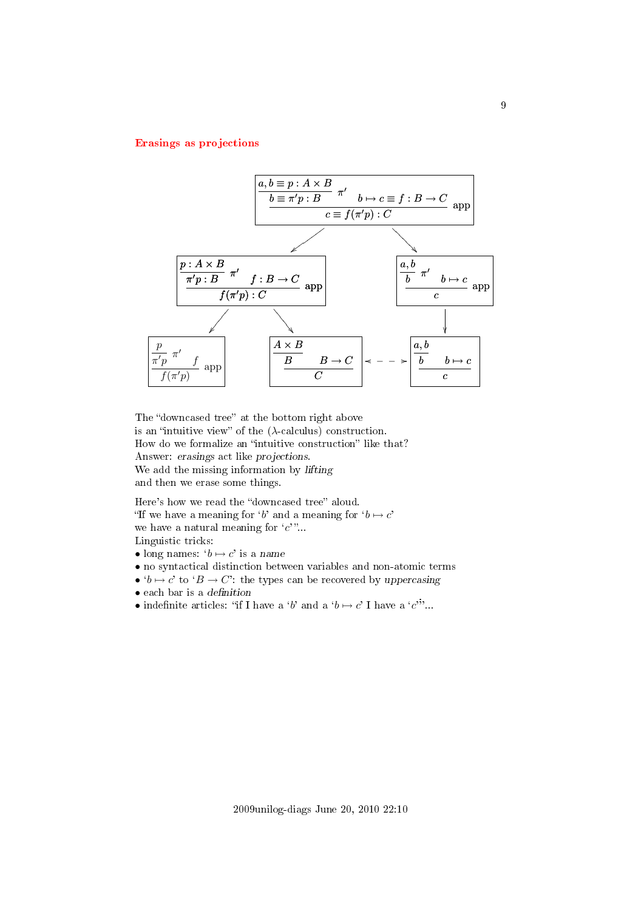# <span id="page-8-0"></span>[Erasings as projections](#page-1-4)



The "downcased tree" at the bottom right above is an "intuitive view" of the  $(\lambda$ -calculus) construction. How do we formalize an "intuitive construction" like that? Answer: erasings act like projections. We add the missing information by lifting and then we erase some things.

Here's how we read the "downcased tree" aloud. "If we have a meaning for 'b' and a meaning for  $b \mapsto c'$ we have a natural meaning for  $c$ <sup>"</sup>... Linguistic tricks:

- long names:  $b \mapsto c'$  is a name
- no syntactical distinction between variables and non-atomic terms
- $b \mapsto c'$  to  $B \to C'$ : the types can be recovered by uppercasing
- $\bullet$  each bar is a definition
- indefinite articles: "if I have a 'b' and a ' $b \mapsto c'$  I have a 'c'...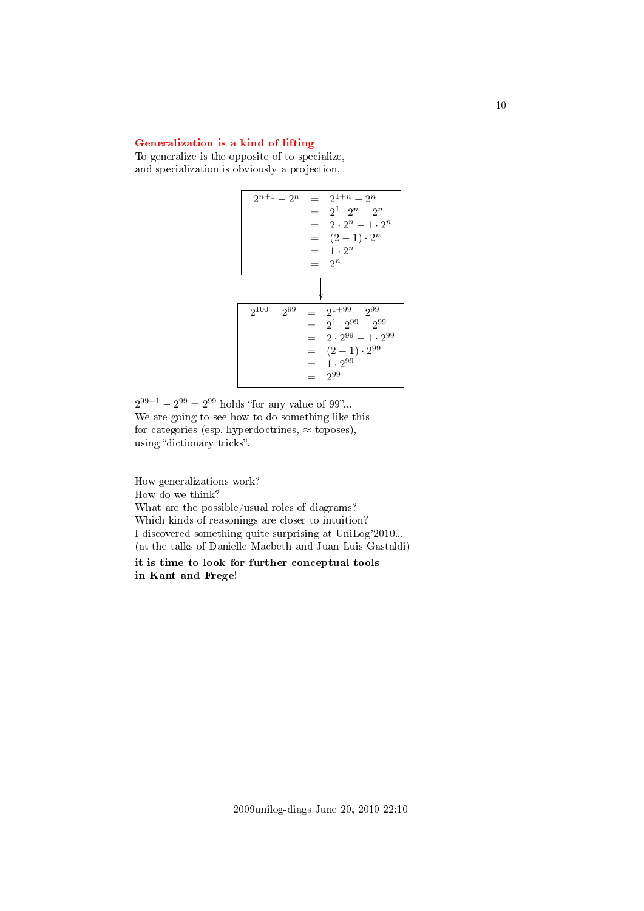# <span id="page-9-0"></span>[Generalization is a kind of lifting](#page-1-5)

To generalize is the opposite of to specialize, and specialization is obviously a projection.



 $2^{99+1} - 2^{99} = 2^{99}$  holds "for any value of 99"... We are going to see how to do something like this for categories (esp. hyperdoctrines,  $\approx$  toposes), using "dictionary tricks".

How generalizations work? How do we think? What are the possible/usual roles of diagrams? Which kinds of reasonings are closer to intuition? I discovered something quite surprising at UniLog'2010... (at the talks of Danielle Macbeth and Juan Luis Gastaldi) it is time to look for further conceptual tools

in Kant and Frege!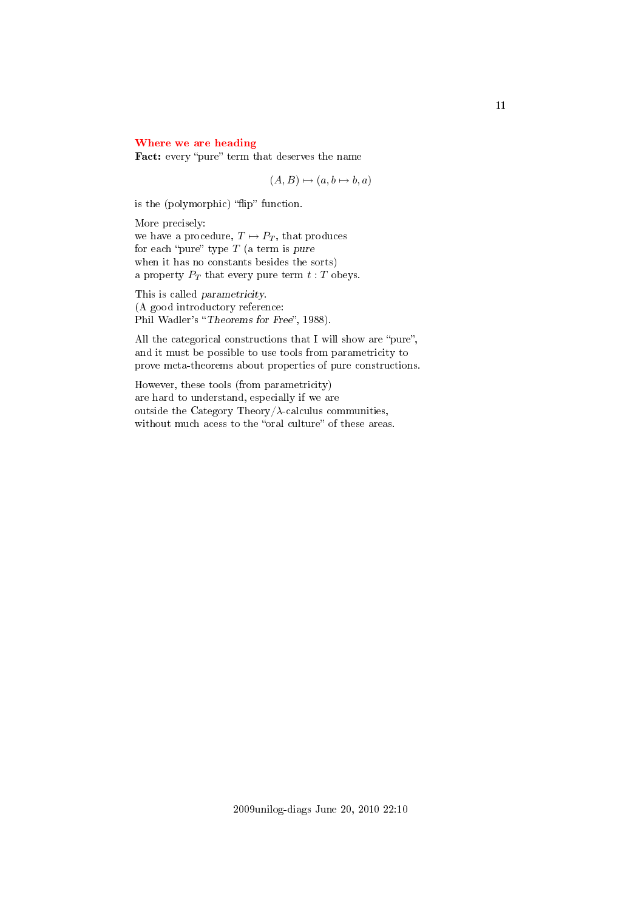# <span id="page-10-0"></span>[Where we are heading](#page-1-6)

Fact: every "pure" term that deserves the name

 $(A, B) \mapsto (a, b \mapsto b, a)$ 

is the (polymorphic) "flip" function.

More precisely: we have a procedure,  $T \mapsto P_T$ , that produces for each "pure" type  $T$  (a term is pure when it has no constants besides the sorts) a property  $P_T$  that every pure term  $t : T$  obeys.

This is called parametricity. (A good introductory reference: Phil Wadler's "Theorems for Free", 1988).

All the categorical constructions that I will show are "pure", and it must be possible to use tools from parametricity to prove meta-theorems about properties of pure constructions.

However, these tools (from parametricity) are hard to understand, especially if we are outside the Category Theory/ $\lambda$ -calculus communities, without much acess to the "oral culture" of these areas.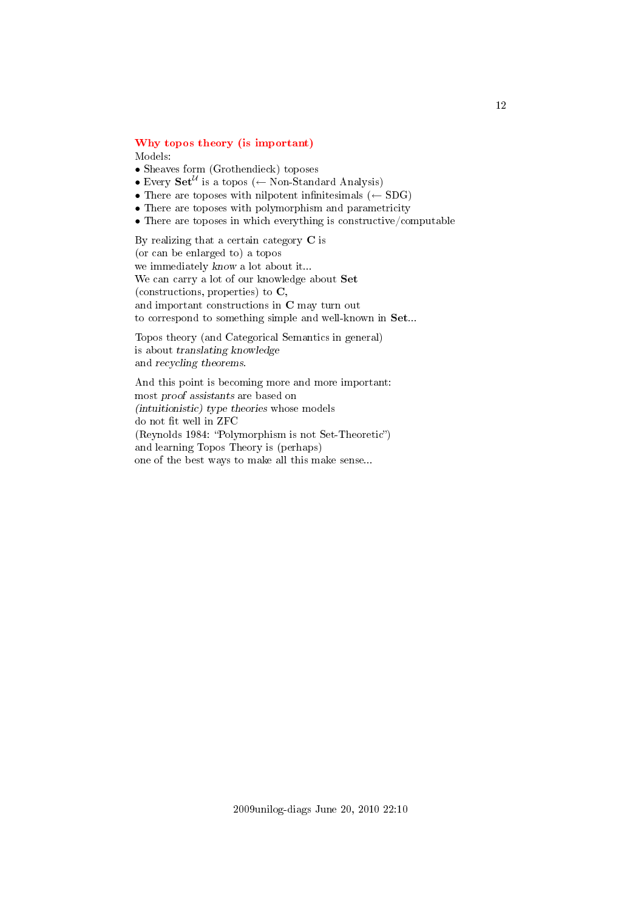# <span id="page-11-0"></span>[Why topos theory \(is important\)](#page-1-7)

Models:

- Sheaves form (Grothendieck) toposes
- Every  $\mathbf{Set}^{\mathcal{U}}$  is a topos ( $\leftarrow$  Non-Standard Analysis)
- There are toposes with nilpotent infinitesimals  $(\leftarrow SDG)$
- There are toposes with polymorphism and parametricity
- There are toposes in which everything is constructive/computable

By realizing that a certain category C is (or can be enlarged to) a topos we immediately know a lot about it... We can carry a lot of our knowledge about Set (constructions, properties) to C, and important constructions in C may turn out to correspond to something simple and well-known in Set...

Topos theory (and Categorical Semantics in general) is about translating knowledge and recycling theorems.

And this point is becoming more and more important: most proof assistants are based on (intuitionistic) type theories whose models do not fit well in ZFC  $(Reynolds 1984: "Polymorphism is not Set-Theoretic")$ and learning Topos Theory is (perhaps) one of the best ways to make all this make sense...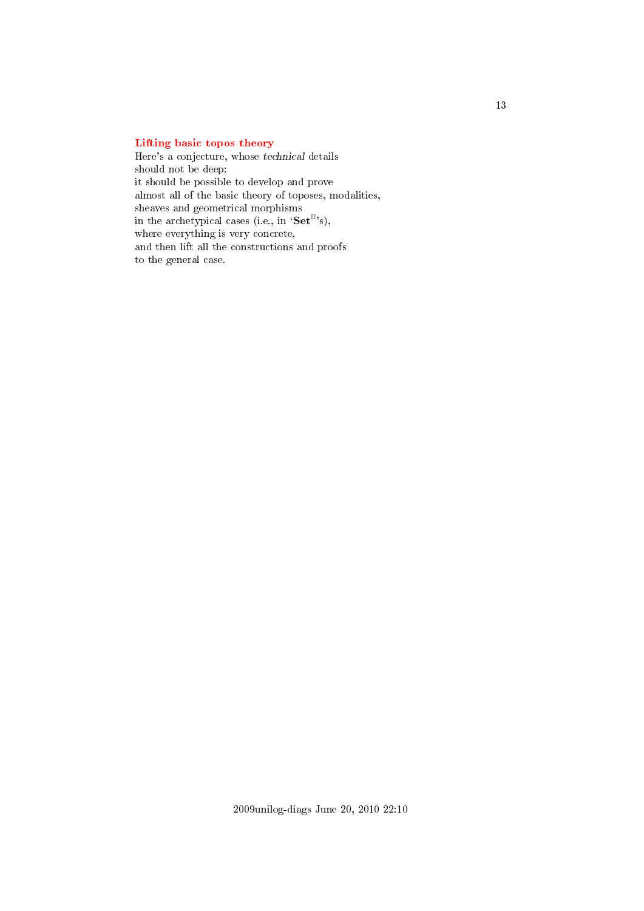# <span id="page-12-0"></span>[Lifting basic topos theory](#page-1-8)

Here's a conjecture, whose technical details should not be deep: it should be possible to develop and prove almost all of the basic theory of toposes, modalities, sheaves and geometrical morphisms in the archetypical cases (i.e., in ' $\textbf{Set}^{\mathbb{D}}$ 's), where everything is very concrete, and then lift all the constructions and proofs to the general case.

13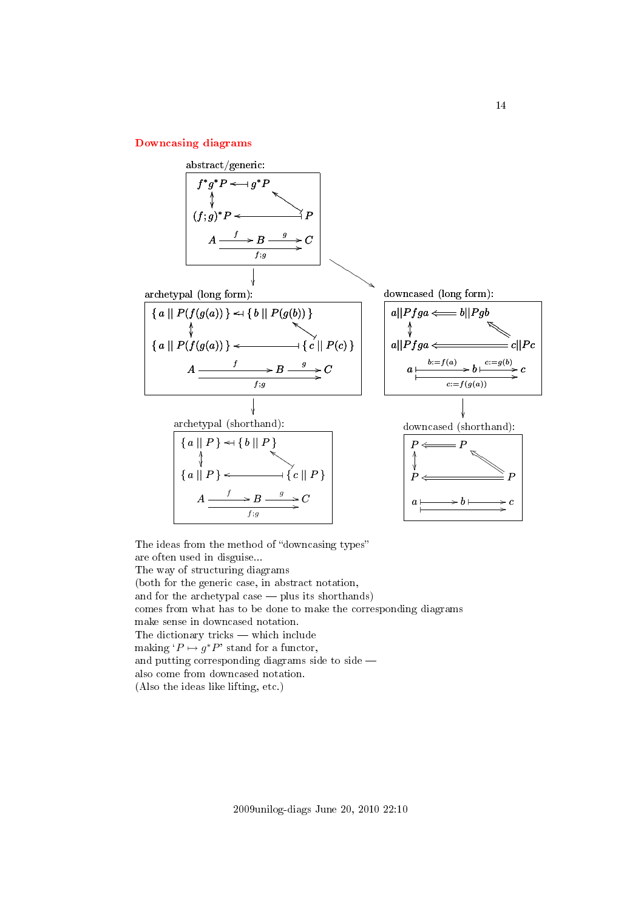# <span id="page-13-0"></span>[Downcasing diagrams](#page-1-9)



The ideas from the method of "downcasing types" are often used in disguise... The way of structuring diagrams (both for the generic case, in abstract notation, and for the archetypal case  $-$  plus its shorthands) comes from what has to be done to make the corresponding diagrams make sense in downcased notation. The dictionary tricks  $-$  which include making  ${}^{\prime}P \mapsto g^*P'$  stand for a functor, and putting corresponding diagrams side to side  $$ also come from downcased notation. (Also the ideas like lifting, etc.)

2009unilog-diags June 20, 2010 22:10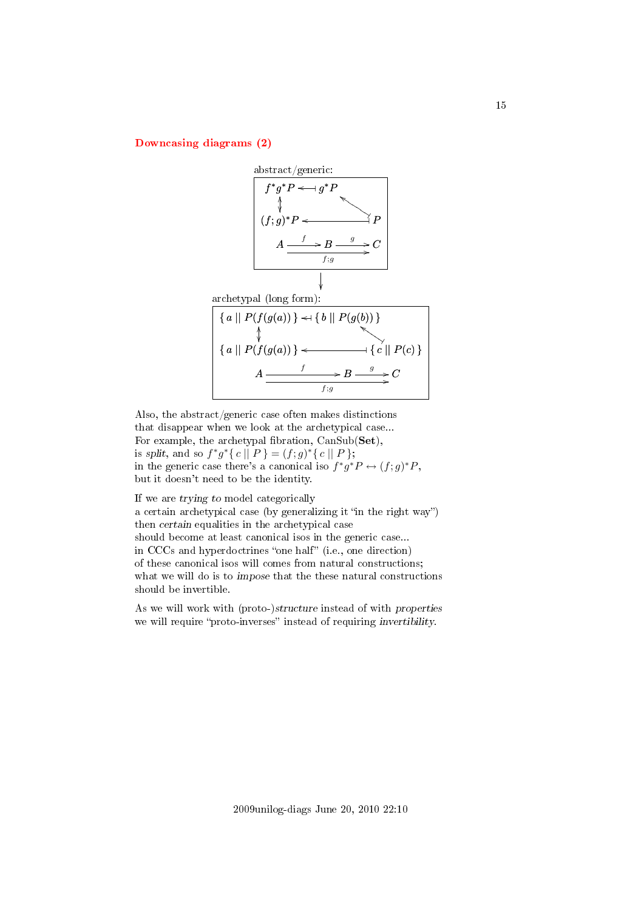<span id="page-14-0"></span>[Downcasing diagrams \(2\)](#page-1-10)



Also, the abstract/generic case often makes distinctions that disappear when we look at the archetypical case... For example, the archetypal fibration,  $CanSub(\mathbf{Set}),$ is split, and so  $f^*g^*\{c \mid P\} = (f; g)^*\{c \mid P\};$ in the generic case there's a canonical iso  $f^*g^*P \leftrightarrow (f;g)^*P$ , but it doesn't need to be the identity.

If we are trying to model categorically a certain archetypical case (by generalizing it "in the right way") then certain equalities in the archetypical case should become at least canonical isos in the generic case... in CCCs and hyperdoctrines "one half" (i.e., one direction) of these canonical isos will comes from natural constructions; what we will do is to *impose* that the these natural constructions should be invertible.

As we will work with (proto-)structure instead of with properties we will require "proto-inverses" instead of requiring invertibility.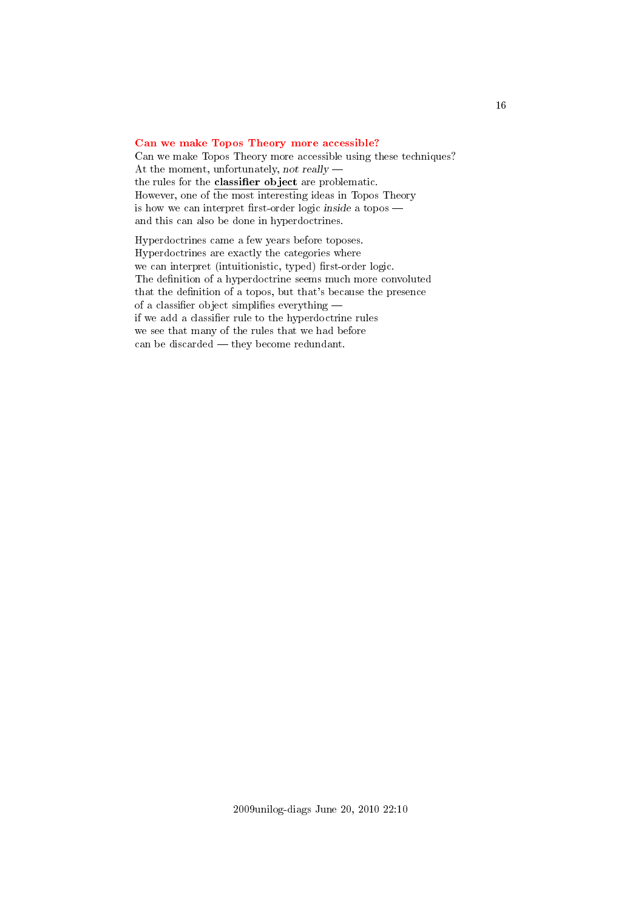# <span id="page-15-0"></span>[Can we make Topos Theory more accessible?](#page-1-11)

Can we make Topos Theory more accessible using these techniques? At the moment, unfortunately, not really the rules for the classifier object are problematic. However, one of the most interesting ideas in Topos Theory is how we can interpret first-order logic inside a topos  $$ and this can also be done in hyperdoctrines.

Hyperdoctrines came a few years before toposes. Hyperdoctrines are exactly the categories where we can interpret (intuitionistic, typed) first-order logic. The definition of a hyperdoctrine seems much more convoluted that the definition of a topos, but that's because the presence of a classifier object simplifies everything  $$ if we add a classifier rule to the hyperdoctrine rules we see that many of the rules that we had before can be discarded  $-$  they become redundant.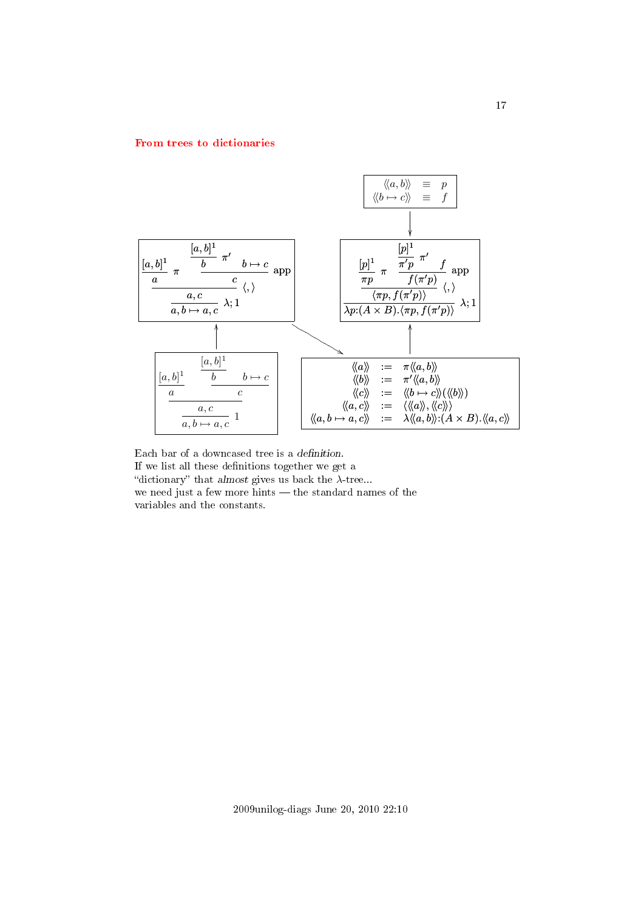#### <span id="page-16-0"></span>[From trees to dictionaries](#page-1-12)



Each bar of a downcased tree is a definition. If we list all these definitions together we get a "dictionary" that almost gives us back the  $\lambda$ -tree... we need just a few more hints — the standard names of the variables and the constants.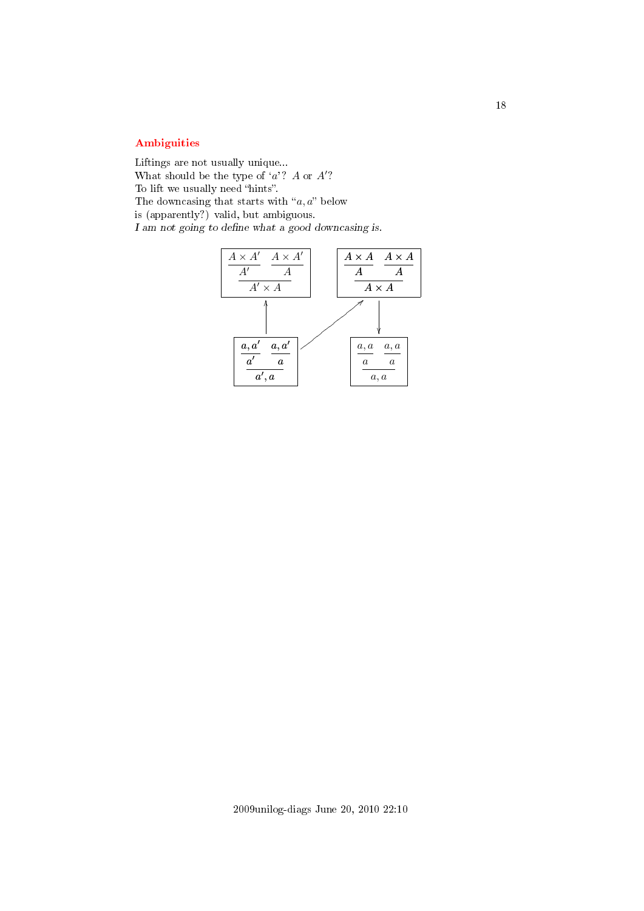# <span id="page-17-0"></span>[Ambiguities](#page-1-13)

Liftings are not usually unique... What should be the type of  $a$ ? A or  $A$ ? To lift we usually need "hints". The downcasing that starts with " $a, a$ " below is (apparently?) valid, but ambiguous.  ${\cal I}$ am not going to define what a good downcasing is.

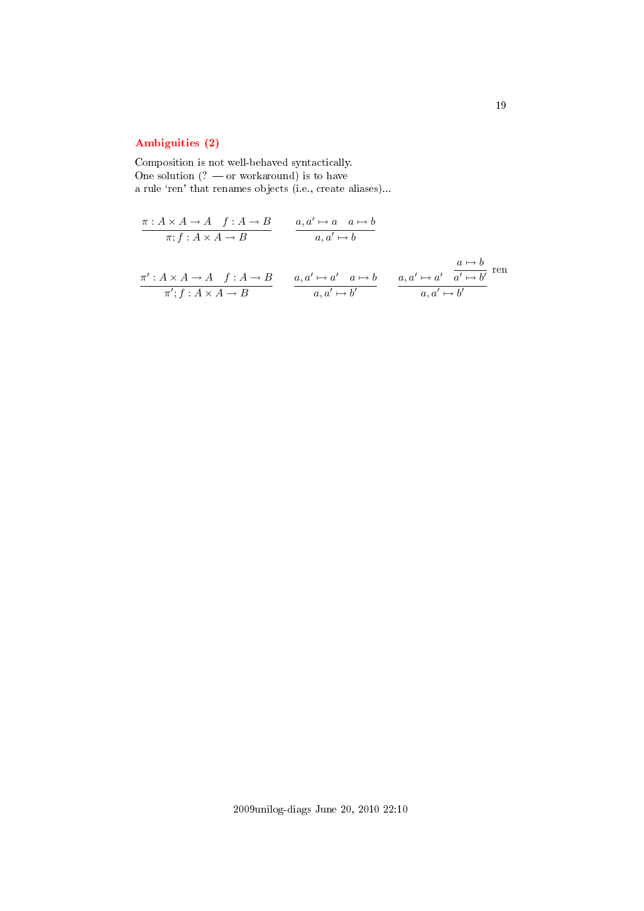# <span id="page-18-0"></span>[Ambiguities \(2\)](#page-1-14)

Composition is not well-behaved syntactically. One solution  $(? - or workaround)$  is to have a rule 'ren' that renames objects (i.e., create aliases)...

$$
\frac{\pi: A \times A \to A \quad f: A \to B}{\pi; f: A \times A \to B} \qquad \frac{a, a' \mapsto a \quad a \mapsto b}{a, a' \mapsto b}
$$
\n
$$
\frac{\pi': A \times A \to A \quad f: A \to B}{\pi'; f: A \times A \to B} \qquad \frac{a, a' \mapsto a' \quad a \mapsto b}{a, a' \mapsto b'} \qquad \frac{a, a' \mapsto a' \quad \frac{a \mapsto b}{a', a' \mapsto b'}}{\dots \qquad a, a' \mapsto b'}
$$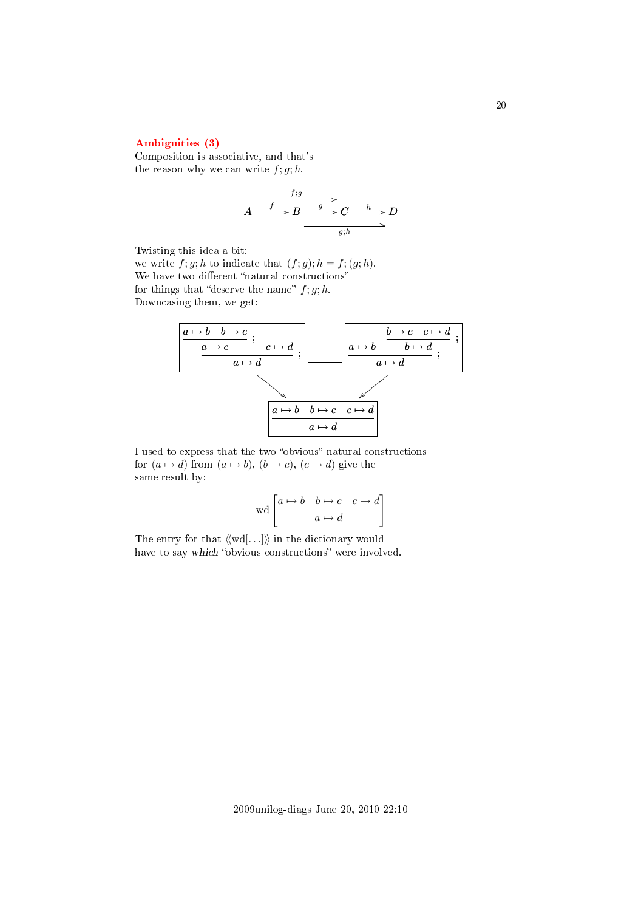# <span id="page-19-0"></span>[Ambiguities \(3\)](#page-1-15)

Composition is associative, and that's the reason why we can write  $f; g; h$ .

$$
A \xrightarrow{f:g} B \xrightarrow{g} C \xrightarrow{h} D
$$
  

$$
g; h \longrightarrow B
$$

Twisting this idea a bit:

we write  $f; g; h$  to indicate that  $(f; g); h = f; (g; h)$ . We have two different "natural constructions" for things that "deserve the name"  $f; g; h$ . Downcasing them, we get:



I used to express that the two "obvious" natural constructions for  $(a \mapsto d)$  from  $(a \mapsto b)$ ,  $(b \to c)$ ,  $(c \to d)$  give the same result by:

$$
\operatorname{wd}\left[\begin{array}{c|c} a \mapsto b & b \mapsto c & c \mapsto d \\ \hline & a \mapsto d \end{array}\right]
$$

The entry for that  $\langle \langle \text{wd}[\ldots] \rangle \rangle$  in the dictionary would have to say which "obvious constructions" were involved.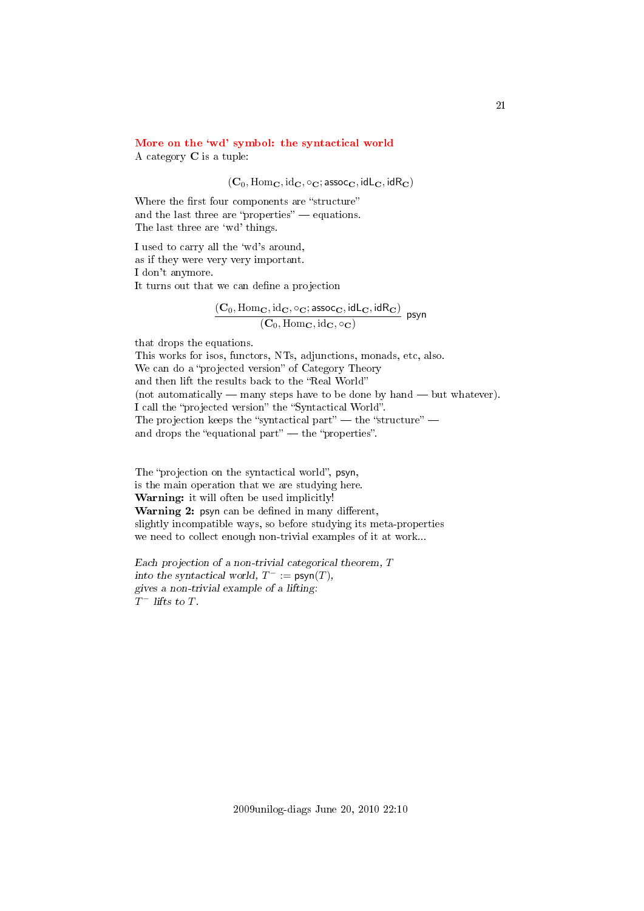# <span id="page-20-0"></span>More on the 'wd' symbol: the syntactical world

A category C is a tuple:

 $(C_0, \text{Hom}_\mathbf{C}, \text{id}_\mathbf{C}, \circ_\mathbf{C}; \text{assoc}_\mathbf{C}, \text{idL}_\mathbf{C}, \text{idR}_\mathbf{C})$ 

Where the first four components are "structure" and the last three are "properties"  $-$  equations. The last three are 'wd' things.

I used to carry all the `wd's around, as if they were very very important. I don't anymore. It turns out that we can define a projection

$$
\frac{(\mathbf{C}_0,\mathrm{Hom}_{\mathbf{C}},\mathrm{id}_{\mathbf{C}},\circ_{\mathbf{C}};\mathsf{assoc}_\mathbf{C},\mathsf{idL}_\mathbf{C},\mathsf{idR}_\mathbf{C})}{(\mathbf{C}_0,\mathrm{Hom}_{\mathbf{C}},\mathrm{id}_{\mathbf{C}},\circ_{\mathbf{C}})}\;\; \mathsf{psyn}
$$

that drops the equations.

This works for isos, functors, NTs, adjunctions, monads, etc, also. We can do a "projected version" of Category Theory and then lift the results back to the "Real World" (not automatically  $-$  many steps have to be done by hand  $-$  but whatever). I call the "projected version" the "Syntactical World". The projection keeps the "syntactical part"  $-$  the "structure"  $$ and drops the "equational part"  $\frac{d}{dt}$  the "properties".

The "projection on the syntactical world", psyn, is the main operation that we are studying here. Warning: it will often be used implicitly! Warning 2: psyn can be defined in many different, slightly incompatible ways, so before studying its meta-properties we need to collect enough non-trivial examples of it at work...

Each projection of a non-trivial categorical theorem, T into the syntactical world,  $T^- := \text{psyn}(T)$ , gives a non-trivial example of a lifting:  $T^-$  lifts to T.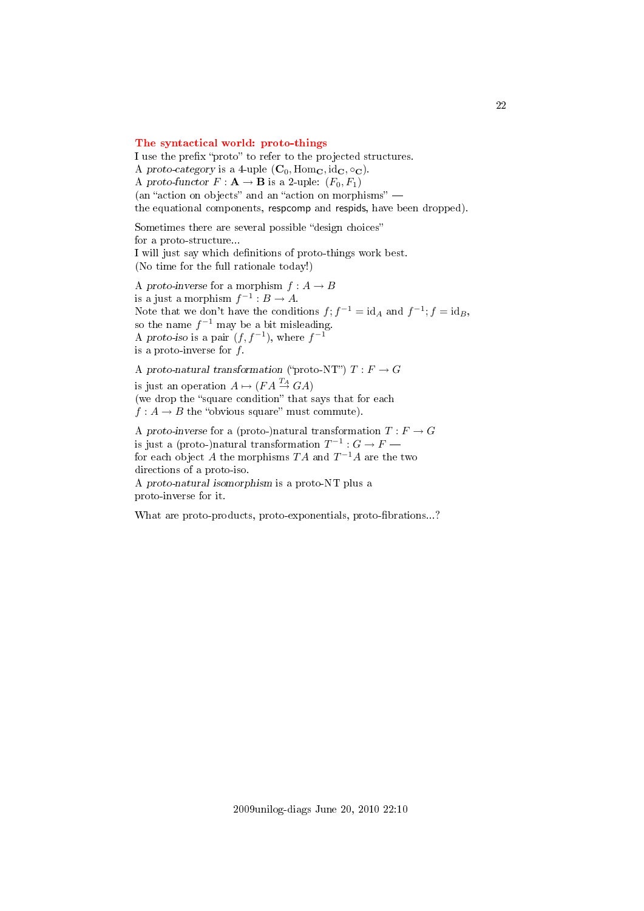#### <span id="page-21-0"></span>[The syntactical world: proto-things](#page-1-17)

I use the prefix "proto" to refer to the projected structures. A proto-category is a 4-uple  $(C_0, \text{Hom}_\mathbf{C}, \text{id}_\mathbf{C}, \circ_\mathbf{C})$ . A proto-functor  $F: \mathbf{A} \to \mathbf{B}$  is a 2-uple:  $(F_0, F_1)$ (an "action on objects" and an "action on morphisms"  $$ the equational components, respcomp and respids, have been dropped).

Sometimes there are several possible "design choices" for a proto-structure... I will just say which denitions of proto-things work best. (No time for the full rationale today!)

A proto-inverse for a morphism  $f : A \to B$ is a just a morphism  $f^{-1}: B \to A$ . Note that we don't have the conditions  $f$ ;  $f^{-1} = id_A$  and  $f^{-1}$ ;  $f = id_B$ , so the name  $f^{-1}$  may be a bit misleading. A proto-iso is a pair  $(f, f^{-1})$ , where  $f^{-1}$ is a proto-inverse for  $f$ .

A proto-natural transformation ("proto-NT")  $T : F \to G$ is just an operation  $A \mapsto (FA \stackrel{T_A}{\rightarrow} GA)$ (we drop the "square condition" that says that for each  $f: A \to B$  the "obvious square" must commute). A proto-inverse for a (proto-)natural transformation  $T : F \to G$ is just a (proto-)natural transformation  $T^{-1}: G \to F$  —

for each object  $A$  the morphisms  $TA$  and  $T^{-1}A$  are the two directions of a proto-iso.

A proto-natural isomorphism is a proto-NT plus a proto-inverse for it.

What are proto-products, proto-exponentials, proto-fibrations...?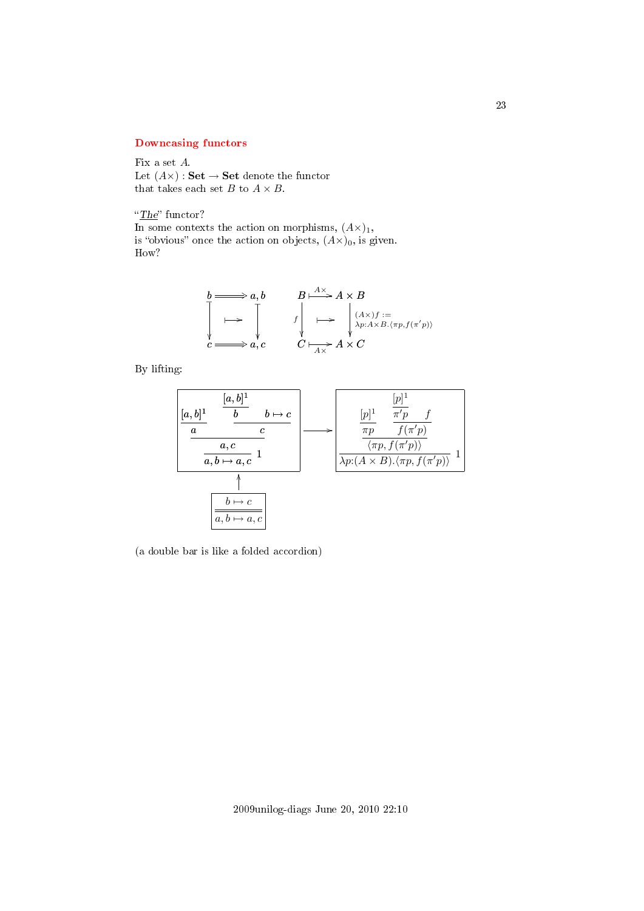# <span id="page-22-0"></span>[Downcasing functors](#page-1-18)

Fix a set A. Let  $(A\times)$ : Set  $\rightarrow$  Set denote the functor that takes each set  $B$  to  $A\times B.$ 

" $The$ " functor?

In some contexts the action on morphisms,  $(A\times)_{1}$ , is "obvious" once the action on objects,  $(A\times)_{0}$ , is given. How?

$$
b \longrightarrow a, b
$$
\n
$$
B \longrightarrow A \times B
$$
\n
$$
\downarrow \qquad \qquad f \downarrow \qquad \qquad \downarrow \qquad \downarrow \qquad \downarrow \qquad \downarrow \qquad \downarrow \qquad \downarrow \qquad \downarrow \qquad \downarrow \qquad \downarrow \qquad \downarrow \qquad \downarrow \qquad \downarrow \qquad \downarrow \qquad \downarrow \qquad \downarrow \qquad \downarrow \qquad \downarrow \qquad \downarrow \qquad \downarrow \qquad \downarrow \qquad \downarrow \qquad \downarrow \qquad \downarrow \qquad \downarrow \qquad \downarrow \qquad \downarrow \qquad \downarrow \qquad \downarrow \qquad \downarrow \qquad \downarrow \qquad \downarrow \qquad \downarrow \qquad \downarrow \qquad \downarrow \qquad \downarrow \qquad \downarrow \qquad \downarrow \qquad \downarrow \qquad \downarrow \qquad \downarrow \qquad \downarrow \qquad \downarrow \qquad \downarrow \qquad \downarrow \qquad \downarrow \qquad \downarrow \qquad \downarrow \qquad \downarrow \qquad \downarrow \qquad \downarrow \qquad \downarrow \qquad \downarrow \qquad \downarrow \qquad \downarrow \qquad \downarrow \qquad \downarrow \qquad \downarrow \qquad \downarrow \qquad \downarrow \qquad \downarrow \qquad \downarrow \qquad \downarrow \qquad \downarrow \qquad \downarrow \qquad \downarrow \qquad \downarrow \qquad \downarrow \qquad \downarrow \qquad \downarrow \qquad \downarrow \qquad \downarrow \qquad \downarrow \qquad \downarrow \qquad \downarrow \qquad \downarrow \qquad \downarrow \qquad \downarrow \qquad \downarrow \qquad \downarrow \qquad \downarrow \qquad \downarrow \qquad \downarrow \qquad \downarrow \qquad \downarrow \qquad \downarrow \qquad \downarrow \qquad \downarrow \qquad \downarrow \qquad \downarrow \qquad \downarrow \qquad \downarrow \qquad \downarrow \qquad \downarrow \qquad \downarrow \qquad \downarrow \qquad \downarrow \qquad \downarrow \qquad \downarrow \qquad \downarrow \qquad \downarrow \qquad \downarrow \qquad \downarrow \qquad \downarrow \qquad \downarrow \qquad \downarrow \qquad \downarrow \qquad \downarrow \qquad \downarrow \qquad \downarrow \qquad \downarrow \qquad \downarrow \qquad \downarrow \qquad \downarrow \qquad \downarrow \qquad \downarrow \qquad \downarrow \qquad \downarrow \qquad \downarrow \qquad
$$

By lifting:



(a double bar is like a folded accordion)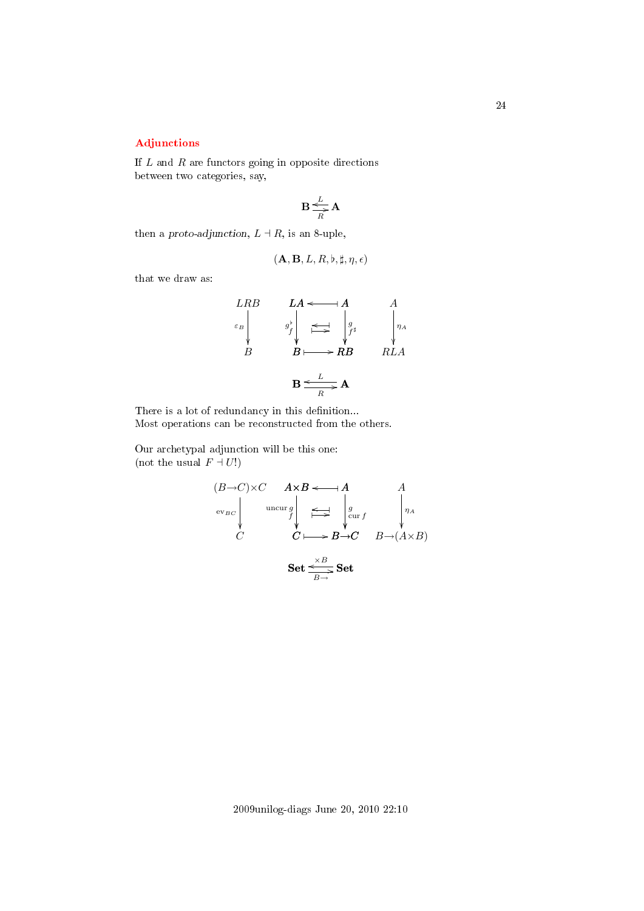# 24

# <span id="page-23-0"></span>[Adjunctions](#page-1-19)

If  $L$  and  $R$  are functors going in opposite directions between two categories, say,

$$
\mathbf{B}\frac{L}{\sum\limits_{R}^{L}\mathbf{A}}
$$

then a proto-adjunction,  $L \dashv R$ , is an 8-uple,

$$
(\mathbf{A},\mathbf{B},L,R,\flat,\sharp,\eta,\epsilon)
$$

that we draw as:

$$
\begin{array}{ccc}\nLRB & LA \leftarrow & A & A \\
\epsilon_B & g^{\flat} & \underset{B}{\iff} & g^{\flat} \\
B & B \longmapsto RB & RLA\n\end{array}
$$

There is a lot of redundancy in this definition... Most operations can be reconstructed from the others.

Our archetypal adjunction will be this one: (not the usual  $F \dashv U!$ )

$$
(B\to C) \times C \qquad A \times B \longleftarrow A \qquad A
$$
  
every  

$$
C \qquad \xrightarrow{\text{uncur } g} \qquad \xrightarrow{g} \qquad \downarrow g
$$
  

$$
C \qquad \xleftarrow{X-B} \to C \qquad B \to (A \times B)
$$
  

$$
\xrightarrow{\text{Set}} \xrightarrow{\xrightarrow{B}} \text{Set}
$$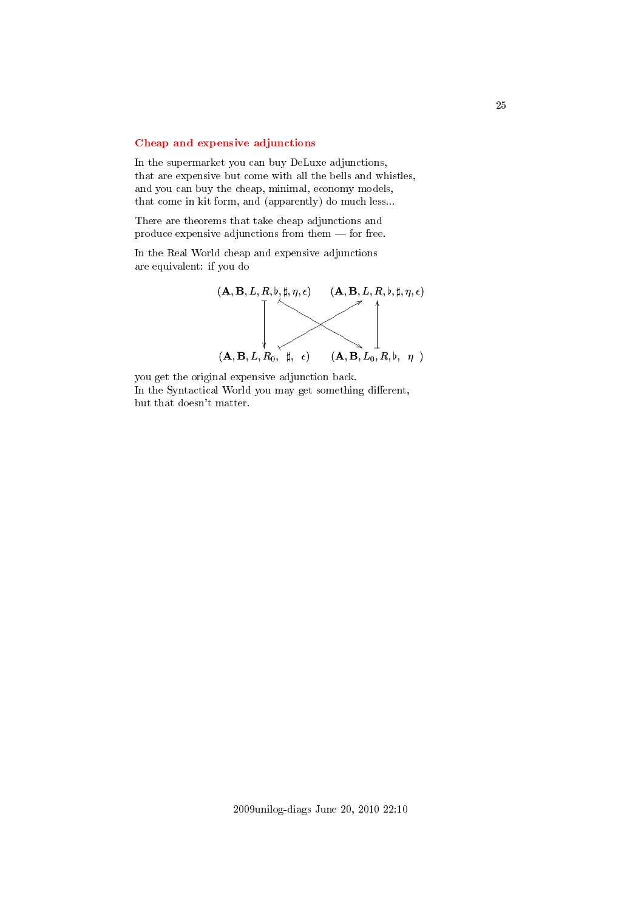# <span id="page-24-0"></span>[Cheap and expensive adjunctions](#page-1-20)

In the supermarket you can buy DeLuxe adjunctions, that are expensive but come with all the bells and whistles, and you can buy the cheap, minimal, economy models, that come in kit form, and (apparently) do much less...

There are theorems that take cheap adjunctions and produce expensive adjunctions from them  $-$  for free.

In the Real World cheap and expensive adjunctions are equivalent: if you do



you get the original expensive adjunction back. In the Syntactical World you may get something different, but that doesn't matter.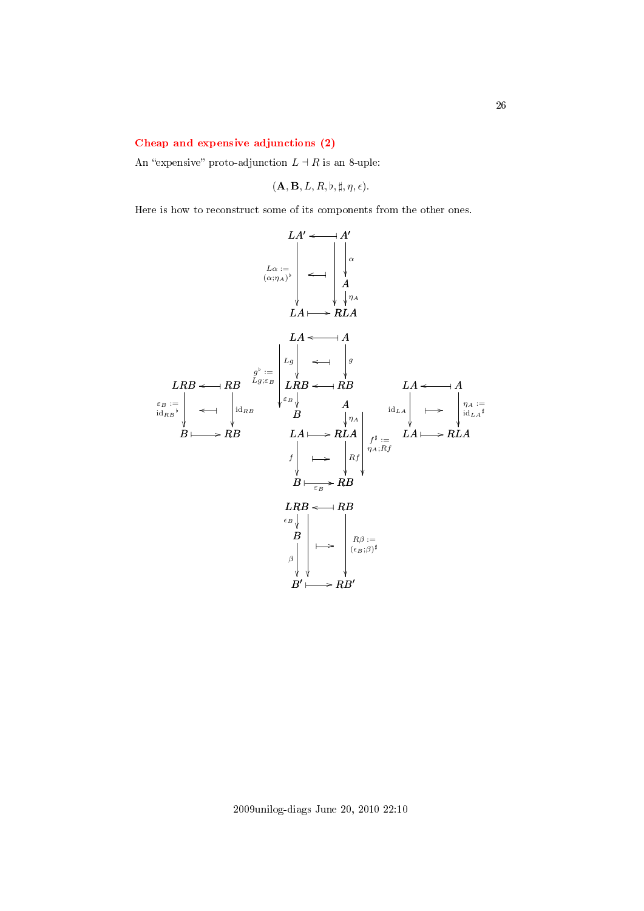#### <span id="page-25-0"></span>[Cheap and expensive adjunctions \(2\)](#page-1-21)

An "expensive" proto-adjunction  $L \dashv R$  is an 8-uple:

$$
(\mathbf{A}, \mathbf{B}, L, R, \mathfrak{b}, \sharp, \eta, \epsilon).
$$

Here is how to reconstruct some of its components from the other ones.

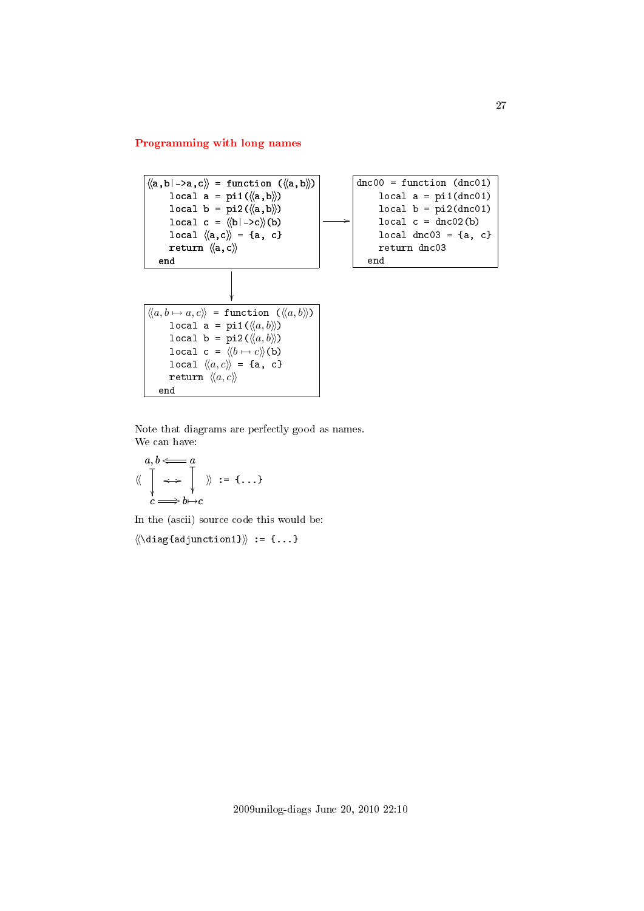# <span id="page-26-0"></span>[Programming with long names](#page-1-22)



Note that diagrams are perfectly good as names. We can have:

$$
\begin{array}{ccc}\na, b & \longleftarrow & a \\
\langle\langle & \uparrow & \longrightarrow & \downarrow \\
c & \longrightarrow & b \rightarrow c\n\end{array}
$$
 := {\ldots}

In the (ascii) source code this would be:

 $\langle\langle\langle \text{diag}\{\text{adjunction1}\rangle\}\rangle := \{... \}$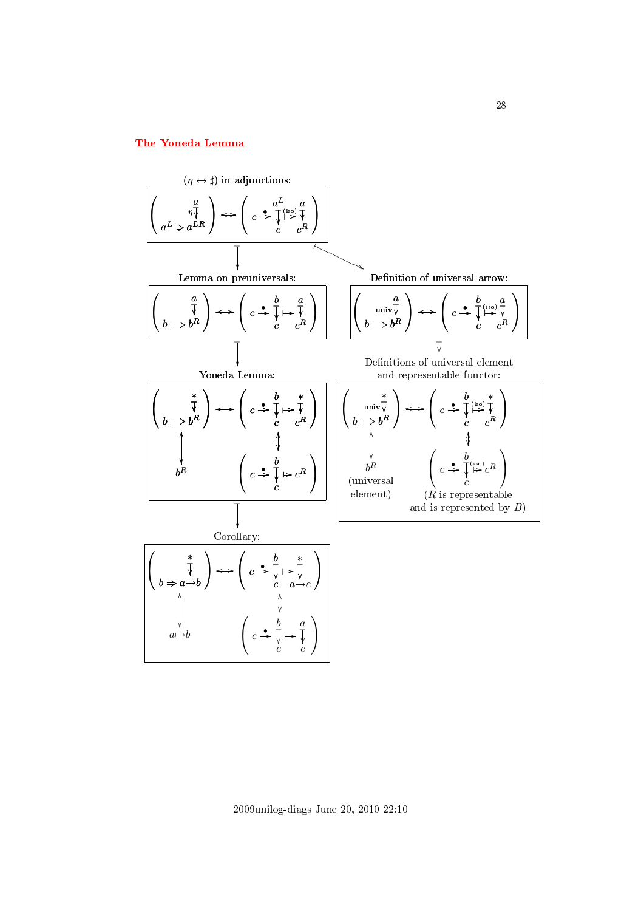# <span id="page-27-0"></span>[The Yoneda Lemma](#page-1-23)



2009unilog-diags June 20, 2010 22:10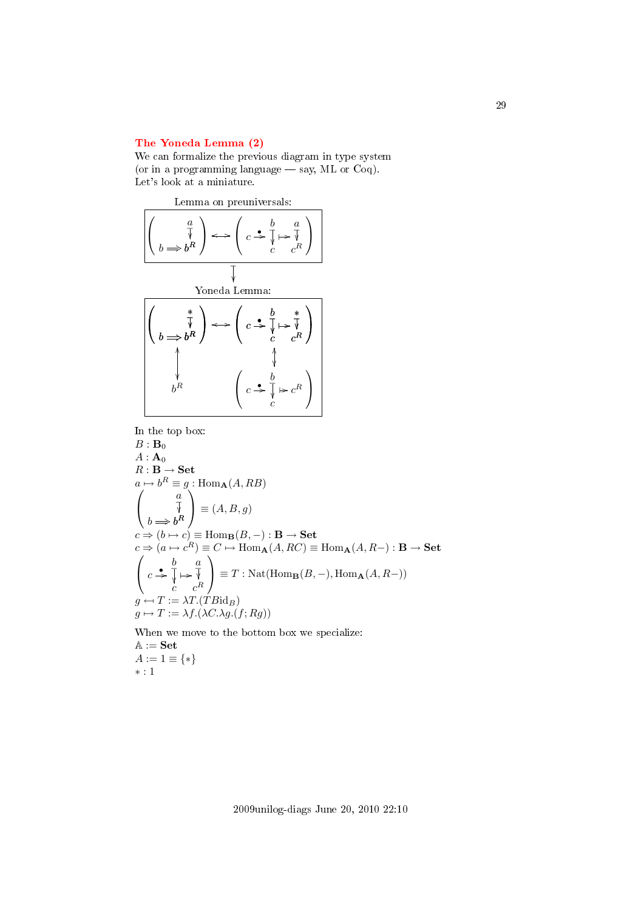# <span id="page-28-0"></span>[The Yoneda Lemma \(2\)](#page-1-24)

We can formalize the previous diagram in type system (or in a programming language  $-$  say, ML or Coq). Let's look at a miniature.



In the top box:

$$
B : B_0
$$
  
\n
$$
A : A_0
$$
  
\n
$$
R : B \to Set
$$
  
\n
$$
a \mapsto b^R \equiv g : \text{Hom}_{\mathbf{A}}(A, RB)
$$
  
\n
$$
\begin{pmatrix} a \\ \overline{v} \\ b \Rightarrow b^R \end{pmatrix} \equiv (A, B, g)
$$
  
\n
$$
c \Rightarrow (b \mapsto c) \equiv \text{Hom}_{\mathbf{B}}(B, -) : \mathbf{B} \to Set
$$
  
\n
$$
c \Rightarrow (a \mapsto c^R) \equiv C \mapsto \text{Hom}_{\mathbf{A}}(A, RC) \equiv \text{Hom}_{\mathbf{A}}(A, R-) : \mathbf{B} \to Set
$$
  
\n
$$
\begin{pmatrix} b & a \\ c & \overline{v} \\ c & c^R \end{pmatrix} \equiv T : \text{Nat}(\text{Hom}_{\mathbf{B}}(B, -), \text{Hom}_{\mathbf{A}}(A, R-))
$$
  
\n
$$
g \mapsto T := \lambda T. (T B id_B)
$$
  
\n
$$
g \mapsto T := \lambda f. (\lambda C . \lambda g. (f; Rg))
$$

When we move to the bottom box we specialize:  $\mathbb{A} := \mathbf{Set}$  $A := 1 \equiv \{ * \}$ ∗ : 1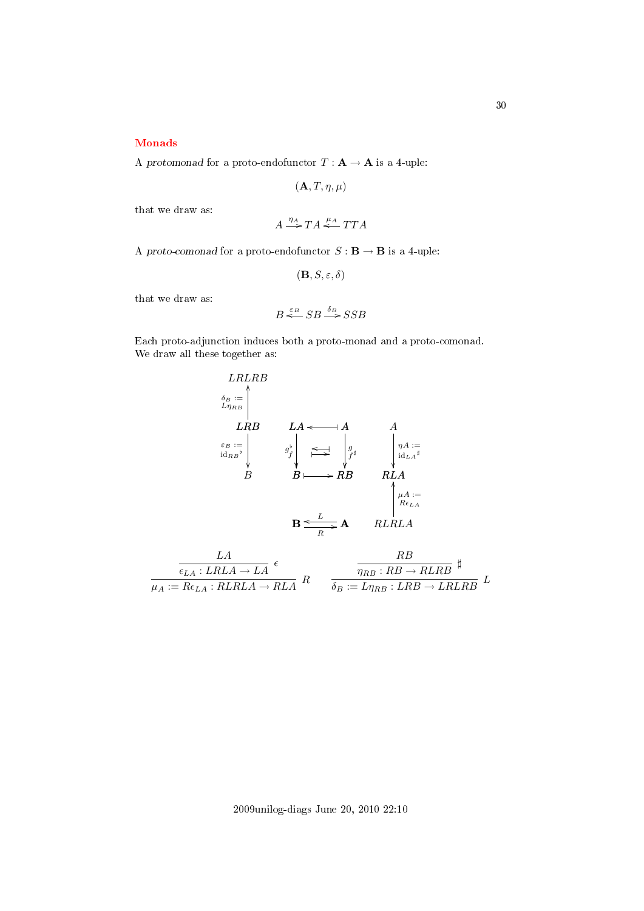# <span id="page-29-0"></span>[Monads](#page-1-25)

A protomonad for a proto-endofunctor  $T : A \rightarrow A$  is a 4-uple:

$$
(\mathbf{A},T,\eta,\mu)
$$

that we draw as:

$$
A \xrightarrow{\eta_A} TA \xleftarrow{\mu_A} TTA
$$

A proto-comonad for a proto-endofunctor  $S : \mathbf{B} \to \mathbf{B}$  is a 4-uple:

$$
(\mathbf{B},S,\varepsilon,\delta)
$$

that we draw as:

$$
B \stackrel{\varepsilon_B}{\Longleftarrow} SB \stackrel{\delta_B}{\longrightarrow} SSB
$$

Each proto-adjunction induces both a proto-monad and a proto-comonad. We draw all these together as:



$$
\frac{LA}{\mu_A: LRLA \to LA} \epsilon
$$
\n
$$
\frac{RB}{\mu_A: = Re_{LA}: RLRLA \to RLA} \cdot R
$$
\n
$$
\frac{RB}{\delta_B: = L\eta_{RB}: RB \to RLRB} \downarrow L
$$

2009unilog-diags June 20, 2010 22:10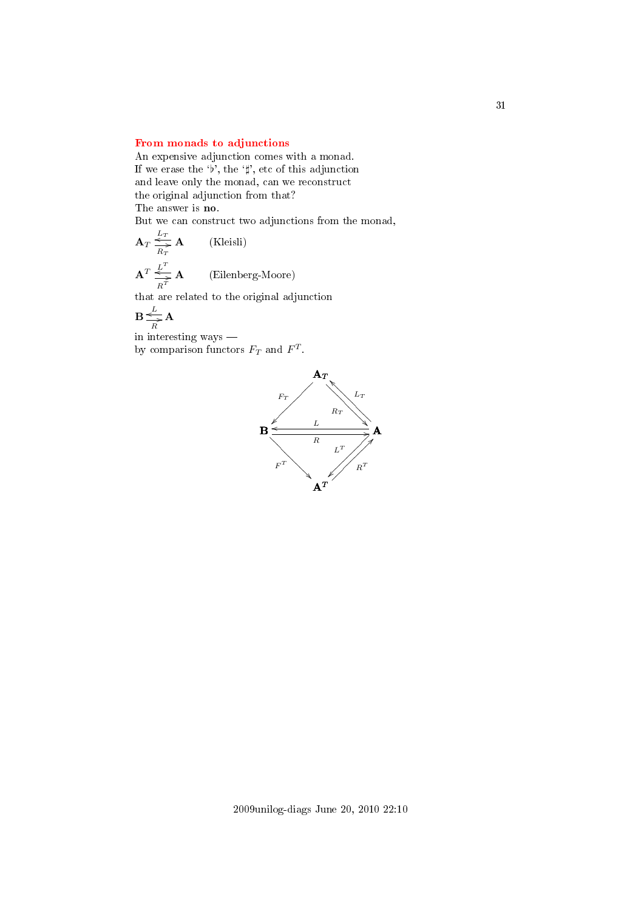# <span id="page-30-0"></span>[From monads to adjunctions](#page-1-26)

An expensive adjunction comes with a monad. If we erase the 'b', the ' $\sharp$ ', etc of this adjunction and leave only the monad, can we reconstruct the original adjunction from that? The answer is no.

But we can construct two adjunctions from the monad,

$$
\mathbf{A}_{T} \overset{L_{T}}{\underset{R_{T}}{\rightleftharpoons}} \mathbf{A}
$$
 (Kleisli)  

$$
\mathbf{A}^{T} \overset{L^{T}}{\underset{R^{T}}{\rightleftharpoons}} \mathbf{A}
$$
 (Eilenberg-Moore)

that are related to the original adjunction

$$
\mathbf{B} \underset{R}{\overset{L}{\Longleftrightarrow}} \mathbf{A}
$$

in interesting ways by comparison functors  $F_T$  and  $F^T$ .

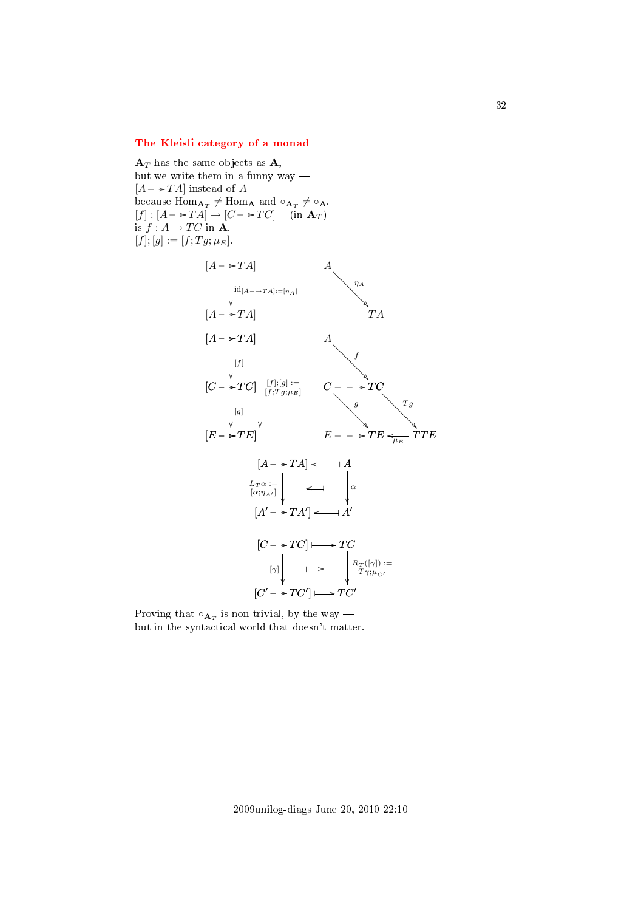# <span id="page-31-0"></span>[The Kleisli category of a monad](#page-1-27)

 $\mathbf{A}_T$  has the same objects as  $\mathbf{A}$ , but we write them in a funny way  $[A - \rightarrow TA]$  instead of  $A$  because  $\text{Hom}_{\mathbf{A}_T} \neq \text{Hom}_{\mathbf{A}}$  and  $\circ_{\mathbf{A}_T} \neq \circ_{\mathbf{A}}$ .  $[f] : [A - \rightarrow TA] \rightarrow [C - \rightarrow TC]$  (in  $A_T$ ) is  $f : A \to TC$  in **A**.  $[f]; [g] := [f; Tg; \mu_E].$ 



Proving that  $\circ_{\mathbf{A}_T}$  is non-trivial, by the way but in the syntactical world that doesn't matter.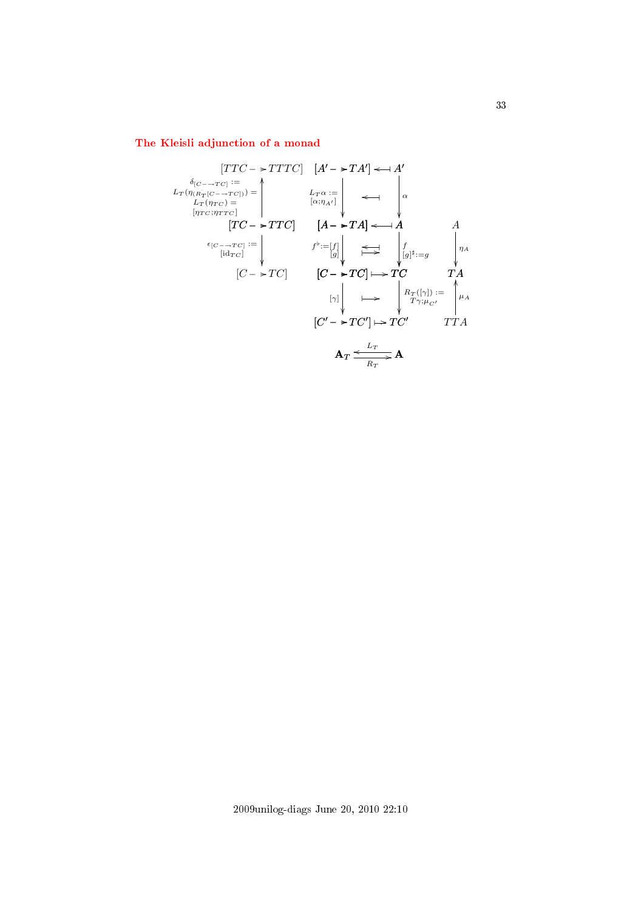# <span id="page-32-0"></span>[The Kleisli adjunction of a monad](#page-1-28)

$$
[TTC \rightarrow TTTC] \quad [A' \rightarrow TA'] \leftarrow A'
$$
\n
$$
L_{T}(\eta_{(R_{T}[C \rightarrow TC])}) = \begin{vmatrix} 1 & 1 & 1 \\ 1 & 1 & 1 \\ 1 & 1 & 1 \\ 1 & 1 & 1 \\ 1 & 1 & 1 \\ 1 & 1 & 1 \\ 1 & 1 & 1 \\ 1 & 1 & 1 \\ 1 & 1 & 1 \\ 1 & 1 & 1 \\ 1 & 1 & 1 \\ 1 & 1 & 1 \\ 1 & 1 & 1 \\ 1 & 1 & 1 \\ 1 & 1 & 1 \\ 1 & 1 & 1 \\ 1 & 1 & 1 \\ 1 & 1 & 1 \\ 1 & 1 & 1 \\ 1 & 1 & 1 \\ 1 & 1 & 1 \\ 1 & 1 & 1 \\ 1 & 1 & 1 \\ 1 & 1 & 1 \\ 1 & 1 & 1 \\ 1 & 1 & 1 \\ 1 & 1 & 1 \\ 1 & 1 & 1 \\ 1 & 1 & 1 \\ 1 & 1 & 1 \\ 1 & 1 & 1 \\ 1 & 1 & 1 \\ 1 & 1 & 1 \\ 1 & 1 & 1 \\ 1 & 1 & 1 \\ 1 & 1 & 1 \\ 1 & 1 & 1 \\ 1 & 1 & 1 \\ 1 & 1 & 1 \\ 1 & 1 & 1 \\ 1 & 1 & 1 \\ 1 & 1 & 1 \\ 1 & 1 & 1 \\ 1 & 1 & 1 \\ 1 & 1 & 1 \\ 1 & 1 & 1 \\ 1 & 1 & 1 \\ 1 & 1 & 1 \\ 1 & 1 & 1 \\ 1 & 1 & 1 \\ 1 & 1 & 1 \\ 1 & 1 & 1 \\ 1 & 1 & 1 \\ 1 & 1 & 1 \\ 1 & 1 & 1 \\ 1 & 1 & 1 \\ 1 & 1 & 1 \\ 1 & 1 & 1 \\ 1 & 1 & 1 \\ 1 & 1 & 1 \\ 1 & 1 & 1 \\ 1 & 1 & 1 \\ 1 & 1 & 1 \\ 1 & 1 & 1 \\ 1 & 1 & 1 \\ 1 & 1 & 1 \\ 1 & 1 & 1 \\ 1 & 1 & 1 \\ 1 & 1 & 1 \\ 1 & 1 & 1 \\ 1 & 1 & 1 \\ 1 & 1 & 1 \\ 1 & 1 & 1 \\ 1 & 1 & 1 \\ 1 & 1 & 1 \\ 1 & 1 & 1 \\ 1 & 1 & 1 \\ 1 & 1 & 1 \\
$$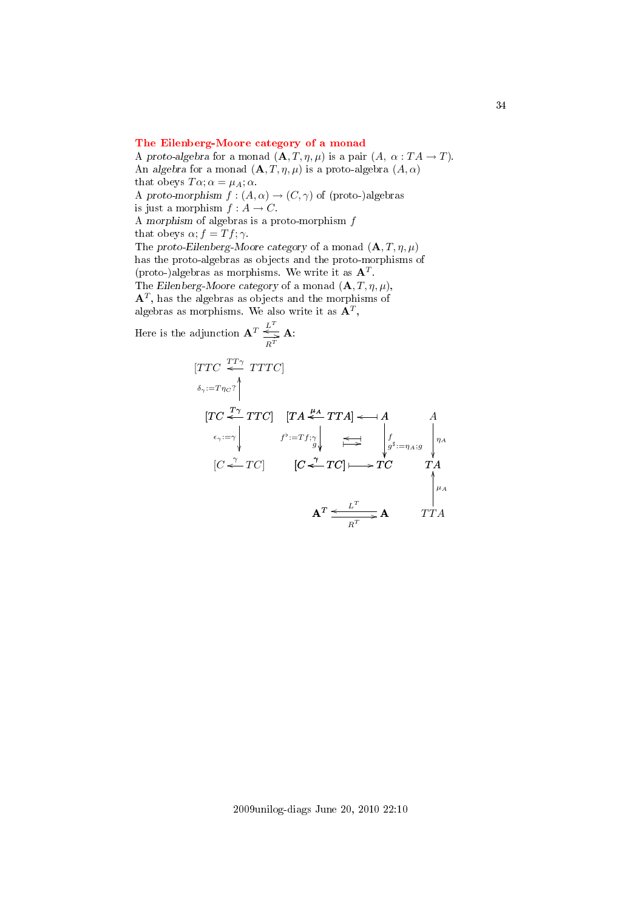# <span id="page-33-0"></span>[The Eilenberg-Moore category of a monad](#page-1-29)

A proto-algebra for a monad  $(\mathbf{A}, T, \eta, \mu)$  is a pair  $(A, \alpha : T A \to T)$ . An algebra for a monad  $(\mathbf{A}, T, \eta, \mu)$  is a proto-algebra  $(A, \alpha)$ that obeys  $T\alpha$ ;  $\alpha = \mu_A$ ;  $\alpha$ . A proto-morphism  $f : (A, \alpha) \to (C, \gamma)$  of (proto-)algebras is just a morphism  $f : A \rightarrow C$ . A morphism of algebras is a proto-morphism f that obeys  $\alpha$ ;  $f = Tf$ ;  $\gamma$ . The proto-Eilenberg-Moore category of a monad  $(\mathbf{A}, T, \eta, \mu)$ has the proto-algebras as objects and the proto-morphisms of (proto-)algebras as morphisms. We write it as  $A<sup>T</sup>$ . The Eilenberg-Moore category of a monad  $(A, T, \eta, \mu)$ ,  ${\bf A}^T,$  has the algebras as objects and the morphisms of algebras as morphisms. We also write it as  $\mathbf{A}^T$ , T

Here is the adjunction 
$$
\mathbf{A}^T \stackrel{L^T}{\underset{R^T}{\rightleftharpoons}} \mathbf{A}
$$
:  
\n[*TTC*  $\stackrel{TT\gamma}{\longleftarrow}$  *TTTC*]  
\n
$$
\stackrel{\delta_{\gamma}:=T\eta_{C}\uparrow}{\left|\begin{matrix}TC \stackrel{T\gamma}{\longleftarrow} TTC \end{matrix}\right|} \quad \begin{matrix}TA \stackrel{\mu_{A}}{\longleftarrow} TTA] \longleftarrow A & A \\ f^{\flat}:=Tf_{\uparrow}\uparrow \\ g^{\flat} \end{matrix}\right| \stackrel{f}{\underset{N}{\longleftarrow}} \longrightarrow \begin{matrix}A & A & A \\ g^{\sharp}:=\eta_{A};g & \eta_{A} \\ g^{\sharp}:=\eta_{A};g & \eta_{A} \\ \downarrow & \eta_{A} \\ \downarrow & \downarrow & \eta_{A} \end{matrix}
$$
\n[*C*  $\stackrel{\gamma}{\longleftarrow}$  *TC*]  $\stackrel{\text{def}}{\longleftarrow}$  *TC*  $\stackrel{\text{def}}{\longleftarrow}$  *TA*  
\n
$$
\mathbf{A}^T \stackrel{L^T}{\longleftarrow} \mathbf{A} \qquad TTA
$$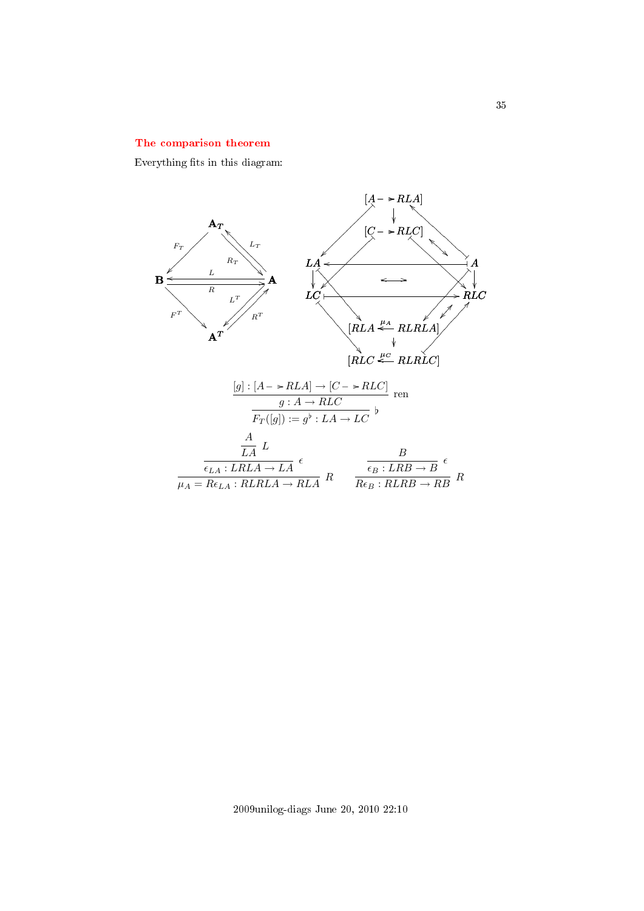# <span id="page-34-0"></span>[The comparison theorem](#page-1-30)

Everything fits in this diagram:



2009unilog-diags June 20, 2010 22:10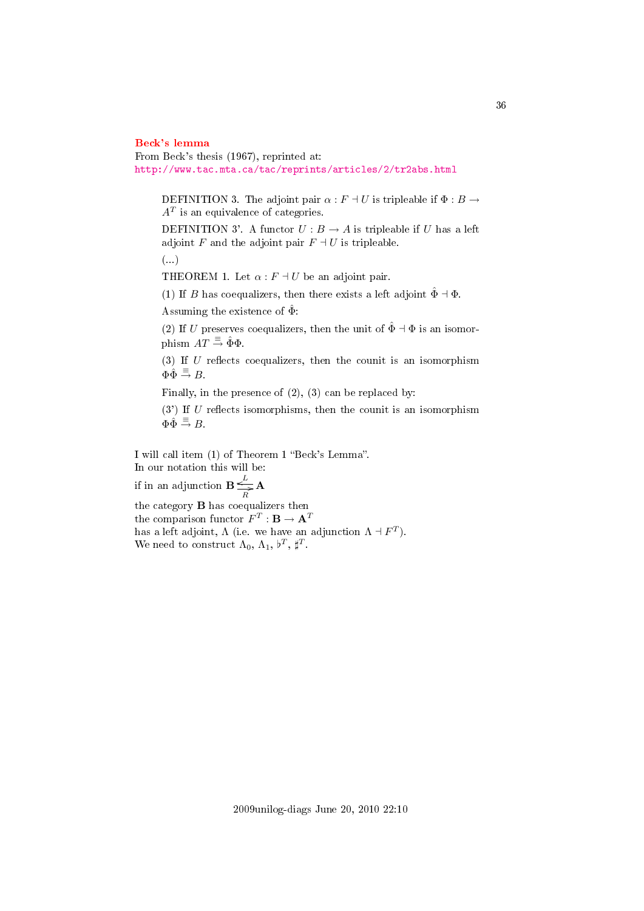#### <span id="page-35-0"></span>[Beck's lemma](#page-1-31)

From Beck's thesis (1967), reprinted at: <http://www.tac.mta.ca/tac/reprints/articles/2/tr2abs.html>

DEFINITION 3. The adjoint pair  $\alpha$  :  $F \dashv U$  is tripleable if  $\Phi : B \to$  $A<sup>T</sup>$  is an equivalence of categories.

DEFINITION 3'. A functor  $U : B \to A$  is tripleable if U has a left adjoint F and the adjoint pair  $F \dashv U$  is tripleable.

(...)

THEOREM 1. Let  $\alpha$  :  $F \dashv U$  be an adjoint pair.

(1) If B has coequalizers, then there exists a left adjoint  $\hat{\Phi} \dashv \Phi$ .

Assuming the existence of  $\hat{\Phi}$ :

(2) If U preserves coequalizers, then the unit of  $\hat{\Phi} \dashv \Phi$  is an isomorphism  $AT \stackrel{\equiv}{\Rightarrow} \hat{\Phi}\Phi$ .

(3) If  $U$  reflects coequalizers, then the counit is an isomorphism  $\Phi \hat{\Phi} \stackrel{\equiv}{\rightarrow} B.$ 

Finally, in the presence of (2), (3) can be replaced by:

 $(3')$  If U reflects isomorphisms, then the counit is an isomorphism  $\Phi \overset{\equiv}{\rightarrow} B.$ 

I will call item (1) of Theorem 1 "Beck's Lemma". In our notation this will be:

if in an adjunction  $B \leq$ L  $\frac{1}{R}$ **A** 

the category B has coequalizers then the comparison functor  $F^T:\mathbf{B}\to \mathbf{A}^T$ has a left adjoint,  $\Lambda$  (i.e. we have an adjunction  $\Lambda \dashv F^T$ ). We need to construct  $\Lambda_0$ ,  $\Lambda_1$ ,  $\nu^T$ ,  $\natural^T$ .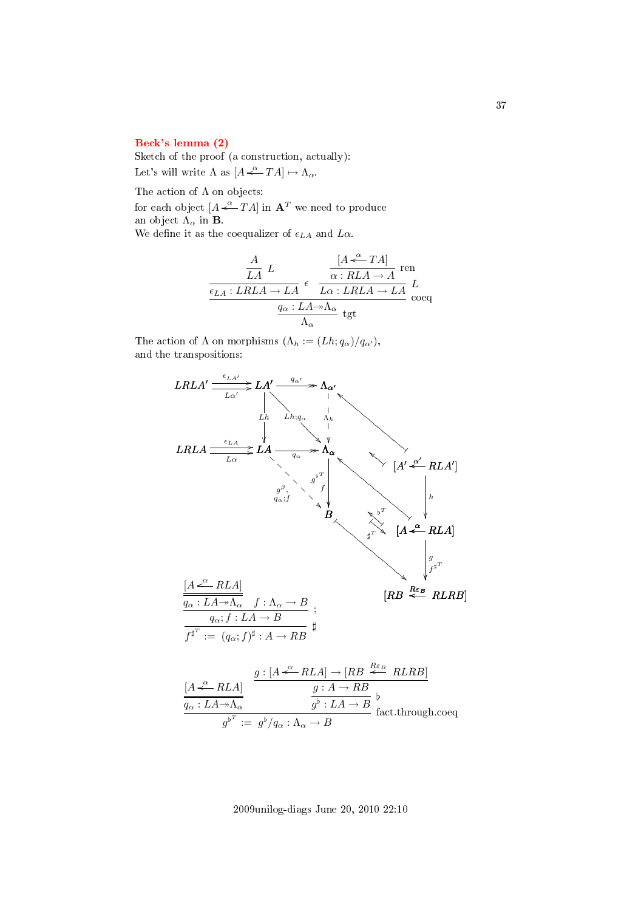### [Beck's lemma \(2\)](#page-1-0)

Sketch of the proof (a construction, actually): Let's will write  $\Lambda$  as  $[A \stackrel{\alpha}{\longleftarrow} TA] \mapsto \Lambda_{\alpha}$ .

The action of  $\Lambda$  on objects:

for each object  $[A \stackrel{\alpha}{\leftarrow} TA]$  in  $\mathbf{A}^T$  we need to produce an object  $\Lambda_{\alpha}$  in **B**.

We define it as the coequalizer of  $\epsilon_{LA}$  and  $L\alpha$ .

$$
\begin{array}{c|c}\nA & L & [A \stackrel{\alpha}{\longleftarrow} TA] \text{ ren} \\
\hline\n\frac{\epsilon_{LA}: LRLA \to LA}{\epsilon} & \frac{\alpha: RLA \to A}{L\alpha: LRLA \to LA} \stackrel{\tau}{L} \\
\frac{q_\alpha: LA \twoheadrightarrow \Lambda_\alpha}{\Lambda_\alpha} & \text{tgt}\n\end{array}
$$

The action of  $\Lambda$  on morphisms  $(\Lambda_h := (Lh; q_\alpha)/q_{\alpha'})$ , and the transpositions:



2009unilog-diags June 20, 2010 22:10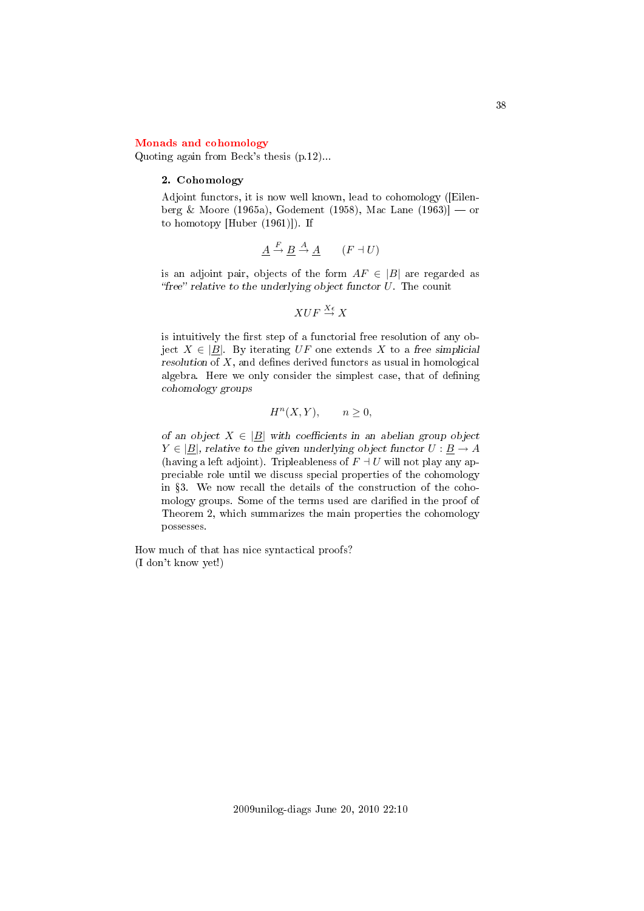#### [Monads and cohomology](#page-1-1)

Quoting again from Beck's thesis (p.12)...

#### 2. Cohomology

Adjoint functors, it is now well known, lead to cohomology ([Eilenberg & Moore (1965a), Godement (1958), Mac Lane (1963)] — or to homotopy [Huber (1961)]). If

$$
\underline{A} \xrightarrow{F} \underline{B} \xrightarrow{A} \underline{A} \qquad (F \dashv U)
$$

is an adjoint pair, objects of the form  $AF \in |B|$  are regarded as "free" relative to the underlying object functor  $U$ . The counit

$$
XUF \overset{X\epsilon}{\to} X
$$

is intuitively the first step of a functorial free resolution of any object  $X \in |B|$ . By iterating UF one extends X to a free simplicial resolution of  $X$ , and defines derived functors as usual in homological algebra. Here we only consider the simplest case, that of defining cohomology groups

$$
H^n(X, Y), \qquad n \ge 0,
$$

of an object  $X \in |B|$  with coefficients in an abelian group object  $Y \in |B|$ , relative to the given underlying object functor  $U : B \to A$ (having a left adjoint). Tripleableness of  $F \dashv U$  will not play any appreciable role until we discuss special properties of the cohomology in 3. We now recall the details of the construction of the cohomology groups. Some of the terms used are clarified in the proof of Theorem 2, which summarizes the main properties the cohomology possesses.

How much of that has nice syntactical proofs? (I don't know yet!)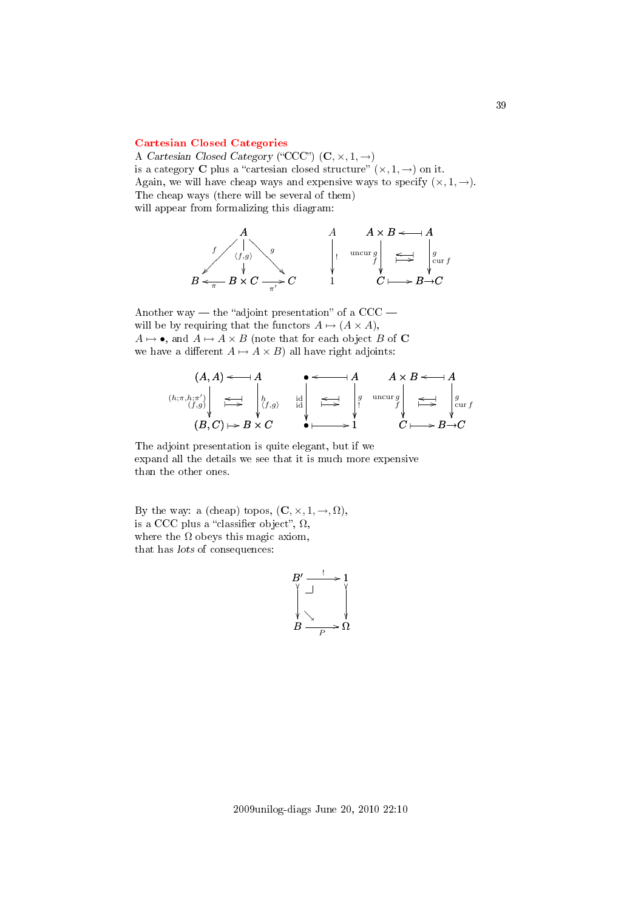## [Cartesian Closed Categories](#page-2-0)

A Cartesian Closed Category ("CCC")  $(C, \times, 1, \rightarrow)$ is a category **C** plus a "cartesian closed structure"  $(\times, 1, \rightarrow)$  on it. Again, we will have cheap ways and expensive ways to specify  $(x, 1, \rightarrow)$ . The cheap ways (there will be several of them) will appear from formalizing this diagram:



Another way — the "adjoint presentation" of a  $CCC$ will be by requiring that the functors  $A \mapsto (A \times A)$ ,  $A \mapsto \bullet$ , and  $A \mapsto A \times B$  (note that for each object B of C we have a different  $A \mapsto A \times B$ ) all have right adjoints:

$$
(A, A) \leftarrow A
$$
\n
$$
(h; \pi, h; \pi') \downarrow \qquad A
$$
\n
$$
(B, C) \mapsto B \times C
$$
\n
$$
(B, C) \mapsto B \times C
$$
\n
$$
(B, C) \mapsto B \times C
$$
\n
$$
(B, C) \mapsto B \times C
$$
\n
$$
(B, C) \mapsto B \times C
$$
\n
$$
(B, C) \mapsto B \times C
$$
\n
$$
(B, C) \mapsto B \times C
$$

The adjoint presentation is quite elegant, but if we expand all the details we see that it is much more expensive than the other ones.

By the way: a (cheap) topos,  $(C, \times, 1, \rightarrow, \Omega)$ , is a CCC plus a "classifier object",  $\Omega$ , where the  $\Omega$  obeys this magic axiom, that has lots of consequences:

$$
\begin{array}{c}\nB' \xrightarrow{!} & \downarrow \\
\uparrow \downarrow & \uparrow \\
\downarrow \searrow & \downarrow \\
B \xrightarrow{P} & \Omega\n\end{array}
$$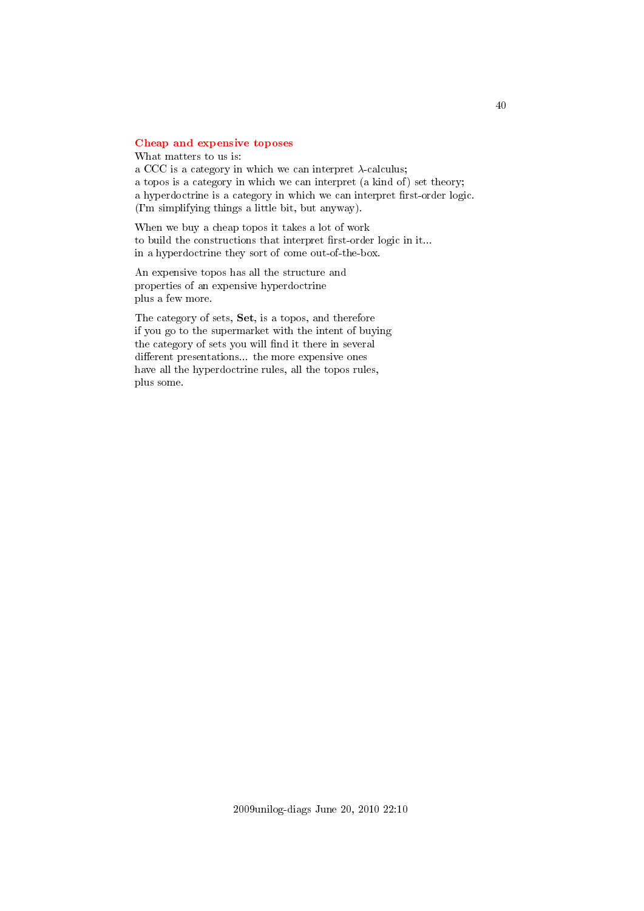# [Cheap and expensive toposes](#page-2-1)

What matters to us is: a CCC is a category in which we can interpret  $\lambda$ -calculus; a topos is a category in which we can interpret (a kind of) set theory; a hyperdoctrine is a category in which we can interpret first-order logic. (I'm simplifying things a little bit, but anyway).

When we buy a cheap topos it takes a lot of work to build the constructions that interpret first-order logic in it... in a hyperdoctrine they sort of come out-of-the-box.

An expensive topos has all the structure and properties of an expensive hyperdoctrine plus a few more.

The category of sets, Set, is a topos, and therefore if you go to the supermarket with the intent of buying the category of sets you will find it there in several different presentations... the more expensive ones have all the hyperdoctrine rules, all the topos rules, plus some.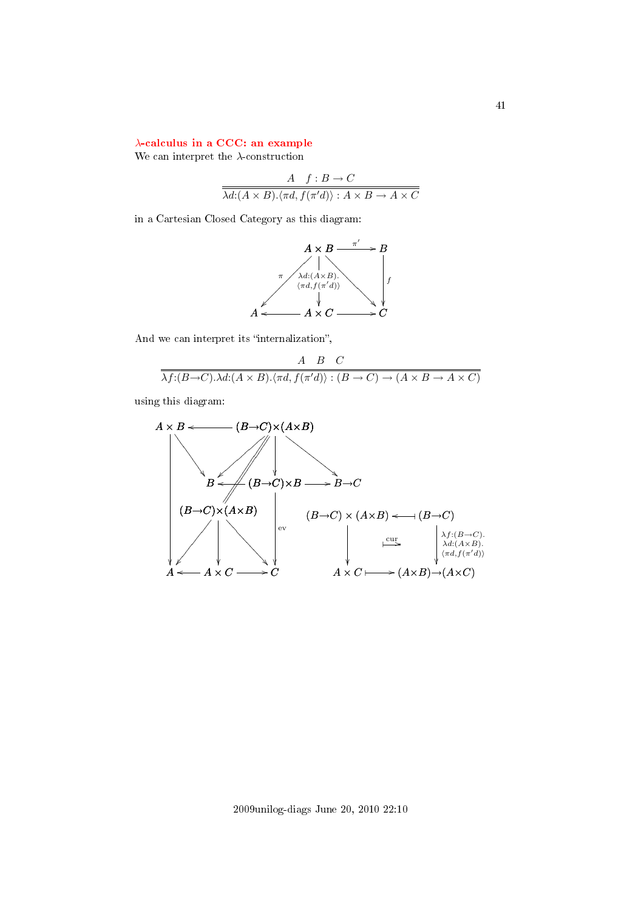# λ[-calculus in a CCC: an example](#page-2-2)

We can interpret the  $\lambda$ -construction

$$
\frac{A \quad f:B \to C}{\lambda d:(A \times B). \langle \pi d, f(\pi' d) \rangle : A \times B \to A \times C}
$$

in a Cartesian Closed Category as this diagram:



And we can interpret its "internalization",

$$
\frac{A \quad B \quad C}{\lambda f:(B \to C).\lambda d:(A \times B).\langle \pi d, f(\pi' d) \rangle : (B \to C) \to (A \times B \to A \times C)}
$$

using this diagram:

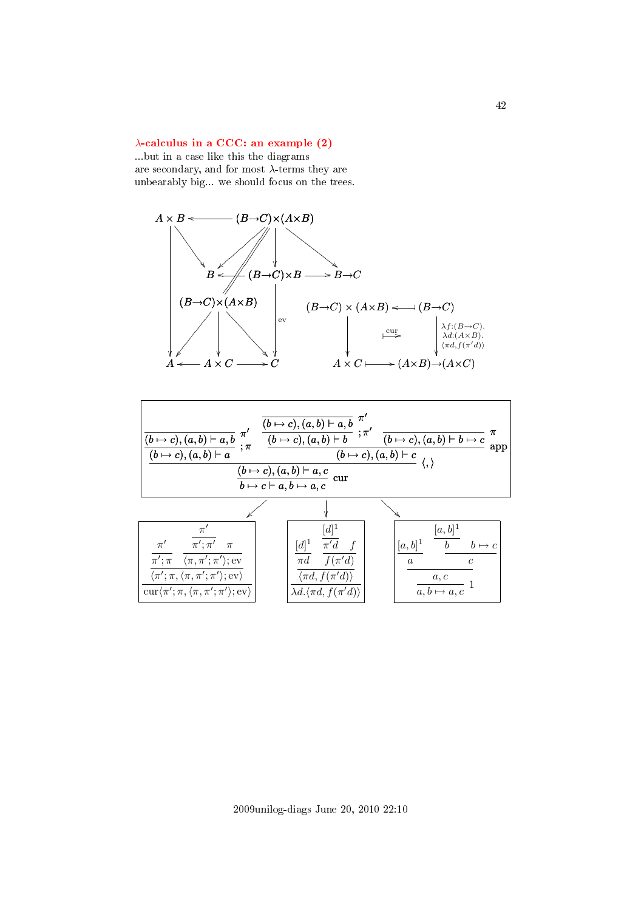# $\lambda$ [-calculus in a CCC: an example \(2\)](#page-2-3)

...but in a case like this the diagrams are secondary, and for most  $\lambda$ -terms they are unbearably big... we should focus on the trees.





2009unilog-diags June 20, 2010 22:10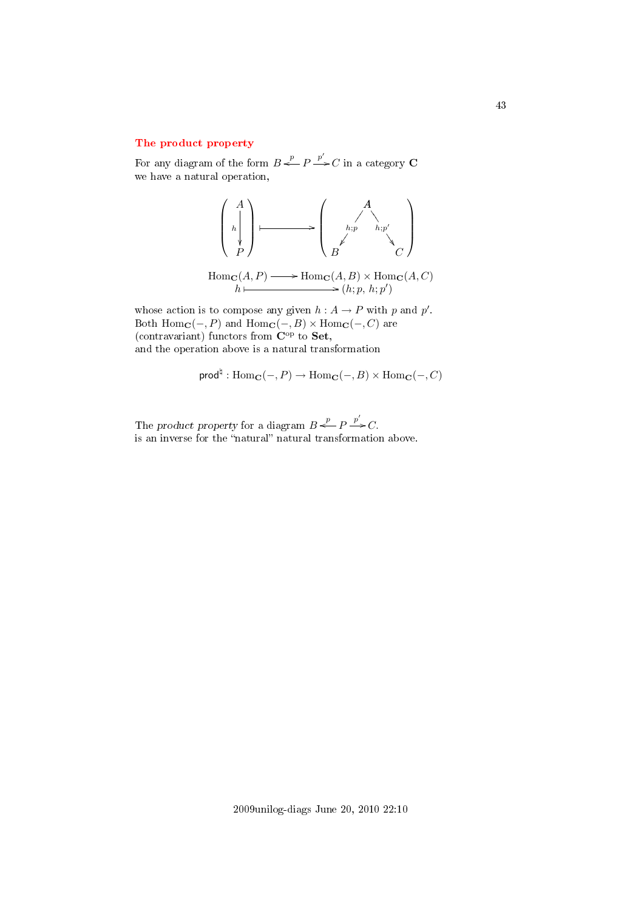# [The product property](#page-2-4)

For any diagram of the form  $B \stackrel{p}{\iff} P \stackrel{p'}{\Longrightarrow} C$  in a category C we have a natural operation,



Hom<sub>**C**</sub>(*A*, *P*)  $\longrightarrow$  Hom<sub>**C**</sub>(*A*, *B*)  $\times$  Hom<sub>**C**</sub>(*A*, *C*)  $h \mapsto (h; p, h; p')$ 

whose action is to compose any given  $h: A \to P$  with p and p'. Both  $\text{Hom}_{\mathbf{C}}(-, P)$  and  $\text{Hom}_{\mathbf{C}}(-, B) \times \text{Hom}_{\mathbf{C}}(-, C)$  are (contravariant) functors from  $\mathbf{C}^{\mathrm{op}}$  to **Set**, and the operation above is a natural transformation

$$
\mathsf{prod}^{\natural} : \mathrm{Hom}_{\mathbf{C}}(-, P) \to \mathrm{Hom}_{\mathbf{C}}(-, B) \times \mathrm{Hom}_{\mathbf{C}}(-, C)
$$

The product property for a diagram  $B \stackrel{p}{\leftarrow} P \stackrel{p'}{\rightarrow} C$ . is an inverse for the "natural" natural transformation above.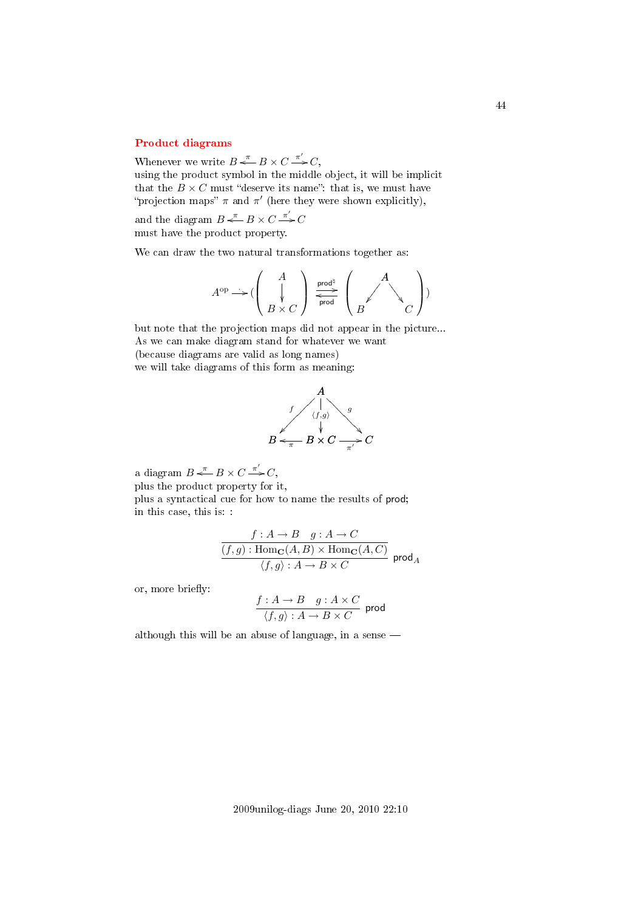# [Product diagrams](#page-2-5)

Whenever we write  $B \stackrel{\pi}{\iff} B \times C \stackrel{\pi'}{\Longrightarrow} C$ , using the product symbol in the middle object, it will be implicit

that the  $B \times C$  must "deserve its name": that is, we must have "projection maps"  $\pi$  and  $\pi'$  (here they were shown explicitly),

and the diagram  $B \stackrel{\pi}{\longleftarrow} B \times C \stackrel{\pi'}{\longrightarrow} C$ must have the product property.

We can draw the two natural transformations together as:

$$
A^{\mathrm{op}} \longrightarrow (\left(\begin{array}{c}A \\ \downarrow \\ B \times C\end{array}\right) \xrightarrow[\text{prod}]{\text{prod}}]{\text{prod}} \left(\begin{array}{c}A \\ \swarrow \\ C\end{array}\right))
$$

but note that the projection maps did not appear in the picture... As we can make diagram stand for whatever we want (because diagrams are valid as long names) we will take diagrams of this form as meaning:



a diagram  $B \stackrel{\pi}{\longleftarrow} B \times C \stackrel{\pi'}{\longrightarrow} C$ ,

plus the product property for it,

plus a syntactical cue for how to name the results of prod; in this case, this is: :

$$
\frac{f: A \to B \quad g: A \to C}{(f,g): \mathrm{Hom}_{\mathbf{C}}(A,B) \times \mathrm{Hom}_{\mathbf{C}}(A,C)} \cdot \frac{f}{(f,g): A \to B \times C} \text{prod}_{A}
$$

or, more briefly:

$$
\frac{f:A\to B\quad g:A\times C}{\langle f,g\rangle:A\to B\times C}\ \ \text{prod}
$$

although this will be an abuse of language, in a sense

2009unilog-diags June 20, 2010 22:10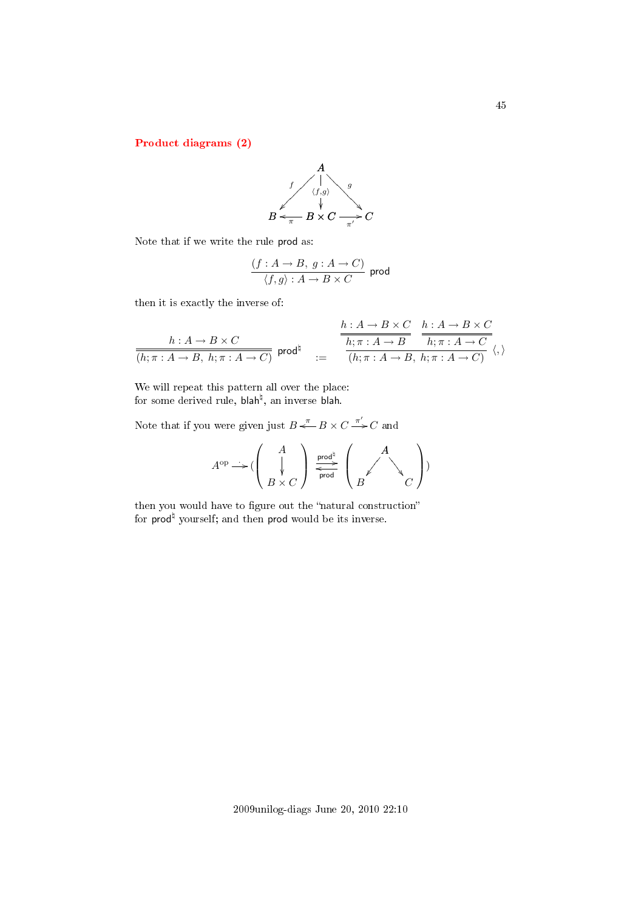[Product diagrams \(2\)](#page-2-6)



Note that if we write the rule prod as:

$$
\frac{(f:A\rightarrow B,\;g:A\rightarrow C)}{\langle f,g\rangle:A\rightarrow B\times C}\;\;\text{prod}
$$

then it is exactly the inverse of:

$$
\frac{h:A \to B \times C}{(h;\pi:A \to B, h;\pi:A \to C)} \text{ prod}^{\natural} \quad := \quad \frac{\frac{h:A \to B \times C}{h;\pi:A \to B} \quad \frac{h:A \to B \times C}{h;\pi:A \to B}}{(h;\pi:A \to B, h;\pi:A \to C)} \langle,\rangle
$$

We will repeat this pattern all over the place: for some derived rule, blah<sup>ḥ</sup>, an inverse blah.

Note that if you were given just  $B \stackrel{\pi}{\leftarrow} B \times C \stackrel{\pi'}{\rightarrow} C$  and

$$
A^{\mathrm{op}} \longrightarrow (\left(\begin{array}{c} A \\ \downarrow \\ B \times C \end{array}\right) \xrightarrow[\text{prod}]{\text{prod}}]{\text{prod}} \left(\begin{array}{c} A \\ \swarrow \\ B \end{array}\right))
$$

then you would have to figure out the "natural construction" for  $\mathsf{prod}^\natural$  yourself; and then  $\mathsf{prod}$  would be its inverse.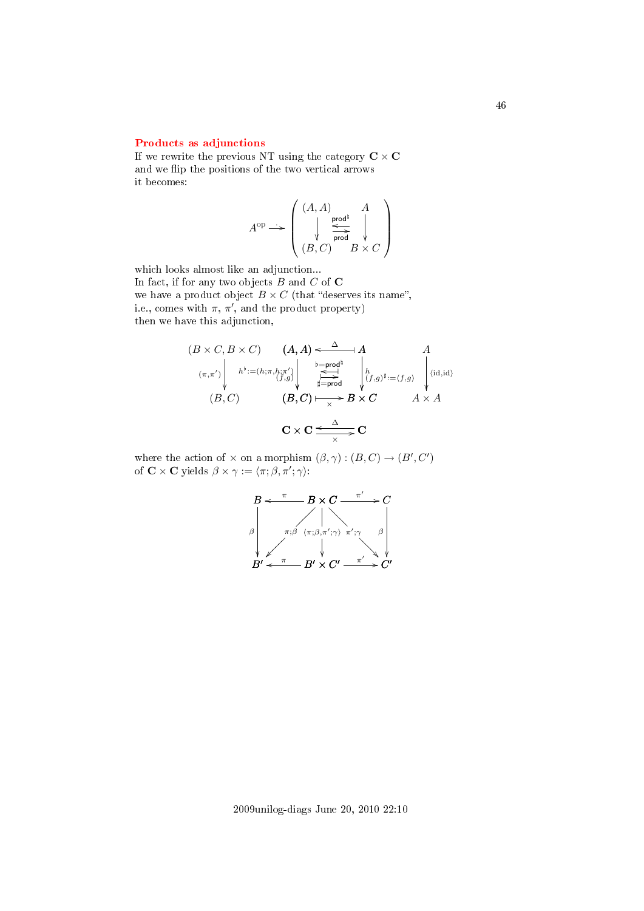# [Products as adjunctions](#page-2-7)

If we rewrite the previous NT using the category  $C \times C$ and we flip the positions of the two vertical arrows it becomes:

$$
A^{\rm op} \longrightarrow \left( \begin{array}{c} (A, A) & A \\ \downarrow & \xrightarrow{\text{prod} \\ \text{prod} \\ (B, C) & B \times C \end{array} \right)
$$

which looks almost like an adjunction... In fact, if for any two objects  $B$  and  $C$  of  $C$ we have a product object  $B \times C$  (that "deserves its name", i.e., comes with  $\pi$ ,  $\pi'$ , and the product property) then we have this adjunction,

$$
(B \times C, B \times C) \qquad (A, A) \leftarrow \Delta A
$$
  
\n
$$
(\pi, \pi') \left\| h^{\flat} := (h; \pi, h; \pi') \right\|_{\substack{\substack{b = \text{prod}^d \\ \text{if } b = \text{prod}^d \\ \text{if } b = \text{prod}^d \\ \text{if } b \text{ if } b = \text{prod}^d \\ \text{if } b \text{ if } b = \text{prod}^d \\ \text{if } b \text{ if } b = \text{if } b \text{ if } b = \text{if } b \text{ if } b = \text{if } b \text{ if } b = \text{if } b \text{ if } b = \text{if } b \text{ if } b = \text{if } b \text{ if } b = \text{if } b \text{ if } b = \text{if } b \text{ if } b = \text{if } b \text{ if } b = \text{if } b \text{ if } b = \text{if } b \text{ if } b = \text{if } b \text{ if } b = \text{if } b \text{ if } b = \text{if } b \text{ if } b = \text{if } b \text{ if } b = \text{if } b \text{ if } b = \text{if } b \text{ if } b = \text{if } b \text{ if } b = \text{if } b \text{ if } b = \text{if } b \text{ if } b = \text{if } b \text{ if } b = \text{if } b \text{ if } b = \text{if } b \text{ if } b = \text{if } b \text{ if } b = \text{if } b \text{ if } b = \text{if } b \text{ if } b = \text{if } b \text{ if } b = \text{if } b \text{ if } b = \text{if } b \text{ if } b = \text{if } b \text{ if } b = \text{if } b \text{ if } b = \text{if } b \text{ if } b = \text{if } b \text{ if } b = \text{if } b \text{ if } b = \text{if } b \text{ if } b \text{ if } b = \text{if } b \text{ if } b \text{ if } b = \text{if } b \text{ if } b \text{ if } b = \text{if } b \text{ if } b \text{ if } b \text{ if } b \text{ if } b \text{ if } b \text{ if } b \text{ if } b \text{ if } b \text{ if } b \text{ if } b \text{ if } b \text{ if } b \text{ if } b \text{ if } b
$$

where the action of  $\times$  on a morphism  $(\beta, \gamma) : (B, C) \to (B', C')$ of  $\mathbf{C} \times \mathbf{C}$  yields  $\beta \times \gamma := \langle \pi; \beta, \pi'; \gamma \rangle$ :

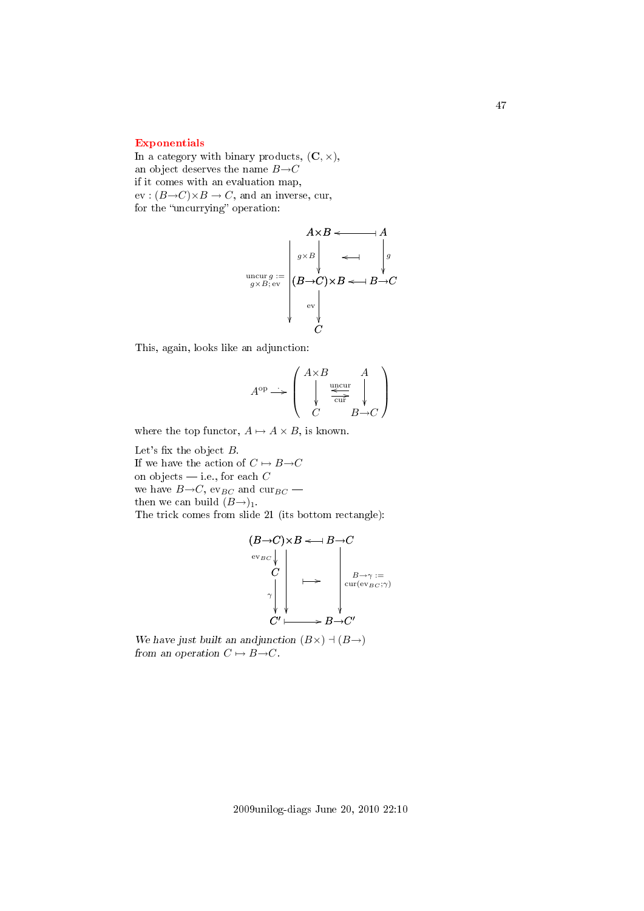# [Exponentials](#page-2-8)

In a category with binary products,  $(C, \times)$ , an object deserves the name  $B\rightarrow C$ if it comes with an evaluation map,  $ev : (B \rightarrow C) \times B \rightarrow C$ , and an inverse, cur, for the "uncurrying" operation:

$$
A \times B \longleftarrow A
$$
\n
$$
\begin{array}{c}\n\downarrow \\
\downarrow \\
\downarrow \\
\downarrow \\
\downarrow \\
\downarrow \\
\downarrow \\
\downarrow \\
C\n\end{array}
$$
\n
$$
AB \longleftarrow A
$$
\n
$$
\downarrow A
$$
\n
$$
\downarrow B
$$
\n
$$
\downarrow B
$$
\n
$$
\downarrow B
$$
\n
$$
\downarrow C
$$

This, again, looks like an adjunction:

$$
A^{\rm op} \longrightarrow \left( \begin{array}{c} A \times B & A \\ \downarrow & \xleftarrow{\text{uncur}} \\ C & B \rightarrow C \end{array} \right)
$$

where the top functor,  $A \mapsto A \times B$ , is known.

Let's fix the object  $B$ . If we have the action of  $C \mapsto B \rightarrow C$ on objects  $\frac{d}{dx}$  i.e., for each C we have  $B\rightarrow C$ , ev<sub>BC</sub> and cur<sub>BC</sub> – then we can build  $(B\rightarrow)_{1}$ . The trick comes from slide 21 (its bottom rectangle):

$$
(B\to C)\times B \leftarrow B\to C
$$
  
\n
$$
\begin{array}{c}\nC \\
C \\
\downarrow \\
\downarrow \\
\downarrow \\
C'\downarrow \\
C'\downarrow\n\end{array}\n\mapsto\n\begin{array}{c}\nB\to C \\
\downarrow \\
\downarrow \\
\downarrow \\
\downarrow \\
\downarrow \\
\downarrow \\
C'\downarrow\n\end{array}
$$

We have just built an andjunction  $(B\times) \dashv (B\rightarrow)$ from an operation  $C \mapsto B \rightarrow C$ .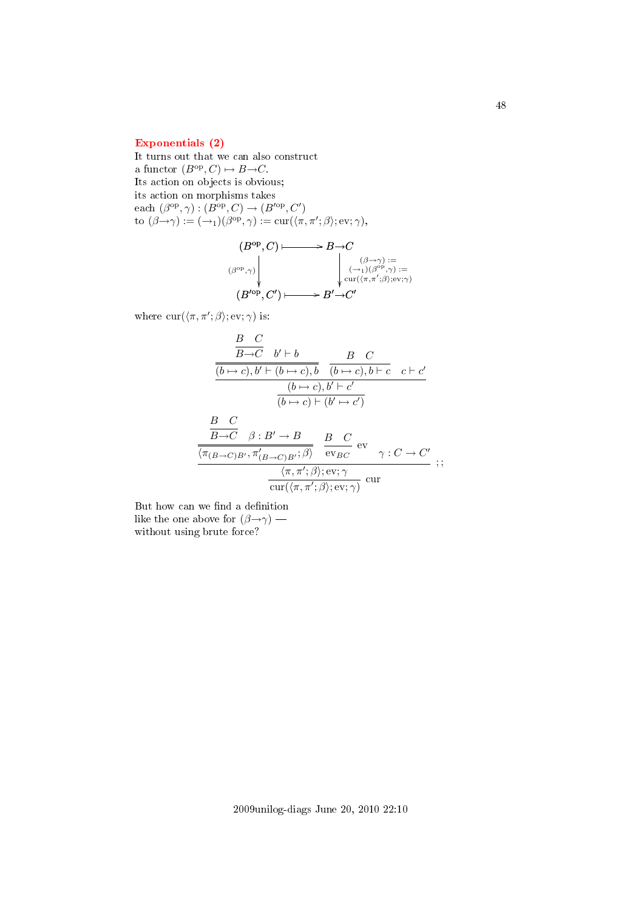# [Exponentials \(2\)](#page-2-9)

It turns out that we can also construct a functor  $(B^{\text{op}}, C) \mapsto B \rightarrow C$ . Its action on objects is obvious; its action on morphisms takes each  $(\beta^{\rm op}, \gamma) : (B^{\rm op}, C) \to (B'^{\rm op}, C')$ to  $(\beta \rightarrow \gamma) := (\rightarrow_1)(\beta^{\text{op}}, \gamma) := \text{cur}(\langle \pi, \pi'; \beta \rangle; \text{ev}; \gamma),$ 

$$
(B^{\mathrm{op}}, C) \longmapsto B \to C
$$
  

$$
(\beta^{\mathrm{op}}, \gamma) \downarrow \qquad \qquad \downarrow \qquad \qquad \downarrow \qquad \qquad (\beta \to \gamma) :=
$$
  

$$
(B'^{\mathrm{op}}, C') \longmapsto B' \to C'
$$
  

$$
(B'^{\mathrm{op}}, C') \longmapsto B' \to C'
$$

where  $\text{cur}(\langle \pi, \pi'; \beta \rangle; \text{ev}; \gamma)$  is:

$$
\frac{B \ C}{\frac{(b \rightarrow c), b' \vdash (b \rightarrow c), b}{(b \rightarrow c), b' \vdash (b \rightarrow c), b \vdash c} \quad c \vdash c'}{\frac{(b \rightarrow c), b' \vdash c'}{\frac{(b \rightarrow c), b' \vdash c'}}}{\frac{(b \rightarrow c) \vdash (b' \rightarrow c')}{(b \rightarrow c) \vdash (b' \rightarrow c')}
$$
\n
$$
\frac{B \ C}{\frac{B \rightarrow C}{\langle \pi_{(B \rightarrow C)B'}, \pi'_{(B \rightarrow C)B'}; \beta \rangle}} \quad \frac{B \ C}{\text{ev}_{BC}} \text{ev}_{\gamma : C \rightarrow C'} \quad ;\newline \frac{\langle \pi, \pi'; \beta \rangle; \text{ev}; \gamma}{\text{cur}(\langle \pi, \pi'; \beta \rangle; \text{ev}; \gamma)} \text{cur}
$$

But how can we find a definition like the one above for  $(\beta \rightarrow \gamma)$  without using brute force?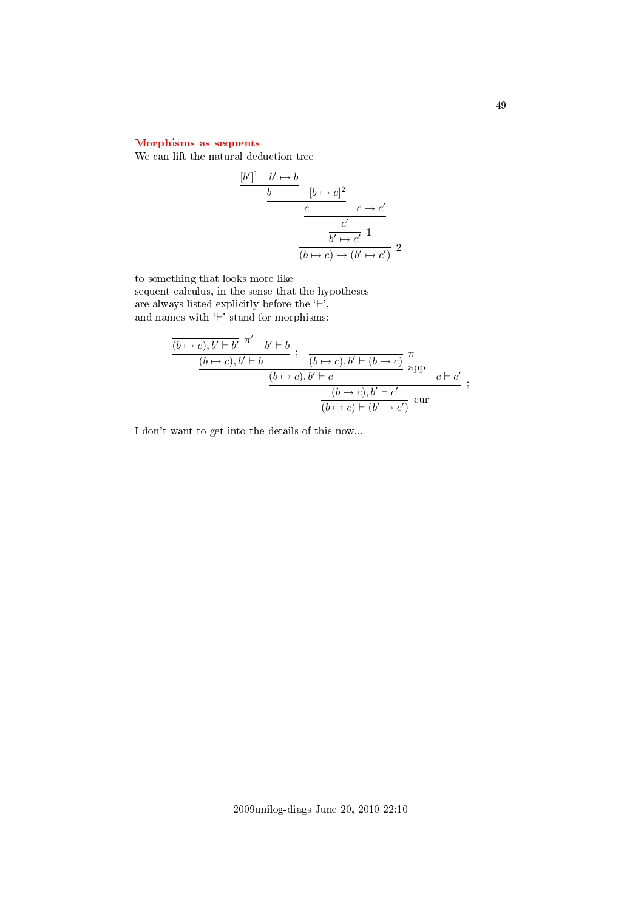# [Morphisms as sequents](#page-2-10)

We can lift the natural deduction tree

$$
\frac{[b']^1 \quad b' \mapsto b}{b} \qquad [b \mapsto c]^2
$$
\n
$$
\frac{c}{\frac{c'}{b' \mapsto c'}} \qquad 1
$$
\n
$$
\frac{b' \mapsto c'}{(b \mapsto c) \mapsto (b' \mapsto c')} \qquad 2
$$

to something that looks more like

sequent calculus, in the sense that the hypotheses are always listed explicitly before the  $\leftrightarrow$ , and names with  $\sum_{i=1}^{n} \frac{1}{i}$  stand for morphisms:

$$
\frac{\overline{(b \mapsto c), b' \vdash b'} \stackrel{\pi'}{\cdots} b' \vdash b}{\frac{(b \mapsto c), b' \vdash b}{\frac{(b \mapsto c), b' \vdash c}{\cdots}} \cdot \frac{\pi}{\text{app}} \cdot c \vdash c'}{\frac{(b \mapsto c), b' \vdash c}{\frac{(b \mapsto c), b' \vdash c'}{\cdots}} \cdot \frac{\pi}{\frac{(b \mapsto c) \vdash (b' \mapsto c')}{\cdots}} \cdot \frac{\pi}{\cdots}};
$$

I don't want to get into the details of this now...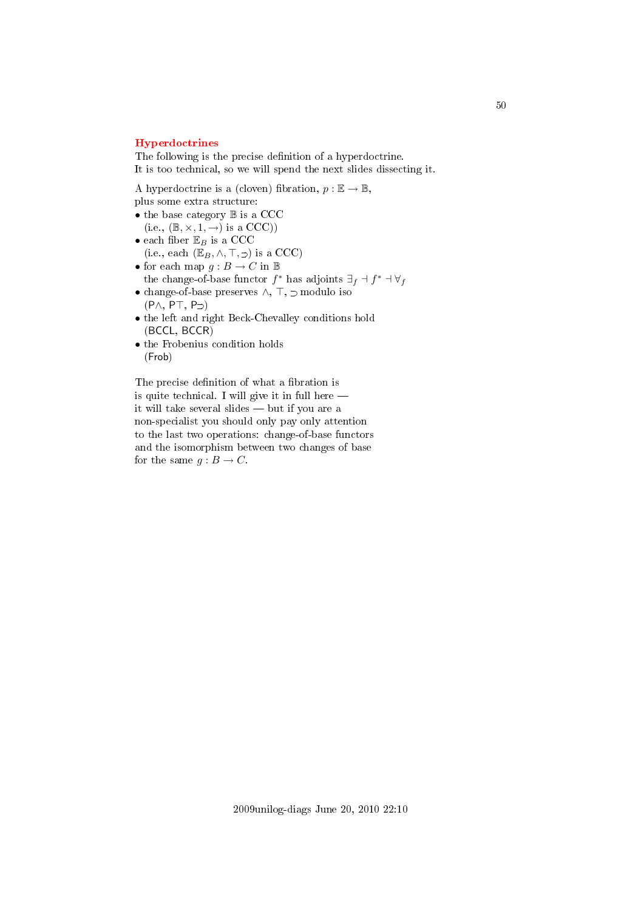#### [Hyperdoctrines](#page-2-11)

The following is the precise definition of a hyperdoctrine. It is too technical, so we will spend the next slides dissecting it.

A hyperdoctrine is a (cloven) fibration,  $p : \mathbb{E} \to \mathbb{B}$ ,

plus some extra structure:

- the base category  $\mathbb B$  is a CCC  $(i.e., (\mathbb{B}, \times, 1, \rightarrow)$  is a CCC))
- $\bullet$ each fiber $\mathbb{E}_B$  is a CCC (i.e., each  $(\mathbb{E}_B, \wedge, \top, \supset)$  is a CCC)
- $\bullet$  for each map  $g : B \rightarrow C$  in  $\mathbb B$ the change-of-base functor  $f^*$  has adjoints  $\exists_f \dashv f^* \dashv \forall_f$
- $\bullet$  change-of-base preserves  $\land,~\top,~\supset$  modulo iso  $(P \wedge, P \top, P \supset)$
- the left and right Beck-Chevalley conditions hold (BCCL, BCCR)
- the Frobenius condition holds (Frob)

The precise definition of what a fibration is is quite technical. I will give it in full here it will take several slides  $-$  but if you are a non-specialist you should only pay only attention to the last two operations: change-of-base functors and the isomorphism between two changes of base for the same  $g : B \to C$ .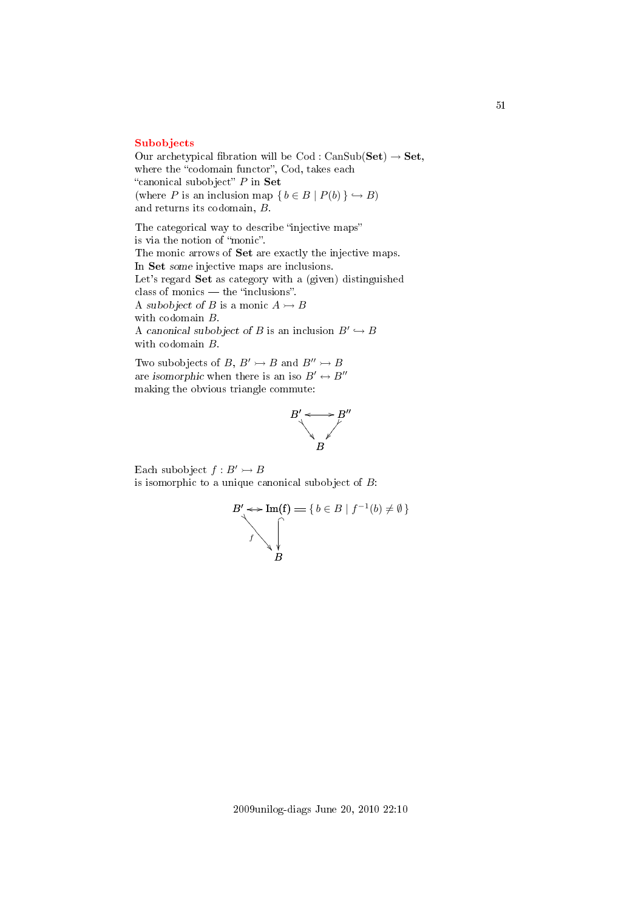#### [Subobjects](#page-2-12)

Our archetypical fibration will be  $\text{Cod}: \text{CanSub}(\textbf{Set}) \rightarrow \textbf{Set},$ where the "codomain functor", Cod, takes each "canonical subobject"  $P$  in  $\mathbf{Set}$ (where P is an inclusion map  $\{ b \in B \mid P(b) \} \hookrightarrow B$ ) and returns its codomain, B.

The categorical way to describe "injective maps" is via the notion of "monic". The monic arrows of Set are exactly the injective maps. In Set some injective maps are inclusions. Let's regard Set as category with a (given) distinguished class of monics — the "inclusions". A subobject of B is a monic  $A \rightarrow B$ with codomain B. A canonical subobject of B is an inclusion  $B' \hookrightarrow B$ with codomain B.

Two subobjects of B,  $B' \rightarrow B$  and  $B'' \rightarrow B$ are isomorphic when there is an iso  $B' \leftrightarrow B''$ making the obvious triangle commute:



Each subobject  $f : B' \rightarrow B$ is isomorphic to a unique canonical subobject of  $B$ :

$$
B' \leftrightarrow \text{Im}(\mathbf{f}) = \{ b \in B \mid f^{-1}(b) \neq \emptyset \}
$$
  

$$
f \qquad \qquad \downarrow
$$
  

$$
B
$$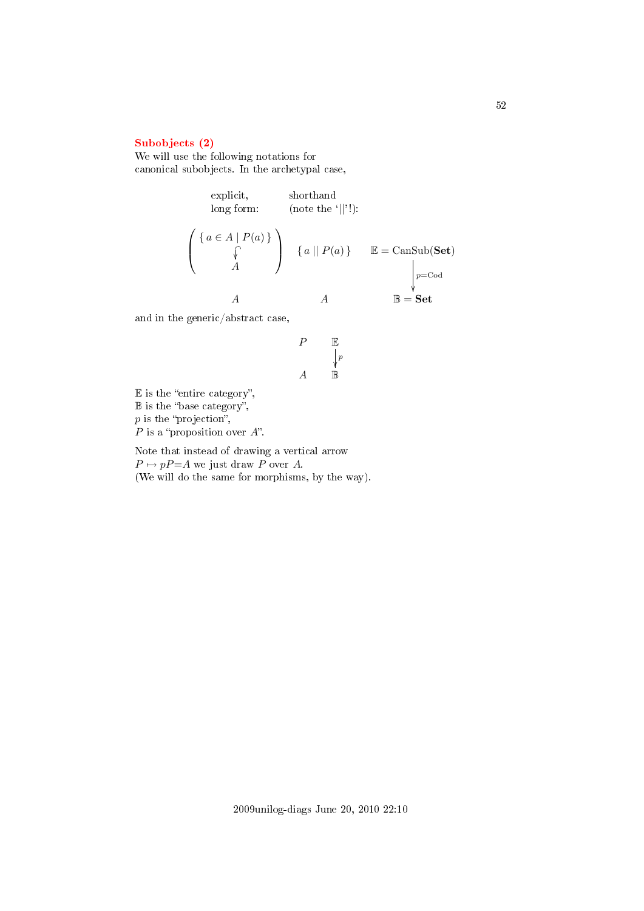# [Subobjects \(2\)](#page-2-13)

We will use the following notations for canonical subobjects. In the archetypal case,

explicit,  
\nlong form:  
\n
$$
\left\{\n\begin{array}{ccc}\n\{a \in A \mid P(a)\} \\
\uparrow \\
A\n\end{array}\n\right\}\n\quad\n\left\{\n\begin{array}{ccc}\na \mid\mid P(a)\n\end{array}\n\right\}\n\quad\n\mathbb{E} = \text{CanSub}(\mathbf{Set})
$$
\n
$$
\downarrow_{p=\text{Cod}}^{p=\text{Cod}}
$$
\n
$$
A\n\quad\nA\n\quad\n\mathbb{B} = \mathbf{Set}
$$

and in the generic/abstract case,

$$
\begin{array}{ccc}\nP & \mathbb{E} \\
& \downarrow^p \\
A & \mathbb{B}\n\end{array}
$$

 $E$  is the "entire category",  $\mathbb B$  is the "base category",  $p$  is the "projection",  $P$  is a "proposition over  $A$ ".

Note that instead of drawing a vertical arrow  $P \mapsto pP = A$  we just draw P over A. (We will do the same for morphisms, by the way).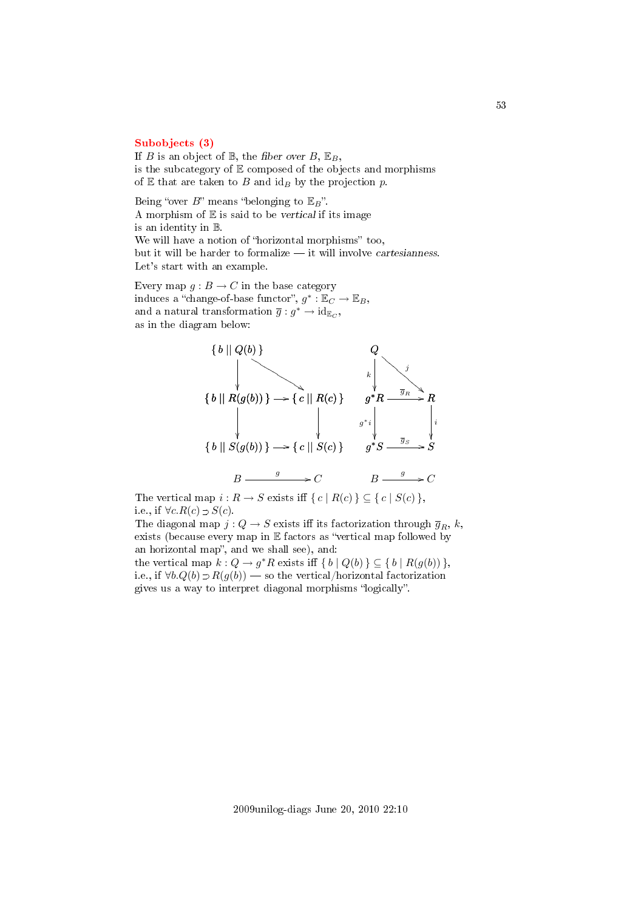#### [Subobjects \(3\)](#page-2-14)

If B is an object of  $\mathbb{B}$ , the fiber over B,  $\mathbb{E}_B$ , is the subcategory of  $E$  composed of the objects and morphisms of  $E$  that are taken to  $B$  and  $id_B$  by the projection  $p$ .

Being "over  $B$ " means "belonging to  $\mathbb{E}_{B}$ ". A morphism of  $E$  is said to be vertical if its image is an identity in B. We will have a notion of "horizontal morphisms" too, but it will be harder to formalize  $-$  it will involve cartesianness. Let's start with an example.

Every map  $g : B \to C$  in the base category induces a "change-of-base functor",  $g^* : \mathbb{E}_C \to \mathbb{E}_B$ , and a natural transformation  $\overline{g}: g^* \to id_{\mathbb{E}_C}$ , as in the diagram below:



The vertical map  $i : R \to S$  exists iff  $\{ c \mid R(c) \} \subseteq \{ c \mid S(c) \},\$ i.e., if  $\forall c. R(c) \supset S(c)$ .

The diagonal map  $j: Q \to S$  exists iff its factorization through  $\overline{g}_R$ , k, exists (because every map in  $E$  factors as "vertical map followed by an horizontal map", and we shall see), and:

the vertical map  $k: Q \to g^*R$  exists iff  $\{b \mid Q(b)\} \subseteq \{b \mid R(g(b))\},$ i.e., if  $\forall b. Q(b) \supset R(g(b))$  — so the vertical/horizontal factorization gives us a way to interpret diagonal morphisms "logically".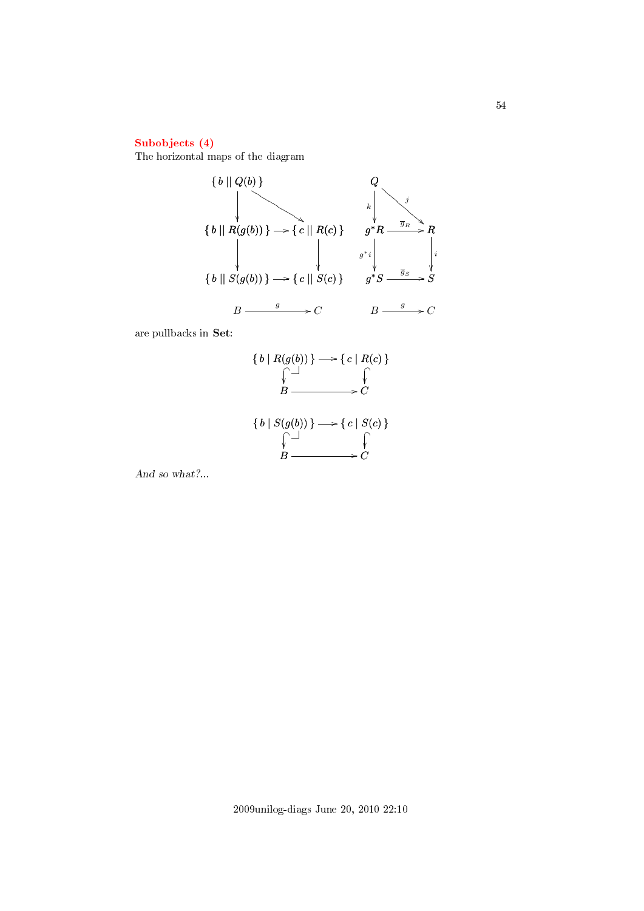# [Subobjects \(4\)](#page-2-15)

The horizontal maps of the diagram



are pullbacks in Set:

$$
\{b \mid R(g(b))\} \longrightarrow \{c \mid R(c)\}\
$$
  

$$
\downarrow \qquad \qquad \downarrow
$$
  

$$
B \longrightarrow C
$$
  

$$
\{b \mid S(g(b))\} \longrightarrow \{c \mid S(c)\}\
$$
  

$$
\downarrow \qquad \qquad \downarrow
$$
  

$$
B \longrightarrow C
$$

And so what?...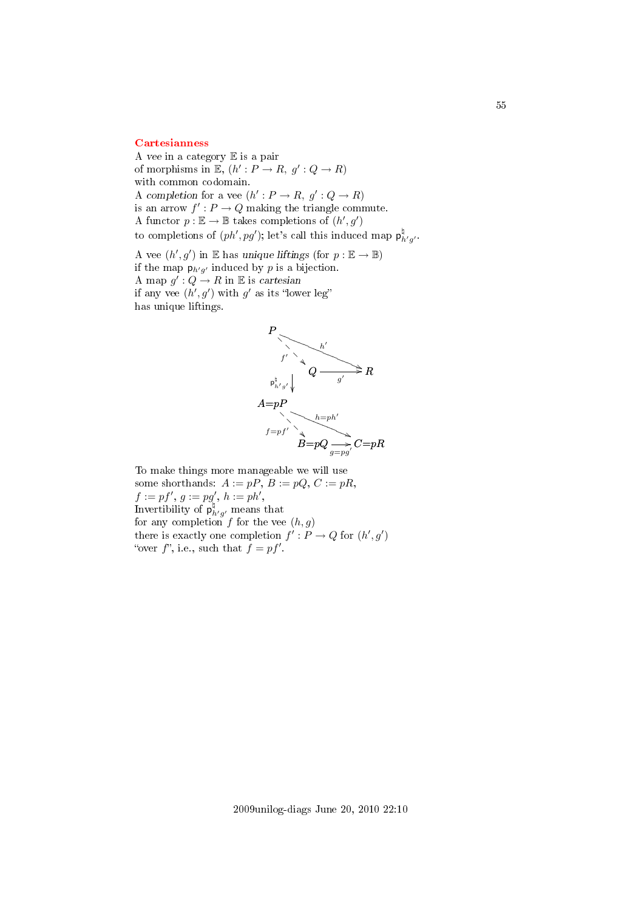#### **[Cartesianness](#page-2-16)**

A vee in a category E is a pair of morphisms in  $\mathbb{E}, (h': P \to R, g': Q \to R)$ with common codomain. A completion for a vee  $(h': P \to R, g': Q \to R)$ is an arrow  $f': P \to Q$  making the triangle commute. A functor  $p : \mathbb{E} \to \mathbb{B}$  takes completions of  $(h', g')$ to completions of  $(ph', pg')$ ; let's call this induced map  $p^{\nmid}_{h'g'}$ .

A vee  $(h', g')$  in E has unique liftings (for  $p : \mathbb{E} \to \mathbb{B}$ ) if the map  $p_{h'g'}$  induced by p is a bijection. A map  $g': Q \to R$  in E is cartesian if any vee  $(h', g')$  with g' as its "lower leg" has unique liftings.



To make things more manageable we will use some shorthands:  $A := pP$ ,  $B := pQ$ ,  $C := pR$ ,  $f := pf', g := pg', h := ph',$ Invertibility of  $p^{\natural}_{h'g'}$  means that for any completion f for the vee  $(h, g)$ there is exactly one completion  $f': P \to Q$  for  $(h', g')$ "over  $f$ ", i.e., such that  $f = pf'$ .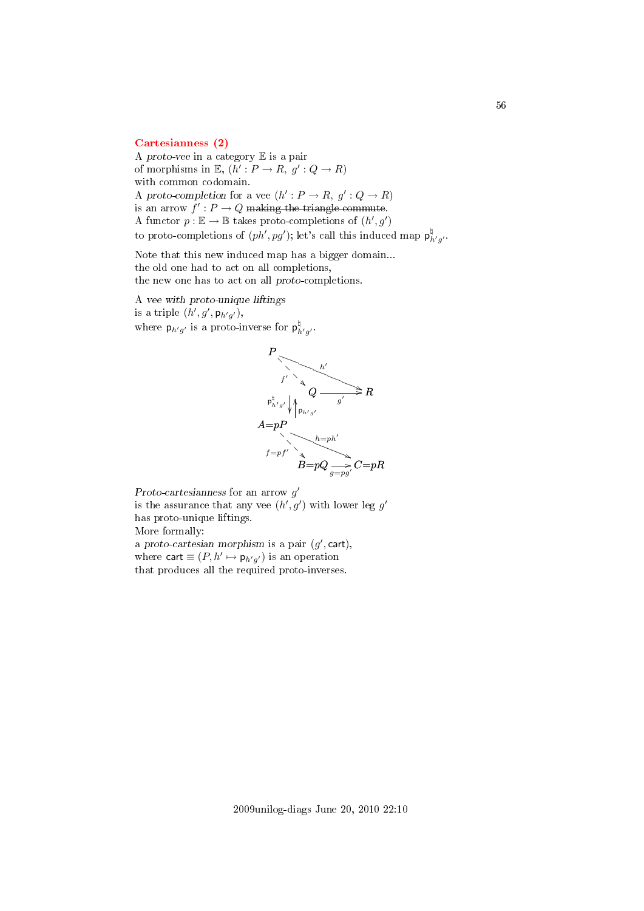#### [Cartesianness \(2\)](#page-2-17)

A proto-vee in a category E is a pair of morphisms in  $\mathbb{E}, (h': P \to R, g': Q \to R)$ with common codomain. A proto-completion for a vee  $(h': P \to R, g': Q \to R)$ is an arrow  $f' : P \to Q$  making the triangle commute. A functor  $p : \mathbb{E} \to \mathbb{B}$  takes proto-completions of  $(h', g')$ to proto-completions of  $(ph', pg')$ ; let's call this induced map  $\mathsf{p}^{\natural}_{h'g'}$ .

Note that this new induced map has a bigger domain... the old one had to act on all completions, the new one has to act on all proto-completions.

A vee with proto-unique liftings is a triple  $(h', g', \mathsf{p}_{h'g'})$ , where  $p_{h'g'}$  is a proto-inverse for  $p^{\nmid}_{h'g'}$ .



Proto-cartesianness for an arrow  $g'$ 

is the assurance that any vee  $(h', g')$  with lower leg g' has proto-unique liftings.

More formally:

a proto-cartesian morphism is a pair  $(g',$  cart), where cart  $\equiv (P, h' \mapsto p_{h'g'})$  is an operation that produces all the required proto-inverses.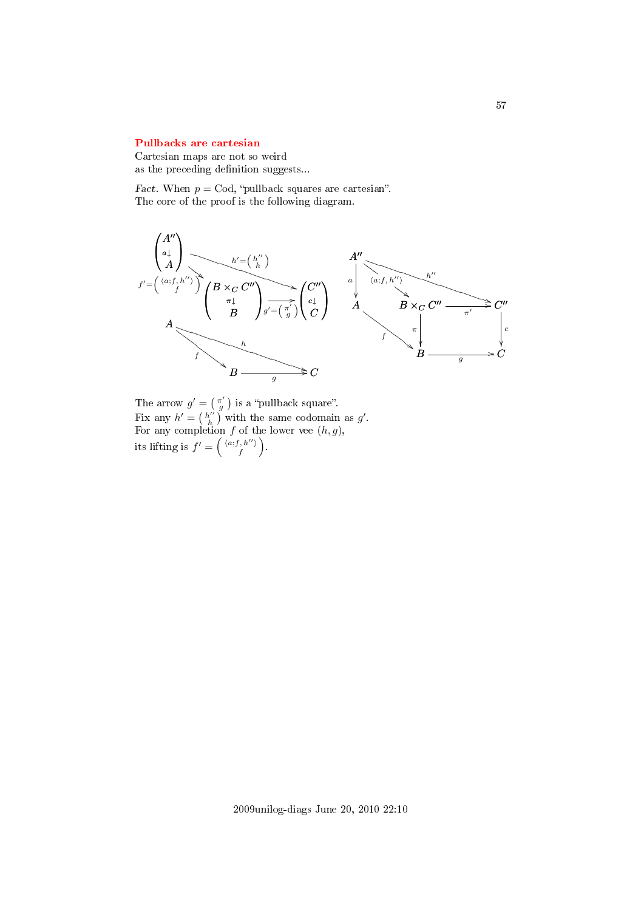#### [Pullbacks are cartesian](#page-2-18)

Cartesian maps are not so weird as the preceding definition suggests...

Fact. When  $p = \text{Cod}$ , "pullback squares are cartesian". The core of the proof is the following diagram.



The arrow  $g' = \begin{pmatrix} \pi' \\ g \end{pmatrix}$  is a "pullback square". Fix any  $h' = \left(\begin{array}{c} h'' \\ h \end{array}\right)$  with the same codomain as  $g'$ . For any completion f of the lower vee  $(h, g)$ , its lifting is  $f' = \left( \begin{smallmatrix} \langle a; f, h'' \rangle \\ f \end{smallmatrix} \right)$  $\left(\begin{array}{c} h^{\prime\prime}\rangle\ f^{\prime\prime} \end{array}\right).$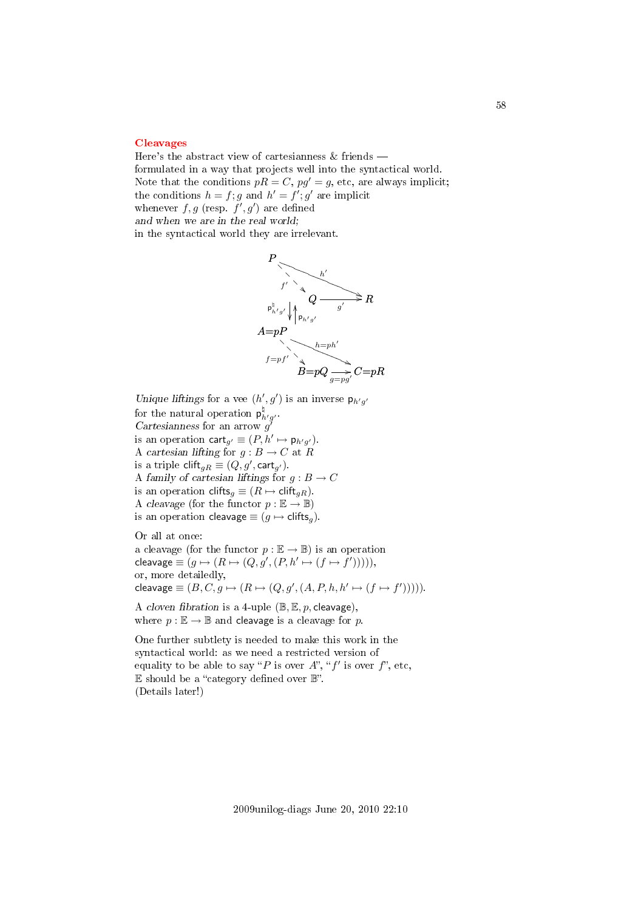#### [Cleavages](#page-2-19)

Here's the abstract view of cartesianness & friends formulated in a way that projects well into the syntactical world. Note that the conditions  $pR = C$ ,  $pg' = g$ , etc, are always implicit; the conditions  $h = f$ ; g and  $h' = f'$ ; g' are implicit whenever  $f, g$  (resp.  $f', g'$ ) are defined and when we are in the real world; in the syntactical world they are irrelevant.



Unique liftings for a vee  $(h', g')$  is an inverse  $p_{h'g'}$ for the natural operation  $p^{\natural}_{h'g'}$ . Cartesianness for an arrow  $g^{\prime}$ is an operation  $\text{cart}_{g'} \equiv (P, h' \mapsto \mathsf{p}_{h'g'}).$ A cartesian lifting for  $g : B \to C$  at R is a triple  $\text{clift}_{gR} \equiv (Q, g', \textsf{cart}_{g'}).$ A family of cartesian liftings for  $g: B \to C$ is an operation clifts<sub>g</sub>  $\equiv (R \mapsto \text{clift}_{gR})$ . A cleavage (for the functor  $p : \mathbb{E} \to \mathbb{B}$ ) is an operation cleavage  $\equiv (q \mapsto \text{clifts}_q)$ .

Or all at once: a cleavage (for the functor  $p : \mathbb{E} \to \mathbb{B}$ ) is an operation cleavage  $\equiv (g \mapsto (R \mapsto (Q, g', (P, h' \mapsto (f \mapsto f'))))),$ or, more detailedly, cleavage  $\equiv (B, C, g \mapsto (R \mapsto (Q, g', (A, P, h, h' \mapsto (f \mapsto f'))))).$ 

A cloven fibration is a 4-uple  $(\mathbb{B}, \mathbb{E}, p, \text{clearage})$ , where  $p : \mathbb{E} \to \mathbb{B}$  and cleavage is a cleavage for p.

One further subtlety is needed to make this work in the syntactical world: as we need a restricted version of equality to be able to say "P is over A", "f' is over f", etc,  $E$  should be a "category defined over  $\mathbb{B}$ ". (Details later!)

58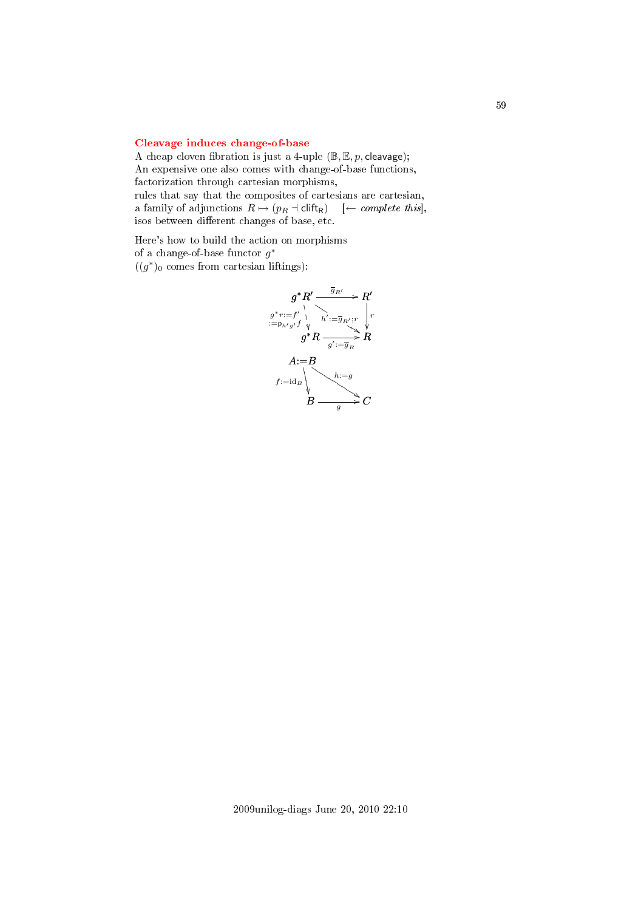## [Cleavage induces change-of-base](#page-2-20)

A cheap cloven fibration is just a 4-uple  $(\mathbb{B}, \mathbb{E}, p$ , cleavage); An expensive one also comes with change-of-base functions, factorization through cartesian morphisms,

rules that say that the composites of cartesians are cartesian, a family of adjunctions  $R \mapsto (p_R + \text{clift}_R)$  [← *complete this*], isos between different changes of base, etc.

Here's how to build the action on morphisms of a change-of-base functor  $g^*$  $((g^*)_0$  comes from cartesian liftings):

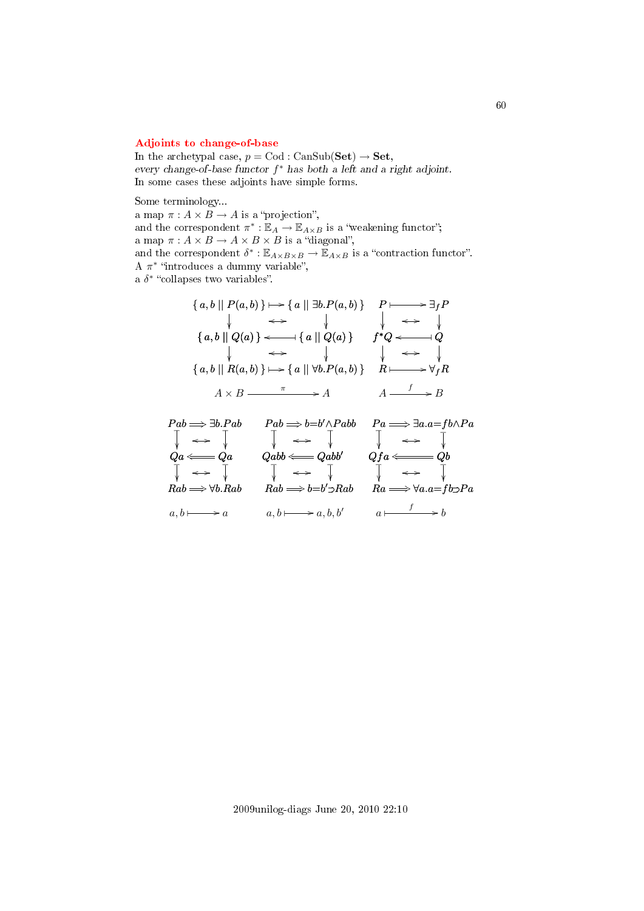# [Adjoints to change-of-base](#page-2-21)

In the archetypal case,  $p = \text{Cod} : \text{CanSub}(\textbf{Set}) \rightarrow \textbf{Set},$ every change-of-base functor  $f^*$  has both a left and a right adjoint. In some cases these adjoints have simple forms.

Some terminology...

a map  $\pi : A \times B \to A$  is a "projection", and the correspondent  $\pi^*: \mathbb{E}_A \to \mathbb{E}_{A \times B}$  is a "weakening functor"; a map  $\pi: A \times B \rightarrow A \times B \times B$  is a "diagonal", and the correspondent  $\delta^* : \mathbb{E}_{A \times B \times B} \to \mathbb{E}_{A \times B}$  is a "contraction functor". A  $\pi^*$  "introduces a dummy variable", a  $\delta^*$  "collapses two variables".

$$
\{a, b \mid P(a, b)\} \longmapsto \{a \mid \exists b.P(a, b)\} \quad P \longmapsto \exists_f P
$$
\n
$$
\downarrow \iff \qquad \qquad \downarrow \qquad \iff \qquad \downarrow
$$
\n
$$
\{a, b \mid Q(a)\} \iff \{a \mid Q(a)\} \quad f^*Q \iff \qquad \downarrow Q
$$
\n
$$
\downarrow \qquad \iff \qquad \qquad \downarrow \qquad \iff \qquad \downarrow
$$
\n
$$
\{a, b \mid R(a, b)\} \longmapsto \{a \mid \forall b.P(a, b)\} \quad R \longmapsto \forall_f R
$$
\n
$$
A \times B \xrightarrow{\pi} A \qquad A \xrightarrow{f} B
$$

$$
\begin{array}{ccc}\nPab \Longrightarrow \exists b.Pab & Pab \Longrightarrow b=b' \land Pabb & Pa \Longrightarrow \exists a.a = fb \land Pa \\
\downarrow & \longleftrightarrow & \downarrow & \downarrow & \longleftrightarrow & \downarrow \\
Qa \Longleftarrow & Qa & Qabb \Longleftarrow & Qabb & Qfa \Longleftarrow & Qb \\
\downarrow & \longleftrightarrow & \downarrow & \downarrow & \longleftrightarrow & \downarrow \\
Rab \Longrightarrow \forall b.Rab & Rab \Longrightarrow b=b' \supset Rab & Ra \Longrightarrow \forall a.a = fb \supset Pa \\
a, b \longmapsto a & a, b \longmapsto a, b, b' & a \longmapsto b\n\end{array}
$$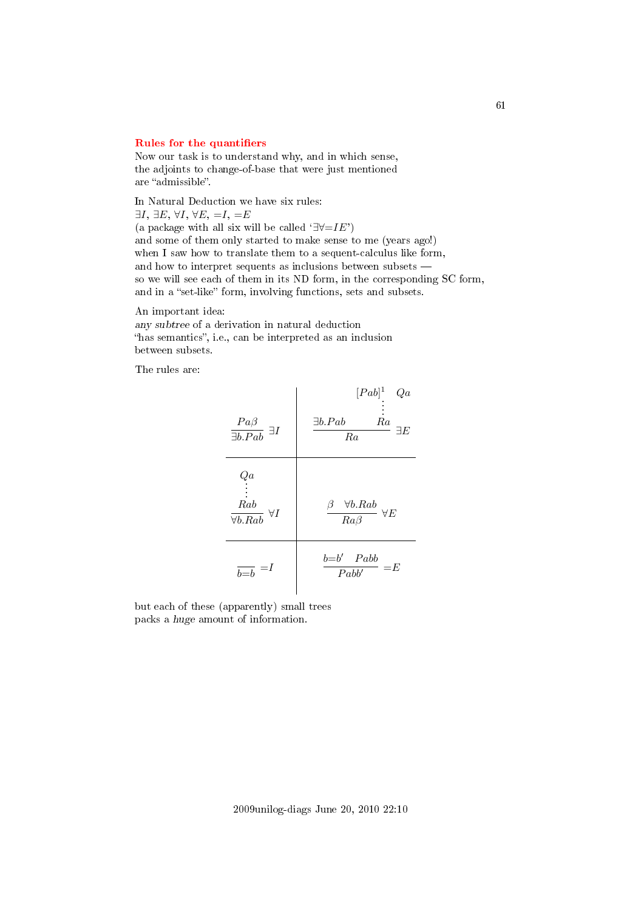#### Rules for the quantifiers

Now our task is to understand why, and in which sense, the adjoints to change-of-base that were just mentioned are "admissible".

In Natural Deduction we have six rules:  $\exists I, \exists E, \forall I, \forall E, =I, =E$ (a package with all six will be called  $\exists \forall = I E'$ ) and some of them only started to make sense to me (years ago!) when I saw how to translate them to a sequent-calculus like form, and how to interpret sequents as inclusions between subsets so we will see each of them in its ND form, in the corresponding SC form, and in a "set-like" form, involving functions, sets and subsets.

An important idea: any subtree of a derivation in natural deduction "has semantics", i.e., can be interpreted as an inclusion between subsets.

The rules are:



but each of these (apparently) small trees packs a huge amount of information.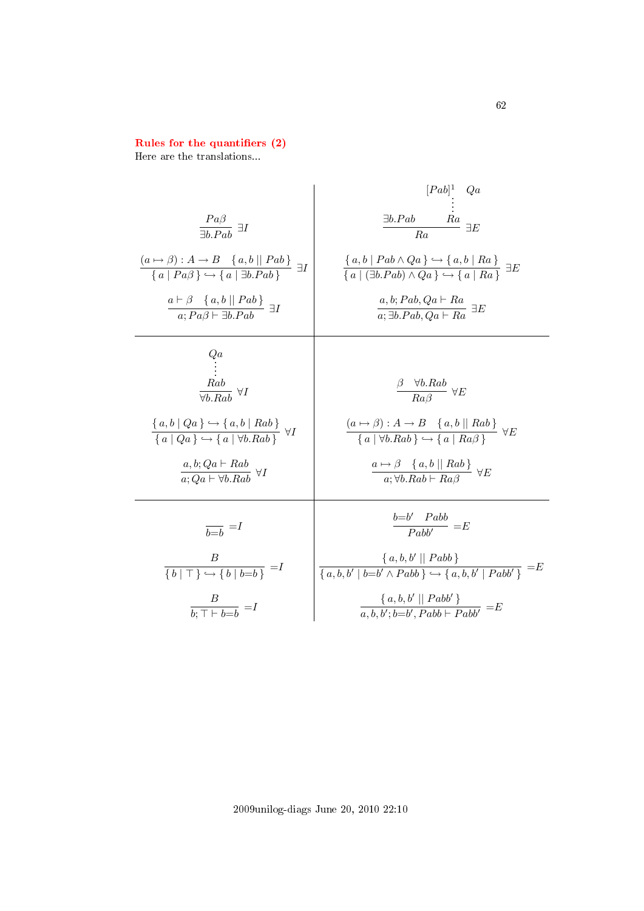## Rules for the quantifiers (2)

Here are the translations...

$$
\begin{array}{c|c|c}\n & \frac{Pa\beta}{\exists b.Pab} & \exists I & \frac{\exists b.Pab & Ra}{Ra} & \frac{\exists c}{\exists b.Pab} \\
 & \frac{(a \rightarrow \beta) : A \rightarrow B \{a, b \mid Pab \}}{\{a \mid Pa\beta\} \rightarrow \{a \mid \exists b.Pab \}} & \exists I & \frac{\{a, b \mid Pab \land Qa\} \rightarrow \{a, b \mid Ra\}}{\{a \mid (\exists b.Pab \land Qa) \rightarrow \{a \mid Ra\}} \exists E \\
 & \frac{a \vdash \beta \{a, b \mid Pab \}}{a; Pa\beta \vdash \exists b.Pab} & \exists I & \frac{a, b; Pab, Qa \vdash Ra}{a; \exists b.Pab, Qa \vdash Ra} \exists E \\
 & \frac{Rab}{\forall b.Rab} & \forall I & \frac{\beta \quad \forall b.Rab}{Ra\beta} \quad \forall E \\
 & \frac{\{a, b \mid Qa\} \rightarrow \{a, b \mid Rab\}}{\{a \mid Qa\} \rightarrow \{a \mid \forall b.Rab \}} & \forall I & \frac{(a \rightarrow \beta) : A \rightarrow B \{a, b \mid Rab\}}{\{a \mid \forall b.Rab \}} \quad \forall E \\
 & \frac{a, b; Qa \vdash Ra}{a; Qa \vdash \forall b.Rab} & \forall I & \frac{a \mapsto \beta \{a, b \mid Rab\}}{\{a \mid \forall b.Rab \vdash Ra\}} \quad \forall E \\
 & \frac{B}{b \rightarrow b} = I & \frac{b = b' \quad Pabb}{Pabb} = E \\
 & \frac{B}{\{b \mid T\} \rightarrow \{b \mid b = b\}} = I & \frac{\{a, b, b' \mid \mid Pabb\}}{a, b, b' \mid b = b' \land Pabb} \rightarrow \{a, b, b' \mid Pabb' \}} = E \\
 & \frac{B}{b \rightarrow T \rightarrow B} = I & \frac{\{a, b, b' \mid Pabb\}}{a, b, b' \mid b = b' \land Pabb} \rightarrow \{a, b, b' \mid Pabb' \}} = E\n \end{array}
$$

2009unilog-diags June 20, 2010 22:10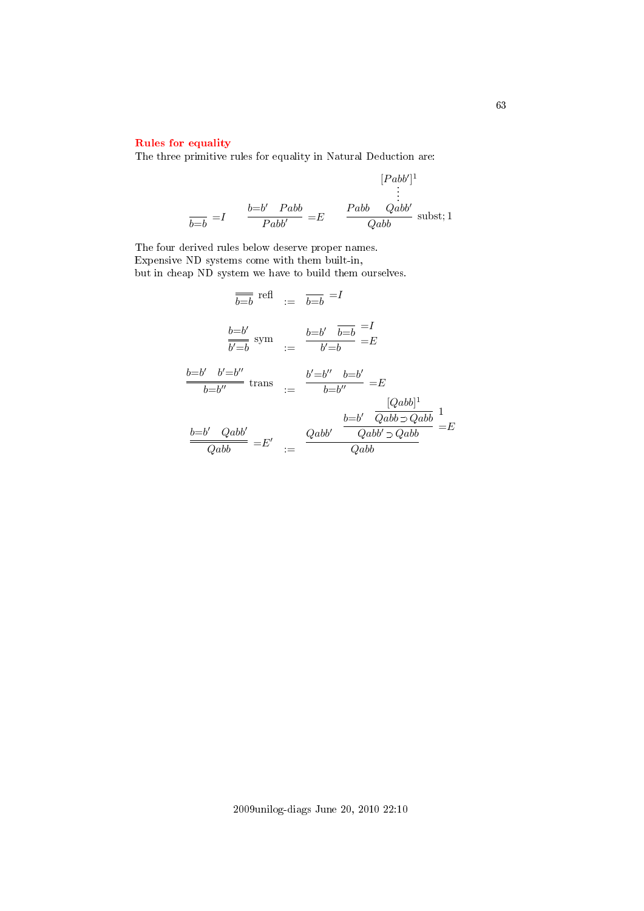# [Rules for equality](#page-2-24)

The three primitive rules for equality in Natural Deduction are:

$$
[Pabb']^{1}
$$
  

$$
\vdots
$$
  

$$
\frac{b=b'}{Pabb'} = E
$$
  

$$
\frac{Pabb}{Qabb} \text{subst}; 1
$$

The four derived rules below deserve proper names. Expensive ND systems come with them built-in, but in cheap ND system we have to build them ourselves.

$$
\overline{b=b} \text{ refl} := \overline{b=b} = I
$$
\n
$$
\frac{b=b'}{\overline{b'b}} \text{ sym} := \frac{b=b'}{b'b} = \frac{b=b'}{b'}
$$
\n
$$
\frac{b=b'}{b=b''} \text{ trans} := \frac{b' = b''}{b=b''} = E
$$
\n
$$
\frac{b=b'}{b=b''} \text{ trans} := \frac{b' = b''}{b=b''} = E
$$
\n
$$
\frac{[Qabb]^1}{Qabb} = E'
$$
\n
$$
\frac{b=b'}{Qabb} = E'
$$
\n
$$
\frac{Qabb'}{Qabb} = E
$$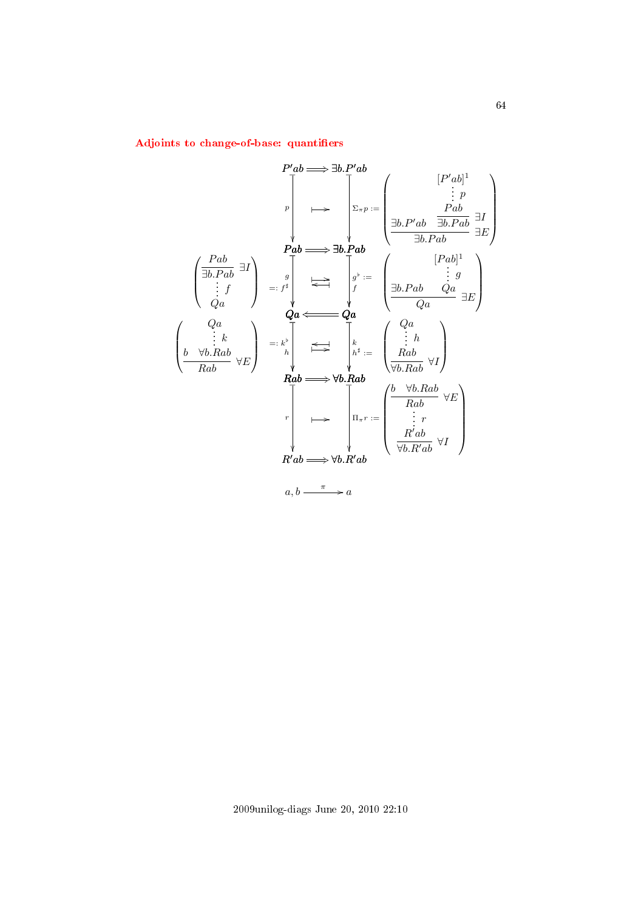Adjoints to change-of-base: quantifiers

$$
P'ab \implies \exists b. P'ab
$$
\n
$$
\downarrow \qquad \qquad \downarrow \qquad \qquad \downarrow \qquad \qquad [P'ab]^1
$$
\n
$$
\downarrow \qquad \qquad \downarrow \qquad \qquad [P'ab]^1
$$
\n
$$
\downarrow \qquad \qquad \downarrow \qquad \downarrow \qquad \qquad [P'ab]^1
$$
\n
$$
\downarrow \qquad \qquad \downarrow \qquad \downarrow \qquad \qquad [P'ab]^1
$$
\n
$$
\downarrow \qquad \downarrow \qquad \downarrow \qquad \downarrow \qquad \downarrow \qquad \downarrow \qquad \downarrow \qquad \downarrow \qquad \downarrow \qquad \downarrow \qquad \downarrow \qquad \downarrow \qquad \downarrow \qquad \downarrow \qquad \downarrow \qquad \downarrow \qquad \downarrow \qquad \downarrow \qquad \downarrow \qquad \downarrow \qquad \downarrow \qquad \downarrow \qquad \downarrow \qquad \downarrow \qquad \downarrow \qquad \downarrow \qquad \downarrow \qquad \downarrow \qquad \downarrow \qquad \downarrow \qquad \downarrow \qquad \downarrow \qquad \downarrow \qquad \downarrow \qquad \downarrow \qquad \downarrow \qquad \downarrow \qquad \downarrow \qquad \downarrow \qquad \downarrow \qquad \downarrow \qquad \downarrow \qquad \downarrow \qquad \downarrow \qquad \downarrow \qquad \downarrow \qquad \downarrow \qquad \downarrow \qquad \downarrow \qquad \downarrow \qquad \downarrow \qquad \downarrow \qquad \downarrow \qquad \downarrow \qquad \downarrow \qquad \downarrow \qquad \downarrow \qquad \downarrow \qquad \downarrow \qquad \downarrow \qquad \downarrow \qquad \downarrow \qquad \downarrow \qquad \downarrow \qquad \downarrow \qquad \downarrow \qquad \downarrow \qquad \downarrow \qquad \downarrow \qquad \downarrow \qquad \downarrow \qquad \downarrow \qquad \downarrow \qquad \downarrow \qquad \downarrow \qquad \downarrow \qquad \downarrow \qquad \downarrow \qquad \downarrow \qquad \downarrow \qquad \downarrow \qquad \downarrow \qquad \downarrow \qquad \downarrow \qquad \downarrow \qquad \downarrow \qquad \downarrow \qquad \downarrow \qquad \downarrow \qquad \downarrow \qquad \downarrow \qquad \downarrow \qquad \downarrow \qquad \downarrow \qquad \downarrow \qquad \downarrow \qquad \downarrow \qquad \down
$$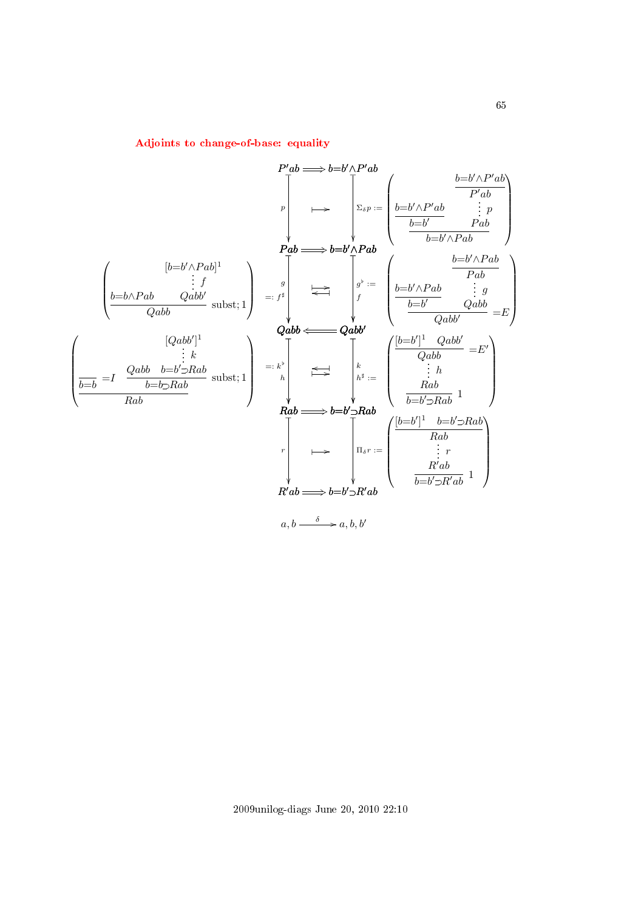$$
P'ab \longrightarrow b=b' \wedge P'ab
$$
\n
$$
\downarrow \qquad p \qquad \downarrow \qquad p \qquad \downarrow \qquad p \qquad \downarrow \qquad p \qquad \downarrow \qquad p \qquad \downarrow \qquad p \qquad \downarrow \qquad p \qquad \downarrow \qquad p \qquad \downarrow \qquad p \qquad \downarrow \qquad p \qquad \downarrow \qquad p \qquad \downarrow \qquad p \qquad \downarrow \qquad p \qquad \downarrow \qquad p \qquad \downarrow \qquad p \qquad \downarrow \qquad p \qquad \downarrow \qquad p \qquad \downarrow \qquad p \qquad \downarrow \qquad p \qquad \downarrow \qquad p \qquad \downarrow \qquad p \qquad \downarrow \qquad p \qquad \downarrow \qquad p \qquad \downarrow \qquad p \qquad \downarrow \qquad p \qquad \downarrow \qquad p \qquad \downarrow \qquad p \qquad \downarrow \qquad p \qquad \downarrow \qquad p \qquad \downarrow \qquad p \qquad \downarrow \qquad p \qquad \downarrow \qquad p \qquad \downarrow \qquad p \qquad \downarrow \qquad p \qquad \downarrow \qquad p \qquad \downarrow \qquad p \qquad \downarrow \qquad p \qquad \downarrow \qquad p \qquad \downarrow \qquad p \qquad \downarrow \qquad p \qquad \downarrow \qquad p \qquad \downarrow \qquad p \qquad \downarrow \qquad p \qquad \downarrow \qquad p \qquad \downarrow \qquad p \qquad \downarrow \qquad p \qquad \downarrow \qquad p \qquad \downarrow \qquad p \qquad \downarrow \qquad p \qquad \downarrow \qquad p \qquad \downarrow \qquad p \qquad \downarrow \qquad p \qquad \downarrow \qquad p \qquad \downarrow \qquad p \qquad \downarrow \qquad p \qquad \downarrow \qquad p \qquad \downarrow \qquad p \qquad \downarrow \qquad p \qquad \downarrow \qquad p \qquad \downarrow \qquad p \qquad \downarrow \qquad p \qquad \downarrow \qquad p \qquad \downarrow \qquad p \qquad \downarrow \qquad p \qquad \downarrow \qquad p \qquad \downarrow \qquad p \qquad \downarrow \qquad p \qquad \downarrow \qquad p \qquad \downarrow \qquad p \qquad \downarrow \qquad p \qquad \downarrow \qquad p \qquad \downarrow \qquad p \qquad \downarrow \qquad p \qquad \downarrow \qquad
$$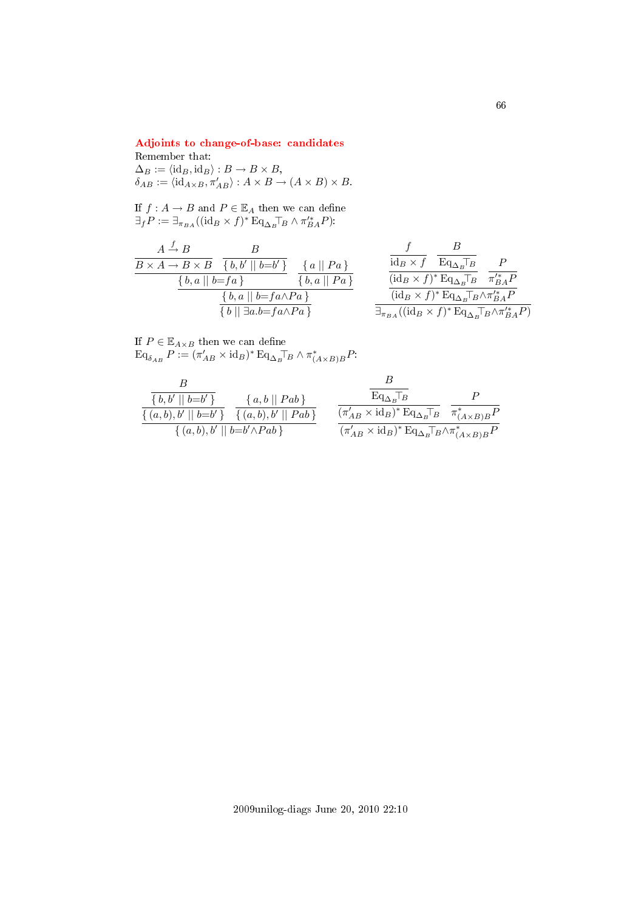# [Adjoints to change-of-base: candidates](#page-2-27)

# Remember that:  $\Delta_B := \langle \mathrm{id}_B, \mathrm{id}_B \rangle : B \to B \times B,$  $\delta_{AB} := \langle \mathrm{id}_{A \times B}, \pi'_{AB} \rangle : A \times B \to (A \times B) \times B.$

If  $f: A \to B$  and  $P \in \mathbb{E}_A$  then we can define  $\exists_f P := \exists_{\pi_{BA}} ((id_B \times f)^* \mathop{\mathrm{Eq}}\nolimits_{\Delta_B} \top_B \wedge \pi_{BA}^{\prime *} P).$ 

$$
\begin{array}{c|c|c} & A \xrightarrow{f} & B & B \\ \hline B \times A \to B \times B & \{b,b'\mid b=b'\} & \{a\mid\mid Pa\} & \text{if } \\ \hline & \{b,a\mid\mid b=fa\} & \{b,a\mid\mid Pa\} & \text{if } \\ \hline & \{b,a\mid\mid b=fa \land Pa\} & \text{if } \\ \hline & \{b\mid\mid \exists a.b = fa \land Pa\} & \text{if } \\ \hline \end{array} \hspace{1cm} \begin{array}{c} f & B \\ \hline \text{id}_B \times f & \overline{\text{Eq}_{\Delta_B} \top_B} & P \\ \hline & \text{id}_B \times f)^* \text{Eq}_{\Delta_B} \overline{\text{Eq}} & \pi_{BA}^{**} P \\ \hline & \text{id}_B \times f)^* \text{Eq}_{\Delta_B} \overline{\text{Eq}} \wedge \pi_{BA}^{**} P \\ \hline \exists_{\pi_{BA}} ((\text{id}_B \times f)^* \text{Eq}_{\Delta_B} \overline{\text{Eq}} \wedge \pi_{BA}^{**} P) \\ \end{array}
$$

If  $P \in \mathbb{E}_{A \times B}$  then we can define  $\operatorname{Eq}_{\delta_{AB}} P := (\pi'_{AB} \times \mathrm{id}_B)^* \operatorname{Eq}_{\Delta_B} \top_B \wedge \pi^*_{(A \times B)B} P$ 

$$
\frac{B}{\{b,b'\mid b=b'\}} \quad \frac{\{a,b\mid Pab\}}{\{(a,b),b'\mid b=b'\}} \quad \frac{\{a,b\mid Pab\}}{\{(a,b),b'\mid b=b'\}} \quad \frac{\overline{\text{Eq}_{\Delta_B}T_B}}{\{\pi'_{AB} \times \text{id}_B\}^* \text{Eq}_{\Delta_B}T_B} \quad \frac{P}{\pi^*_{(A \times B)B}P} \quad \frac{\{\pi^*_{(A \times B)B}B}{\{a,b\}\}^* \text{Eq}_{\Delta_B}T_B \times \pi^*_{(A \times B)B}P}}{\{\pi'_{AB} \times \text{id}_B\}^* \text{Eq}_{\Delta_B}T_B \times \pi^*_{(A \times B)B}P}
$$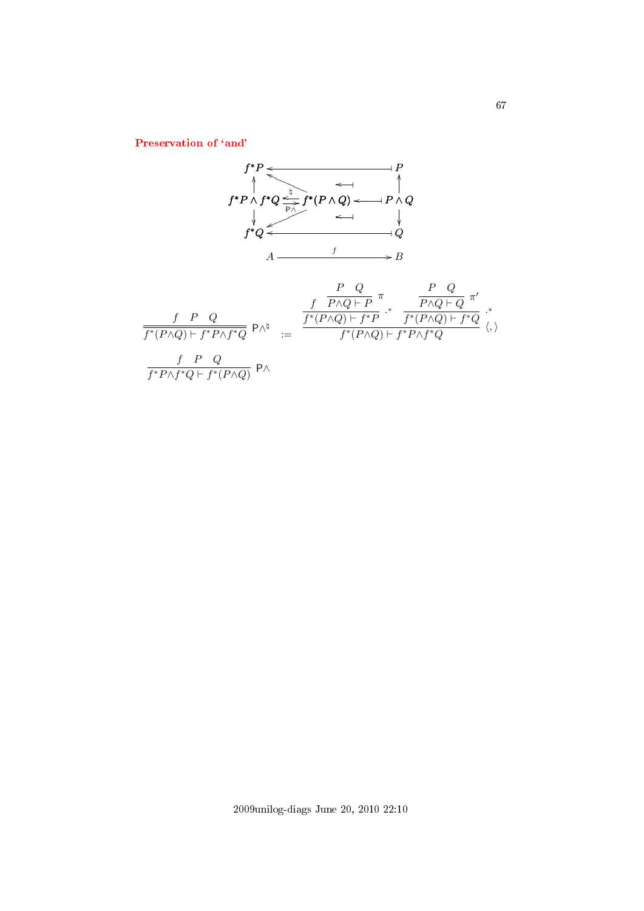Preservation of 'and'

$$
f^*P \leftarrow
$$
\n
$$
f^*P \wedge f^*Q \xrightarrow{\frac{h}{P} f^* (P \wedge Q) \longleftarrow P \wedge Q}
$$
\n
$$
f^*Q \xleftarrow{\qquad \qquad \downarrow \qquad \qquad \downarrow \qquad \qquad \downarrow}
$$
\n
$$
A \xrightarrow{\qquad \qquad f \qquad \qquad \downarrow \qquad \qquad \downarrow}
$$
\n
$$
B
$$
\n
$$
\frac{f}{f^*(P \wedge Q) \vdash f^* P \wedge f^* Q} P \wedge^{\frac{h}{h}} \xrightarrow{\qquad \qquad f^*(P \wedge Q) \vdash f^* P} \cdot^* \frac{P \wedge Q}{f^*(P \wedge Q) \vdash f^* Q} \xleftarrow{\qquad \qquad \downarrow \qquad \qquad \downarrow}
$$
\n
$$
\frac{f}{f^*(P \wedge Q) \vdash f^* P \wedge f^* Q} P \wedge^{\frac{h}{h}} \xleftarrow{\qquad \qquad f^*(P \wedge Q) \vdash f^* P \wedge f^* Q} \langle, \rangle
$$
\n
$$
\frac{f}{f^* P \wedge f^* Q \vdash f^*(P \wedge Q)} P \wedge
$$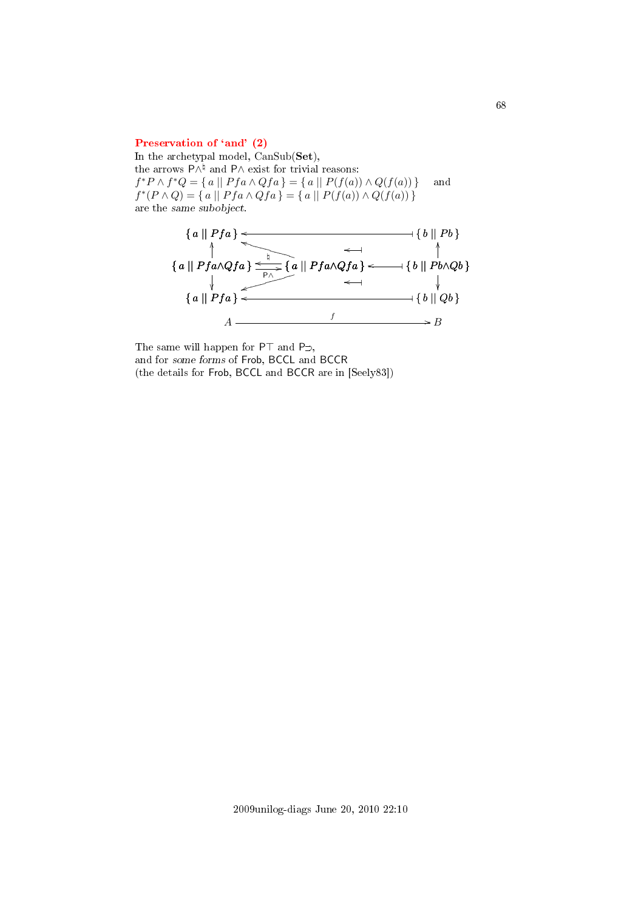#### Preservation of 'and' (2)

In the archetypal model, CanSub(Set), the arrows  $P \wedge^{\natural}$  and  $P \wedge$  exist for trivial reasons:  $f^*P \wedge f^*Q = \{ a \mid Pfa \wedge Qfa \} = \{ a \mid P(f(a)) \wedge Q(f(a)) \}$  and  $f^*(P \wedge Q) = \{ a \mid Pfa \wedge Qfa \} = \{ a \mid P(f(a)) \wedge Q(f(a)) \}$ are the same subobject.



The same will happen for  $PT$  and  $P\supset$ , and for some forms of Frob, BCCL and BCCR (the details for Frob, BCCL and BCCR are in [Seely83])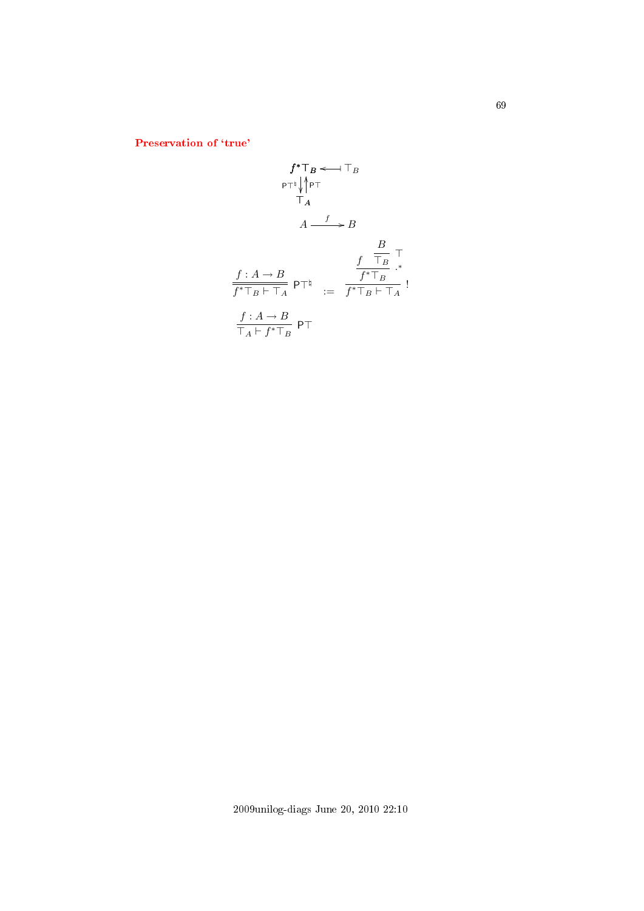Preservation of 'true'

$$
f^*T_B \leftarrow T_B
$$
\n
$$
\begin{array}{ccc}\n & & & \uparrow^* \uparrow^* & & \uparrow^* \\
 & & & \uparrow^* & & \uparrow^* \\
 & & & \uparrow^* & & \uparrow^* \\
 & & & A & \xrightarrow{f} & & \downarrow^* \\
 & & & A & \xrightarrow{f} & & \uparrow^* \\
 & & & & \uparrow^* \uparrow^* & & \uparrow^* \\
 & & & & \uparrow^* \uparrow^* & & \uparrow^* \\
 & & & & \uparrow^* \uparrow^* & & \uparrow^* \\
 & & & & \uparrow^* & & \uparrow^* \\
 & & & & \uparrow^* & & \uparrow^* \\
 & & & & \uparrow^* & & \uparrow^* & & \uparrow^* \\
 & & & & & \uparrow^* & & \uparrow^* \\
 & & & & & \uparrow^* & & \uparrow^* & & \uparrow^* \\
 & & & & & \uparrow^* & & & \uparrow^* & & \uparrow^* \\
 & & & & & & \uparrow^* & & & \uparrow^* & & \uparrow^* \\
 & & & & & & \uparrow^* & & & \uparrow^* & & \uparrow^* & & \uparrow^* & & \uparrow\n\end{array}
$$

2009unilog-diags June 20, 2010 22:10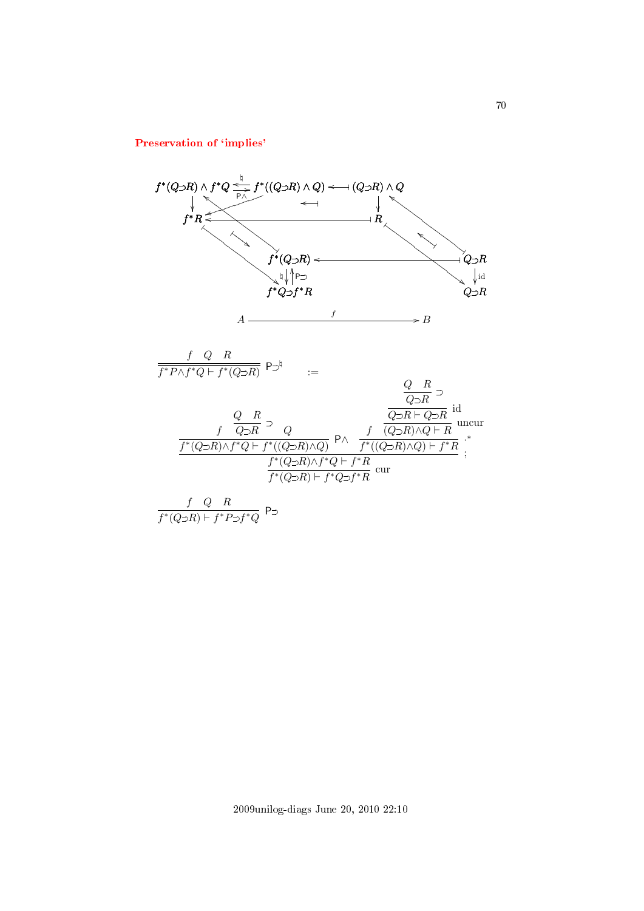# Preservation of 'implies'

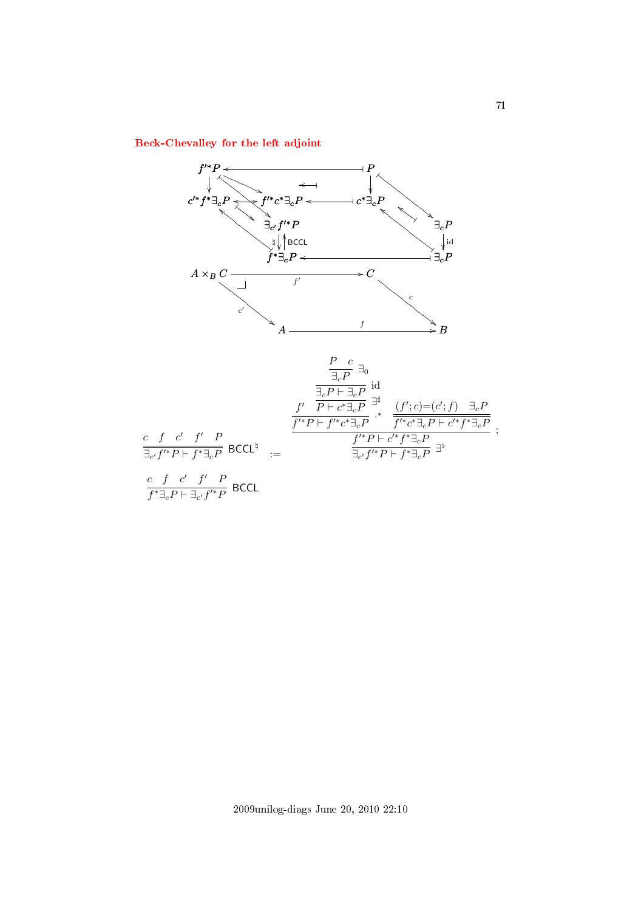[Beck-Chevalley for the left adjoint](#page-2-32)



2009unilog-diags June 20, 2010 22:10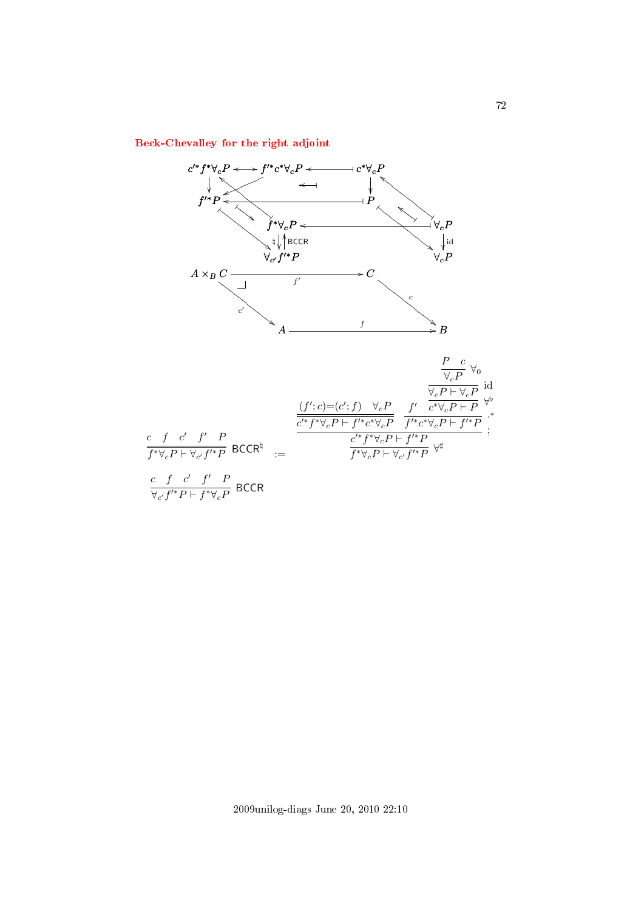[Beck-Chevalley for the right adjoint](#page-2-33)

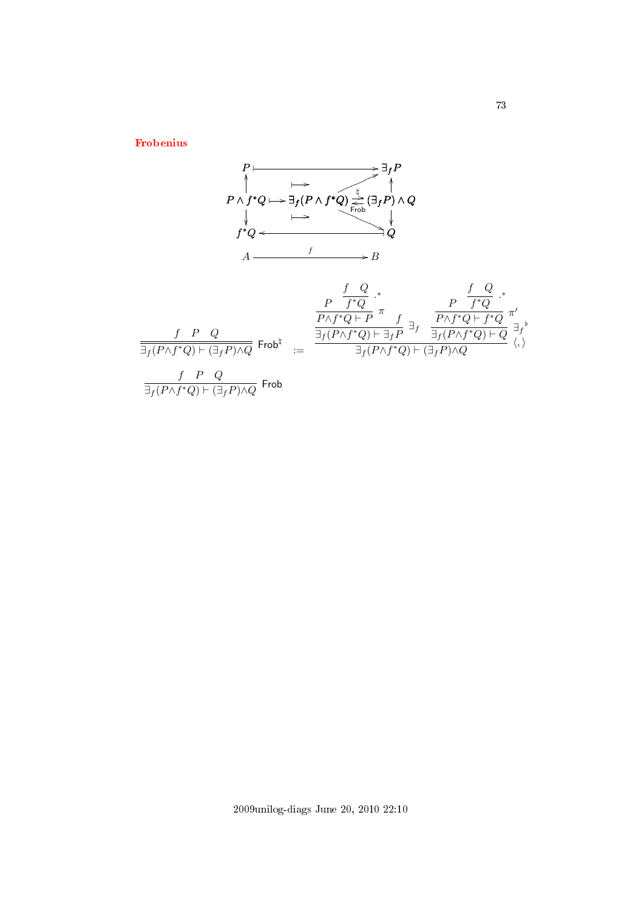[Frobenius](#page-2-0)

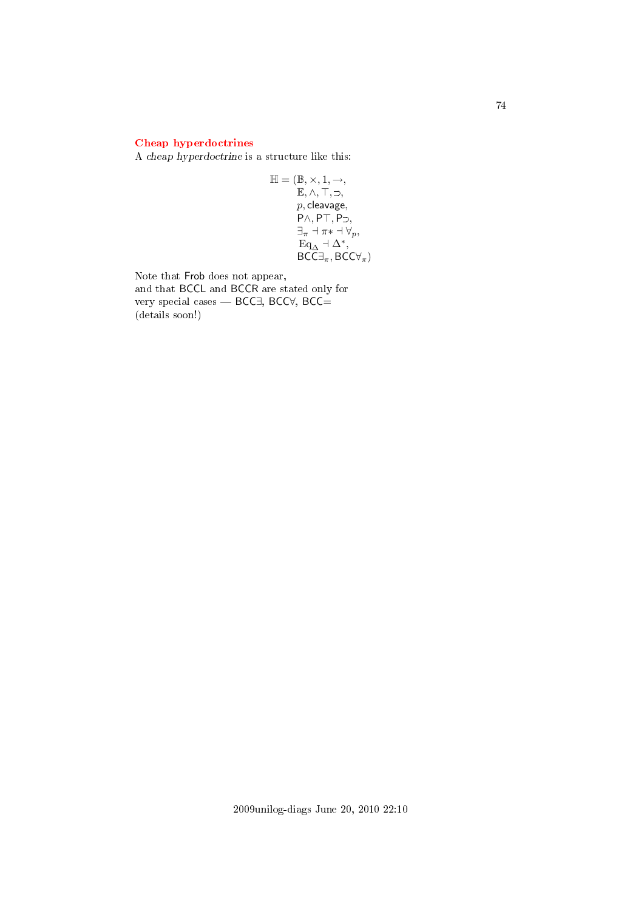## [Cheap hyperdoctrines](#page-2-1)

A cheap hyperdoctrine is a structure like this:

$$
\mathbb{H} = (\mathbb{B}, \times, 1, \rightarrow, \mathbb{E}, \land, \top, \supset, \n p, cleavage, \n P\land, PT, P\supset, \n \exists_{\pi} \neg \pi * \neg \forall_{p}, \n \quad \mathbf{Eq}_{\Delta} \neg \Delta^*, \n \quad \mathbf{BCC} \exists_{\pi}, \mathbf{BCC} \forall_{\pi})
$$

Note that Frob does not appear, and that BCCL and BCCR are stated only for very special cases — BCC∃, BCC∀, BCC= (details soon!)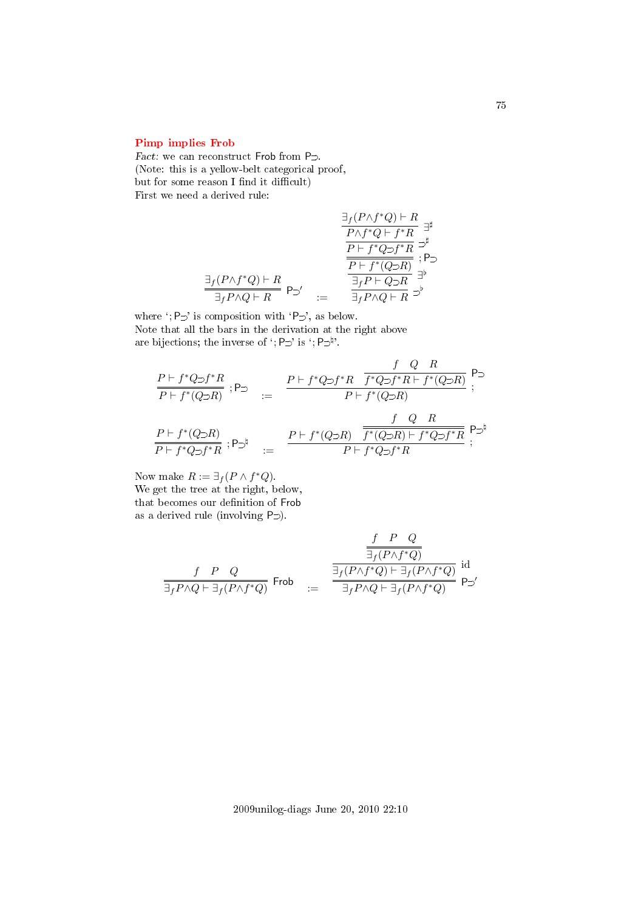### [Pimp implies Frob](#page-2-2)

Fact: we can reconstruct Frob from  $P_{\supset}$ . (Note: this is a yellow-belt categorical proof, but for some reason I find it difficult) First we need a derived rule:

$$
\frac{\exists_{f}(P \land f^*Q) \vdash R}{\frac{P \land f^*Q \vdash f^*R}{P \vdash f^*Q \supset f^*R}} \overset{\exists}{\exists^{\sharp}} \quad \frac{\overline{P \vdash f^*Q \supset f^*R}}{\frac{P \vdash f^*Q \supset f^*R}{\frac{P \vdash f^*(Q \supset R)}{\frac{1}{\exists_{f}P \vdash Q \supset R}}}} \overset{\exists}{\Rightarrow^{\sharp}} \quad \frac{\exists_{f}P \land Q \vdash R}{\exists_{f}P \land Q \vdash R} \Rightarrow^{\flat}
$$

where ';  $P \supset'$  is composition with ' $P \supset'$ , as below. Note that all the bars in the derivation at the right above are bijections; the inverse of ';  $P \supset '$  is ';  $P \supset^{\natural}$ '.

$$
\begin{array}{ccc} \frac{P\vdash f^{*}Q\supset f^{*}R}{P\vdash f^{*}(Q\supset R)}\ ;\textsf{P}\supset&:=&\frac{P\vdash f^{*}Q\supset f^{*}R\quad \overline{f^{*}Q\supset f^{*}R\vdash f^{*}(Q\supset R)}}{P\vdash f^{*}(Q\supset R)}\ ;\\ \\ \frac{P\vdash f^{*}(Q\supset R)}{P\vdash f^{*}Q\supset f^{*}R}\ ;\textsf{P}\supset ^{\natural} &:=&\frac{P\vdash f^{*}(Q\supset R)\quad \overline{f^{*}(Q\supset R)\vdash f^{*}Q\supset f^{*}R}}{P\vdash f^{*}Q\supset f^{*}R}\ ; \end{array}
$$

Now make  $R := \exists_f (P \wedge f^*Q).$ We get the tree at the right, below, that becomes our definition of Frob as a derived rule (involving  $P \supset$ ).

$$
\begin{array}{ccccc}&&\frac{f&P&Q\\\hline\hline\exists_f(P\wedge f^*Q)&&\exists_f(P\wedge f^*Q)\\ \hline\hline\exists_fP\wedge Q\vdash\exists_f(P\wedge f^*Q)&\equiv&\frac{\overline{\exists}_f(P\wedge f^*Q)\vdash\exists_f(P\wedge f^*Q)}{\exists_fP\wedge Q\vdash\exists_f(P\wedge f^*Q)}\text{ P$\supset$}'\end{array}
$$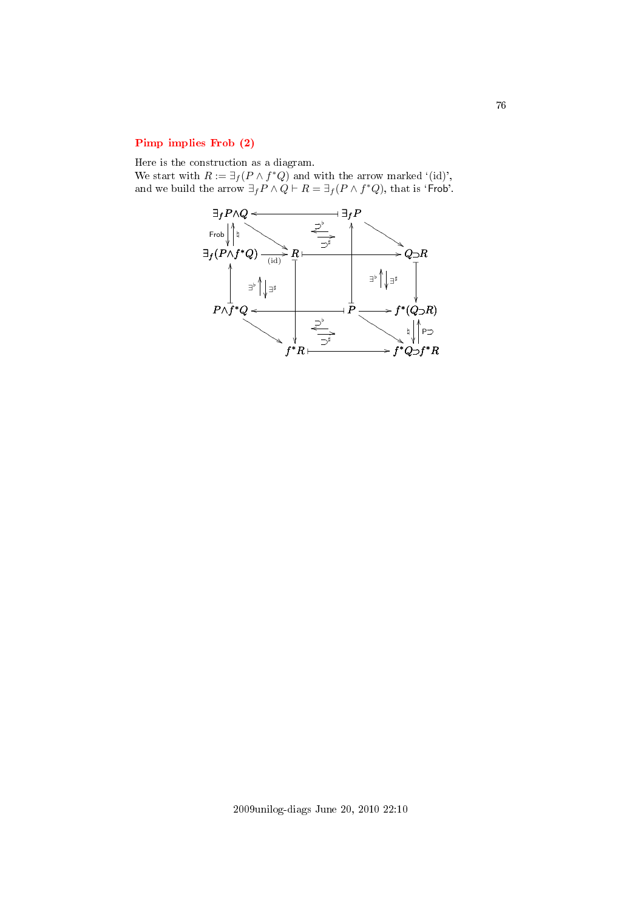## [Pimp implies Frob \(2\)](#page-2-3)

Here is the construction as a diagram.

We start with  $R := \exists_f (P \wedge f^*Q)$  and with the arrow marked '(id)', and we build the arrow  $\exists_f P \land Q \vdash R = \exists_f (P \land f^*Q)$ , that is 'Frob'.

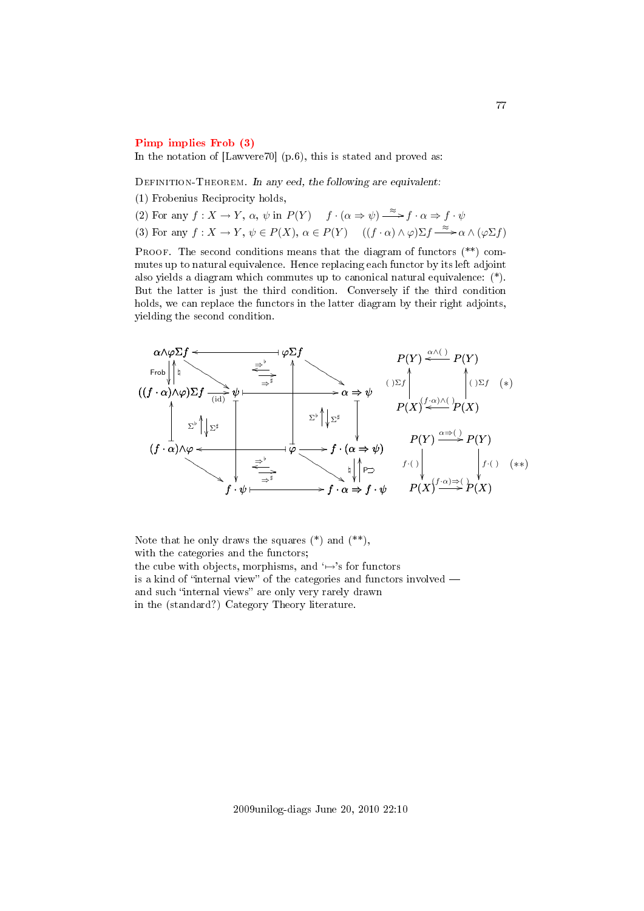#### [Pimp implies Frob \(3\)](#page-2-4)

In the notation of [Lawvere70] (p.6), this is stated and proved as:

DEFINITION-THEOREM. In any eed, the following are equivalent:

(1) Frobenius Reciprocity holds,

(2) For any  $f: X \to Y$ ,  $\alpha$ ,  $\psi$  in  $P(Y)$   $f \cdot (\alpha \Rightarrow \psi) \stackrel{\approx}{\longrightarrow} f \cdot \alpha \Rightarrow f \cdot \psi$ (3) For any  $f: X \to Y, \psi \in P(X), \alpha \in P(Y)$   $((f \cdot \alpha) \wedge \varphi) \Sigma f \xrightarrow{\approx} \alpha \wedge (\varphi \Sigma f)$ 

PROOF. The second conditions means that the diagram of functors  $(**)$  commutes up to natural equivalence. Hence replacing each functor by its left adjoint also yields a diagram which commutes up to canonical natural equivalence: (\*). But the latter is just the third condition. Conversely if the third condition holds, we can replace the functors in the latter diagram by their right adjoints, yielding the second condition.



Note that he only draws the squares  $(*)$  and  $(**)$ . with the categories and the functors; the cube with objects, morphisms, and  $\rightarrow$ 's for functors is a kind of "internal view" of the categories and functors involved  $$ and such "internal views" are only very rarely drawn in the (standard?) Category Theory literature.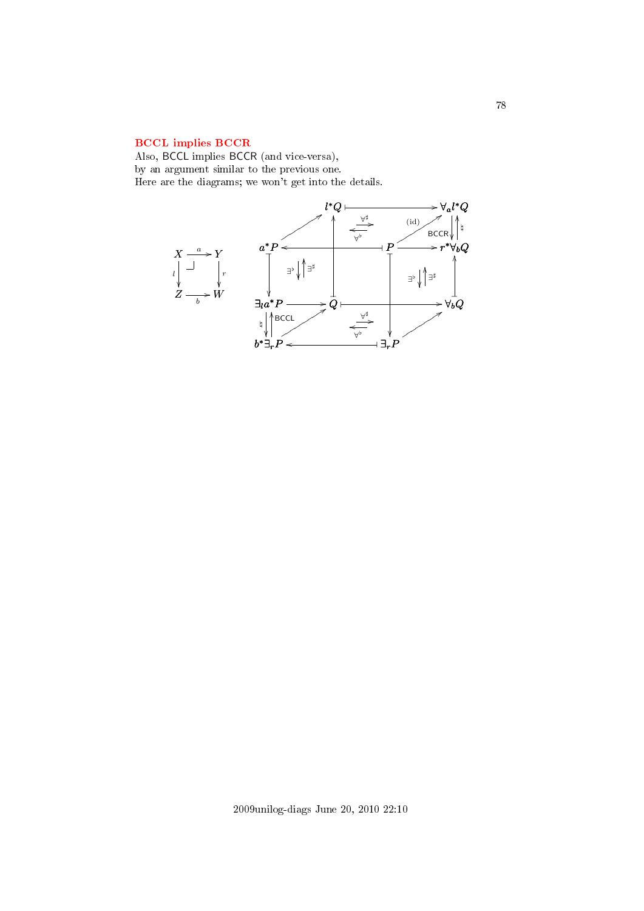## [BCCL implies BCCR](#page-2-5)

Also, BCCL implies BCCR (and vice-versa), by an argument similar to the previous one. Here are the diagrams; we won't get into the details.

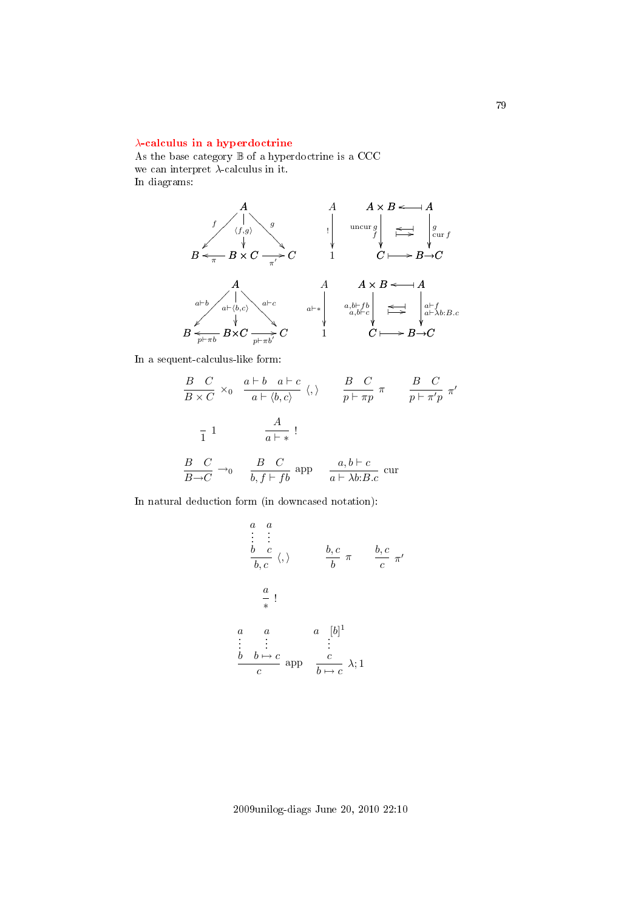### λ[-calculus in a hyperdoctrine](#page-2-6)

As the base category  $\mathbb B$  of a hyperdoctrine is a CCC we can interpret  $\lambda$ -calculus in it. In diagrams:



In a sequent-calculus-like form:

$$
\frac{B}{B \times C} \times_0 \frac{a \vdash b \quad a \vdash c}{a \vdash \langle b, c \rangle} \langle, \rangle \qquad \frac{B}{p \vdash \pi p} \pi \qquad \frac{B}{p \vdash \pi' p} \pi'
$$
  

$$
\frac{1}{1} \qquad \frac{A}{a \vdash *}!
$$
  

$$
\frac{B}{B \rightarrow C} \rightarrow_0 \qquad \frac{B}{b, f \vdash fb} \text{ and } \qquad \frac{a, b \vdash c}{a \vdash \lambda b : B.c} \text{ cur}
$$

In natural deduction form (in downcased notation):

$$
\begin{array}{cccc}\n a & a \\
 \vdots & \vdots \\
 b & c \\
 \hline\n b, c & \langle, \rangle\n \end{array}\n \qquad\n \begin{array}{cccc}\n b, c \\
 \hline\n b & \pi & \frac{b, c}{c} \pi\n \end{array}\n \qquad\n \begin{array}{cccc}\n \hline\n b, c \\
 \hline\n \pi & \frac{b, c}{c} \pi\n \end{array}
$$
\n
$$
\begin{array}{cccc}\n a & a & [b]^1 \\
 \vdots & \vdots & \vdots \\
 c & \frac{b & b \mapsto c}{c} \text{ app} & \frac{c}{b \mapsto c} \lambda; 1\n \end{array}
$$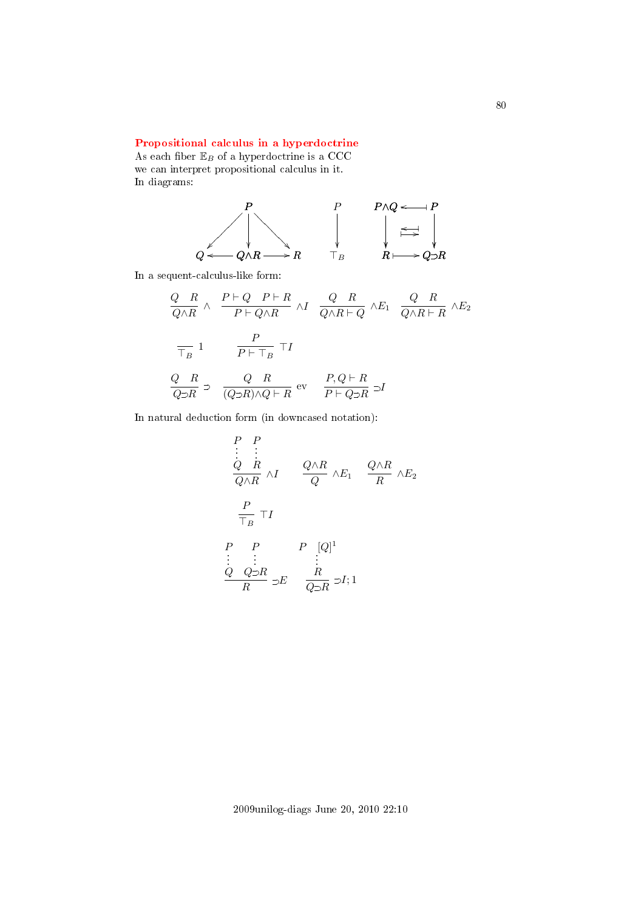### [Propositional calculus in a hyperdoctrine](#page-2-7)

As each fiber  $\mathbb{E}_B$  of a hyperdoctrine is a CCC we can interpret propositional calculus in it. In diagrams:



In a sequent-calculus-like form:

$$
\frac{Q-R}{Q\wedge R} \wedge \frac{P\vdash Q \quad P\vdash R}{P\vdash Q\wedge R} \wedge I \quad \frac{Q-R}{Q\wedge R\vdash Q} \wedge E_1 \quad \frac{Q-R}{Q\wedge R\vdash R} \wedge E_2
$$
\n
$$
\frac{P}{\top_B} 1 \qquad \frac{P}{P\vdash \top_B} \top I
$$
\n
$$
\frac{Q-R}{Q\supset R} \supset \frac{Q-R}{(Q\supset R)\wedge Q\vdash R} \text{ev} \quad \frac{P,Q\vdash R}{P\vdash Q\supset R} \supset I
$$

In natural deduction form (in downcased notation):

$$
\begin{array}{ccc}\nP & P \\
\vdots & \vdots \\
Q & R \\
\hline\nQ \wedge R & \wedge I\n\end{array}\n\quad\n\begin{array}{ccc}\nQ \wedge R & & Q \wedge R \\
\hline\nQ & \wedge E_1 & \frac{Q \wedge R}{R} \wedge E_2\n\end{array}
$$
\n
$$
\begin{array}{ccc}\nP & P & P & [Q]^1 \\
\vdots & \vdots & \vdots \\
Q & Q \supset R & \supset E & \frac{R}{Q \supset R} \supset I;1\n\end{array}
$$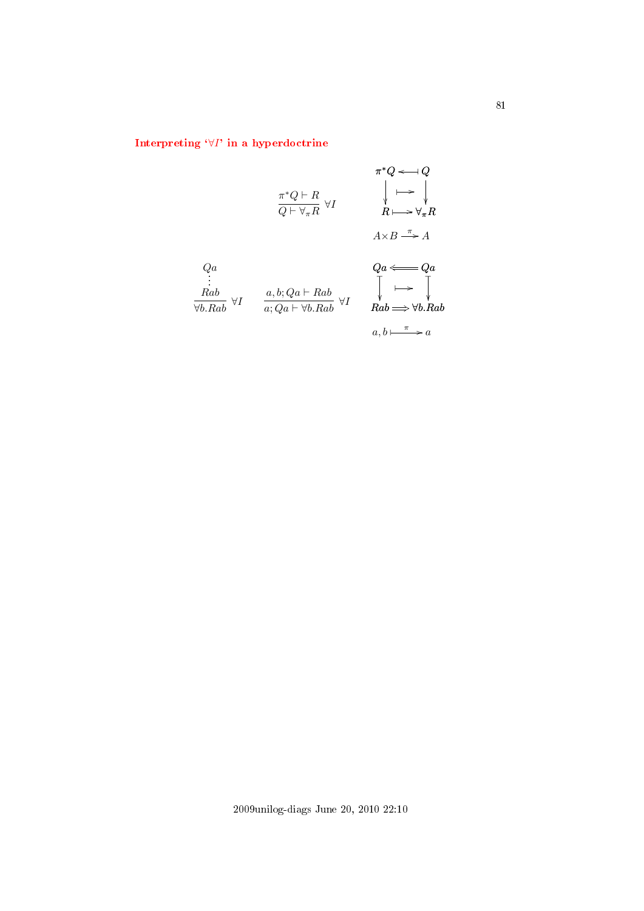# Interpreting  $\forall I$ [' in a hyperdoctrine](#page-2-8)

$$
\pi^*Q \longleftarrow Q
$$
\n
$$
\pi^*Q \longleftarrow R
$$
\n
$$
\downarrow \longleftarrow \downarrow
$$
\n
$$
\downarrow \longleftarrow \downarrow
$$
\n
$$
\downarrow \longleftarrow \downarrow
$$
\n
$$
R \longmapsto \forall_{\pi}R
$$
\n
$$
A \times B \xrightarrow{\pi} A
$$
\n
$$
Qa
$$
\n
$$
\vdots
$$
\n
$$
Rab
$$
\n
$$
\forall I \qquad \begin{array}{c} a, b; Qa \longleftarrow Rab \\ \hline a; Qa \longleftarrow \forall I \end{array} \qquad \begin{array}{c} Qa \longleftarrow Qa \\ \hline a \longleftarrow Qa \\ \hline a; Qa \longleftarrow \forall I \end{array} \qquad \begin{array}{c} Qa \longleftarrow Qa \\ \hline a; Qa \longleftarrow \forall I \end{array} \qquad \begin{array}{c} Qa \longleftarrow Qa \\ \hline a; Qa \longleftarrow \forall I \end{array} \qquad \begin{array}{c} Qa \longleftarrow \forall I \\ \hline a; Qa \longleftarrow \forall I \end{array} \qquad \begin{array}{c} Qa \longleftarrow \forall I \\ \hline a; Qa \longleftarrow \forall I \end{array} \qquad \begin{array}{c} Qa \longleftarrow \forall I \\ \hline a; Qa \longleftarrow \forall I \end{array} \qquad \begin{array}{c} Qa \longleftarrow \forall I \\ \hline a; Qa \longleftarrow \forall I \end{array} \qquad \begin{array}{c} Qa \longleftarrow \forall I \\ \hline a; Qa \longleftarrow \forall I \end{array} \qquad \begin{array}{c} Qa \longleftarrow \forall I \\ \hline a; Qa \longleftarrow \forall I \end{array} \qquad \begin{array}{c} Qa \longleftarrow \forall I \\ \hline a; Qa \longleftarrow \forall I \end{array} \qquad \begin{array}{c} Qa \longleftarrow \forall I \\ \hline a; Qa \longleftarrow \forall I \end{array} \qquad \begin{array}{c} Qa \longleftarrow \forall I \\ \hline a; Qa \longleftarrow \forall I \end{array} \qquad \begin{array}{c} Qa \longleftarrow \forall I \\ \hline a; Qa \longleftarrow \forall I \end{array} \qquad \begin{array}{c} Qa \longleftarrow \forall I \\ \hline a; Q
$$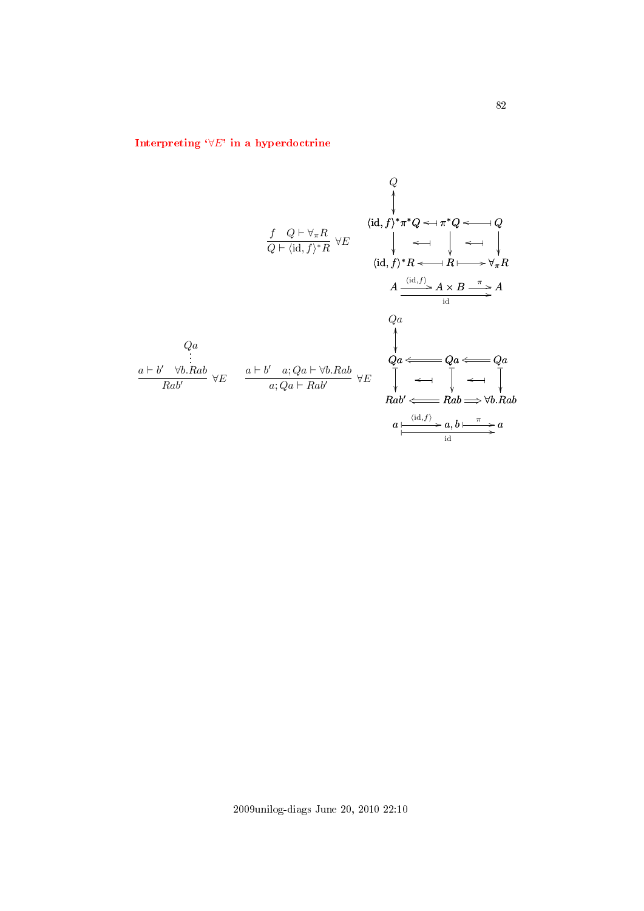# Interpreting  $\forall E'$  in a hyperdoctrine

Q  
\n{
$$
\langle id, f \rangle^* \pi^* Q \leftarrow \pi^* Q \leftarrow Q
$$
  
\n{ $\langle id, f \rangle^* \pi^* Q \leftarrow \pi^* Q \leftarrow Q$   
\n{ $\langle id, f \rangle^* R \leftarrow R \leftarrow \downarrow \leftarrow \downarrow \downarrow$   
\n{ $\langle id, f \rangle^* R \leftarrow R \leftarrow \forall R$   
\n{ $\langle id, f \rangle^* R \leftarrow R \leftarrow \forall R$   
\n{ $\langle id, f \rangle^* R \leftarrow R \leftarrow \forall R$   
\n{ $\langle id, f \rangle^* R \leftarrow R \leftarrow \forall R$   
\n{ $\langle id, f \rangle^* R \leftarrow \forall R$   
\n{ $\langle id, f \rangle^* R \leftarrow \forall R$   
\n{ $\langle id, f \rangle^* R \leftarrow \forall R$   
\n{ $\langle id, f \rangle^* R \leftarrow \forall R$   
\n{ $\langle id, f \rangle^* R \leftarrow Qa$   
\n{ $\langle id, f \rangle^* R \leftarrow Qa$   
\n{ $\langle id, f \rangle^* R \leftarrow Qa$   
\n{ $\langle id, f \rangle^* R \leftarrow Qa$   
\n{ $\langle id, f \rangle^* R \leftarrow Qa$   
\n{ $\langle id, f \rangle^* R \leftarrow Qa$   
\n{ $\langle id, f \rangle^* R \leftarrow Qa$   
\n{ $\langle id, f \rangle^* R \leftarrow Qa$   
\n{ $\langle id, f \rangle^* R \leftarrow Qa$   
\n{ $\langle id, f \rangle^* R \leftarrow \forall R$   
\n{ $\langle id, f \rangle^* R \leftarrow \forall R$   
\n{ $\langle id, f \rangle^* R \leftarrow \forall R$   
\n{ $\langle id, f \rangle^* R \leftarrow \forall R$   
\n{ $\langle id, f \rangle^* R \leftarrow \forall R$   
\n{ $\langle id, f \rangle^* R \leftarrow \forall R$   
\n{ $\langle id, f \rangle^* R \leftarrow \forall R$   
\n{ $\langle id, f \rangle^* R \leftarrow \forall R$   
\n{ $\langle id, f \rangle^* R \leftarrow \forall R$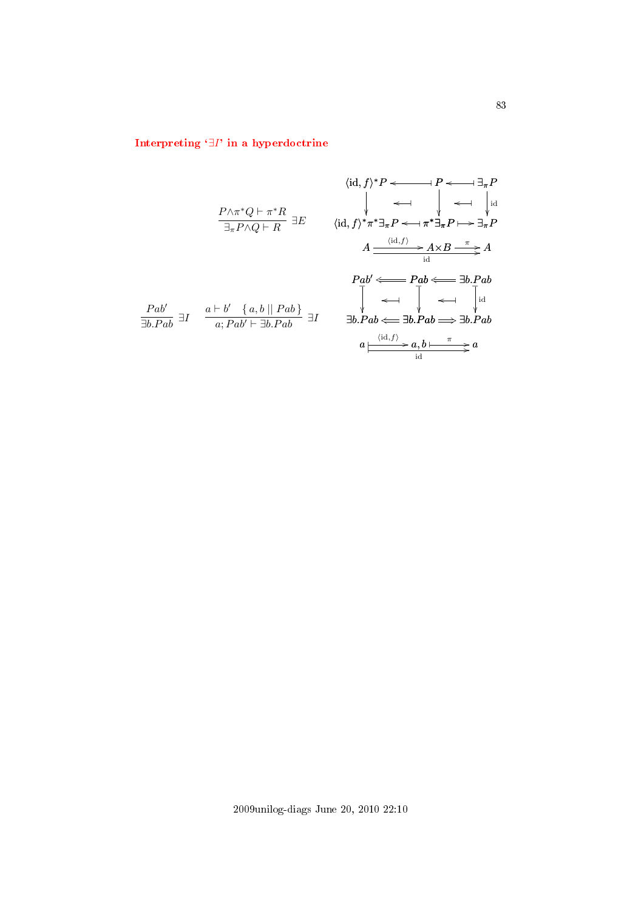# Interpreting `∃I[' in a hyperdoctrine](#page-2-10)

$$
\langle id, f \rangle^* P \longleftarrow \longrightarrow P \longleftarrow \exists_{\pi} P
$$
\n
$$
\downarrow \longleftarrow \longrightarrow \longrightarrow \exists_{\pi} P
$$
\n
$$
\downarrow \longleftarrow \longrightarrow \longrightarrow \exists_{\pi} P
$$
\n
$$
\downarrow \longleftarrow \longrightarrow \longrightarrow \exists_{\pi} P
$$
\n
$$
\downarrow \longleftarrow \longrightarrow \exists_{\pi} P
$$
\n
$$
\downarrow \longleftarrow \longrightarrow \exists_{\pi} P
$$
\n
$$
\downarrow \longleftarrow \longrightarrow \exists_{\pi} P
$$
\n
$$
A \xrightarrow{\langle id, f \rangle} \pi^* \exists_{\pi} P \longleftarrow \pi^* \exists_{\pi} P \longmapsto \exists_{\pi} P
$$
\n
$$
A \xrightarrow{\langle id, f \rangle} A \times B \xrightarrow{\pi} A
$$
\n
$$
\downarrow \longrightarrow \exists_{\pi} P
$$
\n
$$
\downarrow \longrightarrow \exists_{\pi} P
$$
\n
$$
\downarrow \longrightarrow \exists_{\pi} P
$$
\n
$$
\downarrow \longrightarrow \exists_{\pi} P
$$
\n
$$
\downarrow \longrightarrow \exists_{\pi} P
$$
\n
$$
\downarrow \longrightarrow \exists_{\pi} P
$$
\n
$$
\downarrow \longrightarrow \exists_{\pi} P
$$
\n
$$
\downarrow \longrightarrow \exists_{\pi} P
$$
\n
$$
\downarrow \longrightarrow \exists_{\pi} P
$$
\n
$$
\downarrow \longrightarrow \exists_{\pi} P
$$
\n
$$
\downarrow \longrightarrow \exists_{\pi} P
$$
\n
$$
\downarrow \longrightarrow \exists_{\pi} P
$$
\n
$$
\downarrow \longrightarrow \exists_{\pi} P
$$
\n
$$
\downarrow \longrightarrow \exists_{\pi} P
$$
\n
$$
\downarrow \longrightarrow \exists_{\pi} P
$$
\n
$$
\downarrow \longrightarrow \exists_{\pi} P
$$
\n
$$
\downarrow \longrightarrow \exists_{\pi} P
$$
\n
$$
\downarrow \longrightarrow \exists_{\pi} P
$$
\n
$$
\downarrow \longrightarrow \exists_{\pi} P
$$
\n
$$
\downarrow \longrightarrow \exists_{\pi} P
$$
\n
$$
\downarrow \longrightarrow \exists_{\pi} P
$$
\n
$$
\downarrow \longrightarrow \exists_{\pi} P
$$
\n
$$
\downarrow \longleftarrow \exists_{\pi}
$$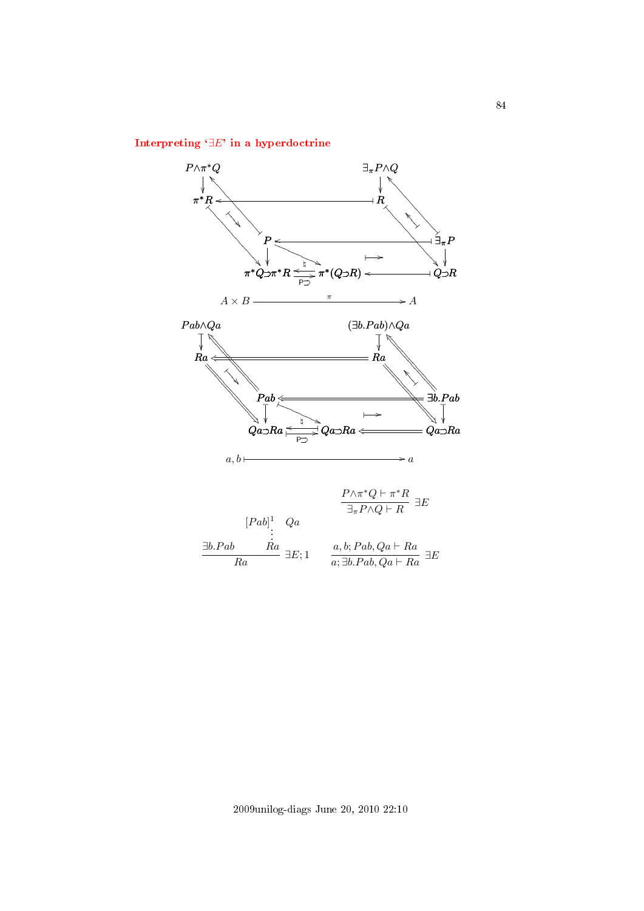## Interpreting `∃E[' in a hyperdoctrine](#page-2-11)

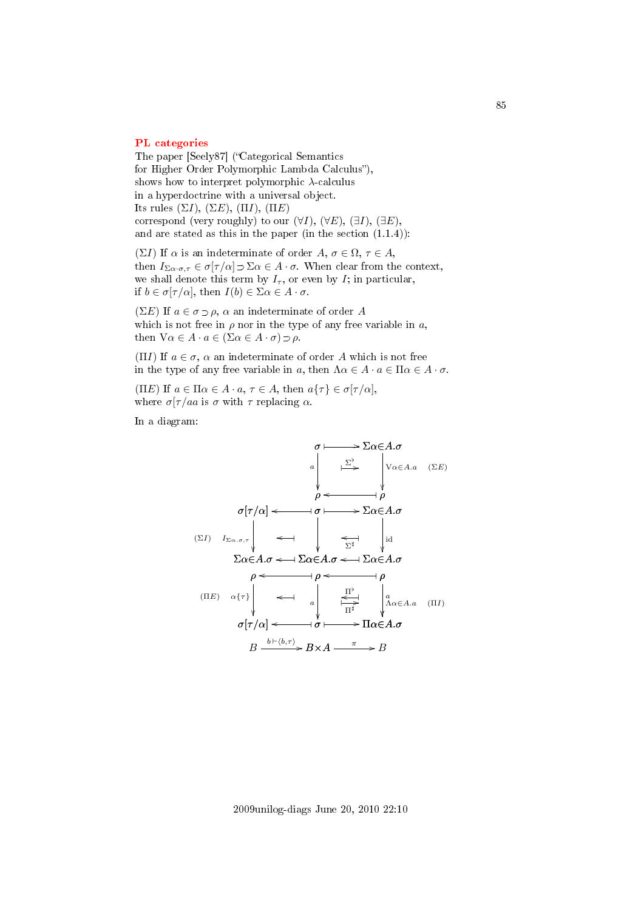#### [PL categories](#page-3-0)

The paper [Seely87] ("Categorical Semantics for Higher Order Polymorphic Lambda Calculus"), shows how to interpret polymorphic  $\lambda$ -calculus in a hyperdoctrine with a universal object. Its rules  $(\Sigma I)$ ,  $(\Sigma E)$ ,  $(\Pi I)$ ,  $(\Pi E)$ correspond (very roughly) to our  $(\forall I)$ ,  $(\forall E)$ ,  $(\exists I)$ ,  $(\exists E)$ , and are stated as this in the paper (in the section (1.1.4)):

(ΣI) If  $\alpha$  is an indeterminate of order  $A, \sigma \in \Omega, \tau \in A$ , then  $I_{\Sigma\alpha\cdot\sigma,\tau} \in \sigma[\tau/\alpha] \supset \Sigma\alpha \in A\cdot\sigma$ . When clear from the context, we shall denote this term by  $I_{\tau}$ , or even by I; in particular, if  $b \in \sigma[\tau/\alpha]$ , then  $I(b) \in \Sigma \alpha \in A \cdot \sigma$ .

( $\Sigma E$ ) If  $a \in \sigma \supset \rho$ ,  $\alpha$  an indeterminate of order A which is not free in  $\rho$  nor in the type of any free variable in a, then  $\forall \alpha \in A \cdot a \in (\Sigma \alpha \in A \cdot \sigma) \supset \rho$ .

(ΠI) If  $a \in \sigma$ ,  $\alpha$  an indeterminate of order A which is not free in the type of any free variable in a, then  $\Lambda \alpha \in A \cdot a \in \Pi \alpha \in A \cdot \sigma$ .

(ΠE) If  $a \in \Pi \alpha \in A \cdot a, \tau \in A$ , then  $a\{\tau\} \in \sigma[\tau/\alpha]$ , where  $\sigma[\tau/aa$  is  $\sigma$  with  $\tau$  replacing  $\alpha$ .

In a diagram:

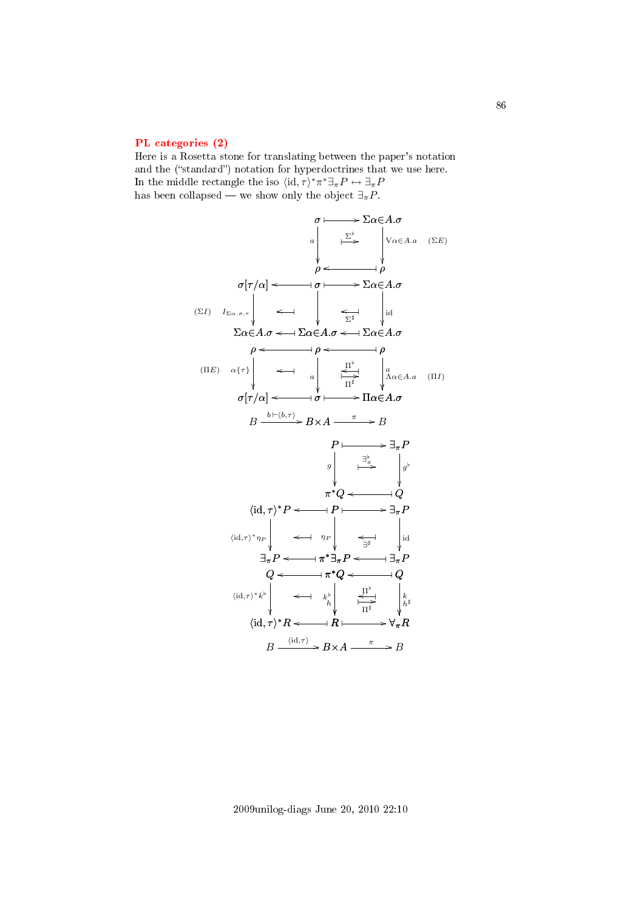#### [PL categories \(2\)](#page-3-1)

Here is a Rosetta stone for translating between the paper's notation and the ("standard") notation for hyperdoctrines that we use here. In the middle rectangle the iso  $\langle id, \tau \rangle^* \pi^* \exists_{\pi} P \leftrightarrow \exists_{\pi} P$ has been collapsed — we show only the object  $\exists_{\pi} P$ .

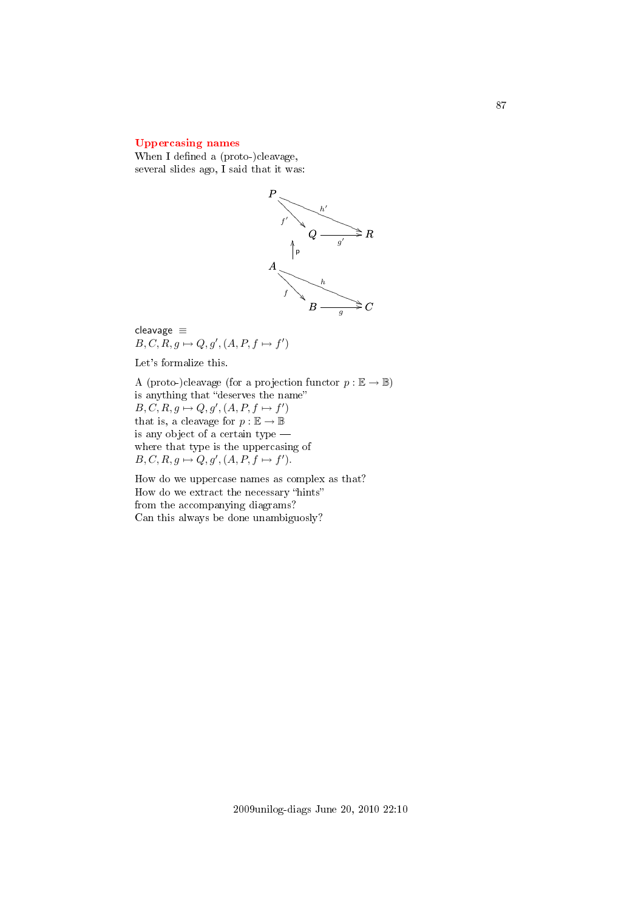### [Uppercasing names](#page-3-2)

When I defined a (proto-)cleavage, several slides ago, I said that it was:



cleavage ≡  $B, C, R, g \mapsto Q, g', (A, P, f \mapsto f')$ 

Let's formalize this.

A (proto-)cleavage (for a projection functor  $p : \mathbb{E} \to \mathbb{B}$ ) is anything that "deserves the name"  $B, C, R, g \mapsto Q, g', (A, P, f \mapsto f')$ that is, a cleavage for  $p : \mathbb{E} \to \mathbb{B}$ is any object of a certain type where that type is the uppercasing of  $B, C, R, g \mapsto Q, g', (A, P, f \mapsto f').$ 

How do we uppercase names as complex as that? How do we extract the necessary "hints" from the accompanying diagrams? Can this always be done unambiguosly?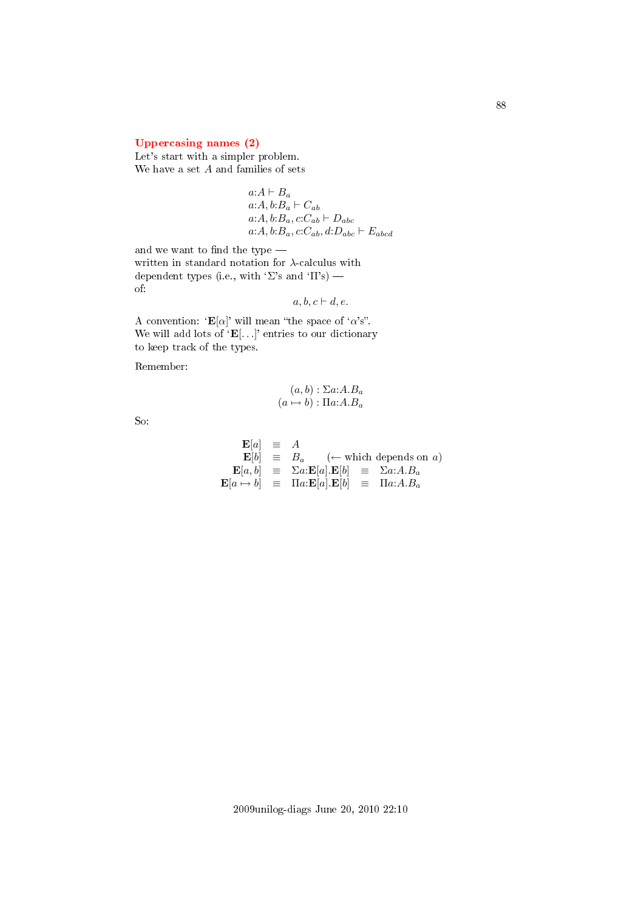## [Uppercasing names \(2\)](#page-3-3)

Let's start with a simpler problem. We have a set  $A$  and families of sets

$$
a:A \vdash B_a a:A, b:B_a \vdash C_{ab} a:A, b:B_a, c:C_{ab} \vdash D_{abc} a:A, b:B_a, c:C_{ab}, d:D_{abc} \vdash E_{abcd}
$$

and we want to find the type  $-\;$ written in standard notation for  $\lambda$ -calculus with dependent types (i.e., with 'Σ's and 'Π's) of:

$$
a, b, c \vdash d, e.
$$

A convention: ' $\mathbf{E}[\alpha]$ ' will mean "the space of ' $\alpha$ 's". We will add lots of  $'E[...]$  entries to our dictionary to keep track of the types.

Remember:

$$
(a, b) : \Sigma a:A.B_a
$$

$$
(a \mapsto b) : \Pi a:A.B_a
$$

So:

$$
\begin{array}{rcl}\n\mathbf{E}[a] & \equiv & A \\
\mathbf{E}[b] & \equiv & B_a \quad (\leftarrow \text{ which depends on } a) \\
\mathbf{E}[a, b] & \equiv & \Sigma a : \mathbf{E}[a] . \mathbf{E}[b] & \equiv & \Sigma a : A . B_a \\
\mathbf{E}[a \mapsto b] & \equiv & \Pi a : \mathbf{E}[a] . \mathbf{E}[b] & \equiv & \Pi a : A . B_a\n\end{array}
$$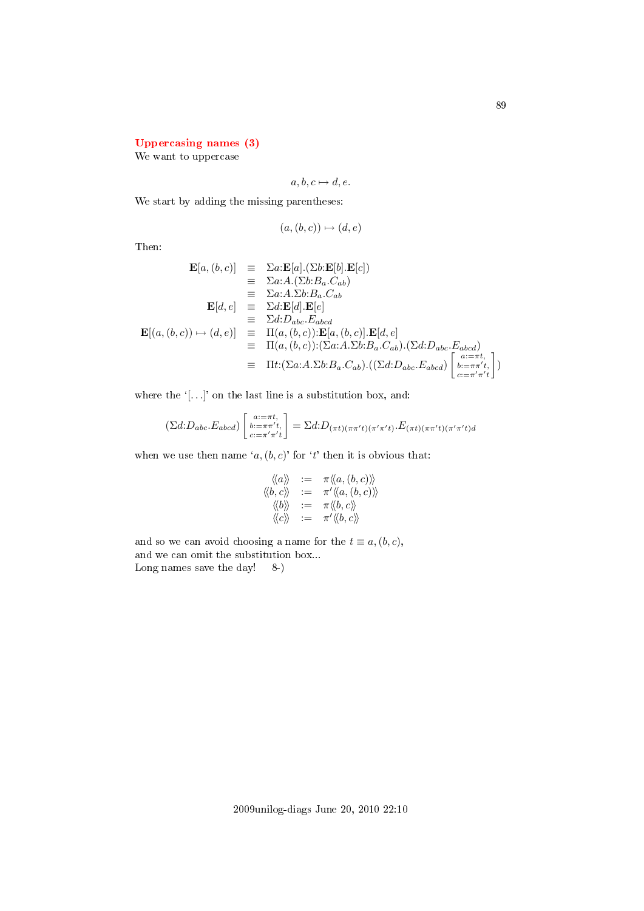### [Uppercasing names \(3\)](#page-3-4)

We want to uppercase

$$
a, b, c \mapsto d, e.
$$

We start by adding the missing parentheses:

$$
(a,(b,c)) \mapsto (d,e)
$$

Then:

$$
\mathbf{E}[a, (b, c)] \equiv \Sigma a : \mathbf{E}[a] \cdot (\Sigma b : \mathbf{E}[b] \cdot \mathbf{E}[c])
$$
  
\n
$$
\equiv \Sigma a : A \cdot (\Sigma b : B_a \cdot C_{ab})
$$
  
\n
$$
\equiv \Sigma a : A \cdot \Sigma b : B_a \cdot C_{ab}
$$
  
\n
$$
\mathbf{E}[d, e] \equiv \Sigma d : \mathbf{E}[d] \cdot \mathbf{E}[e]
$$
  
\n
$$
\equiv \Sigma d : D_{abc} \cdot E_{abcd}
$$
  
\n
$$
\mathbf{E}[(a, (b, c)) \mapsto (d, e)] \equiv \Pi(a, (b, c)) : \mathbf{E}[a, (b, c)] \cdot \mathbf{E}[d, e]
$$
  
\n
$$
\equiv \Pi(a, (b, c)) : (\Sigma a : A \cdot \Sigma b : B_a \cdot C_{ab}) \cdot (\Sigma d : D_{abc} \cdot E_{abcd})
$$
  
\n
$$
\equiv \Pi t : (\Sigma a : A \cdot \Sigma b : B_a \cdot C_{ab}) \cdot ((\Sigma d : D_{abc} \cdot E_{abcd}) \begin{bmatrix} a : = \pi t \\ b : = \pi r' t \\ c : = \pi' r' t \end{bmatrix})
$$

where the  $'$ [ $\dots$ ]' on the last line is a substitution box, and:

$$
(\Sigma d: D_{abc}.E_{abcd})\begin{bmatrix}a:=\pi t, \\ b:=\pi\pi't, \\ c:=\pi'\pi't \end{bmatrix} = \Sigma d: D_{(\pi t)(\pi\pi' t)(\pi'\pi' t)} \cdot E_{(\pi t)(\pi\pi' t)(\pi'\pi' t)d}
$$

when we use then name  $(a, (b, c))$  for 't' then it is obvious that:

$$
\begin{array}{rcl}\langle\!\langle a\rangle\!\rangle&:=&\pi\langle\!\langle a,(b,c)\rangle\!\rangle\\\langle\!\langle b,c\rangle\!\rangle&:=&\pi'\langle\!\langle a,(b,c)\rangle\!\rangle\\\langle\!\langle b\rangle\!\rangle&:=&\pi\langle\!\langle b,c\rangle\!\rangle\\\langle\!\langle c\rangle\!\rangle&:=&\pi'\langle\!\langle b,c\rangle\!\rangle\end{array}
$$

and so we can avoid choosing a name for the  $t \equiv a,(b,c)$ , and we can omit the substitution box... Long names save the day! 8-)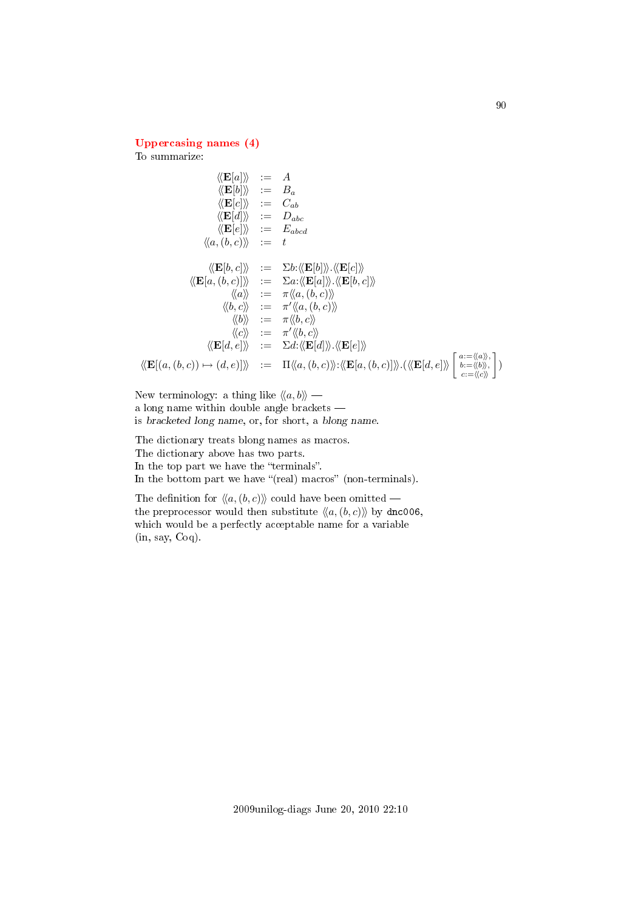### [Uppercasing names \(4\)](#page-3-5)

To summarize:

$$
\langle \langle \mathbf{E}[a] \rangle \rangle := A
$$
  
\n
$$
\langle \langle \mathbf{E}[b] \rangle \rangle := B_a
$$
  
\n
$$
\langle \langle \mathbf{E}[c] \rangle \rangle := C_{ab}
$$
  
\n
$$
\langle \langle \mathbf{E}[d] \rangle \rangle := D_{abc}
$$
  
\n
$$
\langle \langle \mathbf{E}[e] \rangle \rangle := E_{abcd}
$$
  
\n
$$
\langle \langle a, (b, c) \rangle \rangle := t
$$
  
\n
$$
\langle \langle \mathbf{E}[b, c] \rangle \rangle := \sum b : \langle \langle \mathbf{E}[b] \rangle \rangle \langle \langle \mathbf{E}[c] \rangle \rangle
$$
  
\n
$$
\langle \langle \mathbf{E}[a, (b, c)] \rangle \rangle := \sum a : \langle \langle \mathbf{E}[a] \rangle \rangle \langle \langle \mathbf{E}[b, c] \rangle \rangle
$$
  
\n
$$
\langle \langle a \rangle \rangle := \pi \langle \langle a, (b, c) \rangle \rangle
$$
  
\n
$$
\langle \langle b \rangle \rangle := \pi \langle \langle a, (b, c) \rangle \rangle
$$
  
\n
$$
\langle \langle c \rangle \rangle := \pi' \langle \langle b, c \rangle \rangle
$$
  
\n
$$
\langle \langle \mathbf{E}[d, e] \rangle \rangle := \sum d : \langle \langle \mathbf{E}[d] \rangle \rangle \langle \langle \mathbf{E}[e] \rangle \rangle
$$
  
\n
$$
\langle \langle \mathbf{E}[a, (b, c) \rangle \rangle \rangle := \Pi \langle \langle a, (b, c) \rangle \rangle : \langle \langle \mathbf{E}[a, (b, c)] \rangle \rangle \cdot \langle \langle \langle \mathbf{E}[d, e] \rangle \rangle \rangle \begin{bmatrix} a := \langle \langle a \rangle, b = a \rangle b = b \rangle c = b \rangle c \rangle c \rangle
$$

New terminology: a thing like  $\langle \langle a, b \rangle \rangle$  a long name within double angle brackets is bracketed long name, or, for short, a blong name.

The dictionary treats blong names as macros. The dictionary above has two parts. In the top part we have the "terminals". In the bottom part we have "(real) macros" (non-terminals).

The definition for  $\langle\langle a, (b, c)\rangle\rangle$  could have been omitted – the preprocessor would then substitute  $\langle\langle a, (b, c)\rangle\rangle$  by dnc006, which would be a perfectly acceptable name for a variable (in, say, Coq).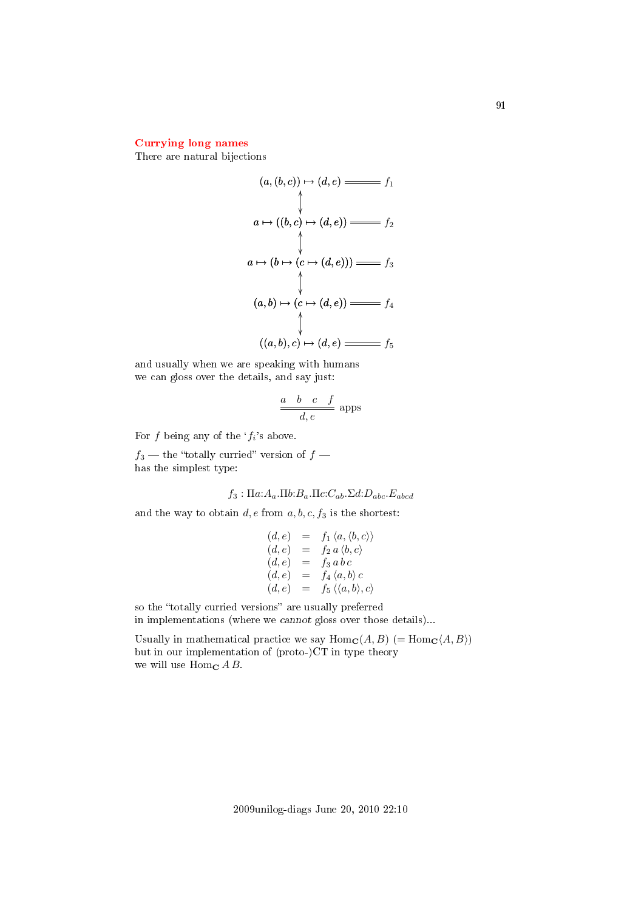### [Currying long names](#page-3-6)

There are natural bijections

$$
(a, (b, c)) \mapsto (d, e) \longrightarrow f_1
$$
\n
$$
\uparrow
$$
\n
$$
a \mapsto ((b, c) \mapsto (d, e)) \longrightarrow f_2
$$
\n
$$
\uparrow
$$
\n
$$
a \mapsto (b \mapsto (c \mapsto (d, e))) \longrightarrow f_3
$$
\n
$$
(a, b) \mapsto (c \mapsto (d, e)) \longrightarrow f_4
$$
\n
$$
\uparrow
$$
\n
$$
((a, b), c) \mapsto (d, e) \longrightarrow f_5
$$

and usually when we are speaking with humans we can gloss over the details, and say just:

$$
\frac{a \quad b \quad c \quad f}{d, e}
$$
 apps

For f being any of the  $f_i$ 's above.

 $f_3$  — the "totally curried" version of  $f$  has the simplest type:

$$
f_3: \Pi a: A_a.\Pi b: B_a.\Pi c: C_{ab}.\Sigma d: D_{abc}.\mathbb{E}_{abcd}
$$

and the way to obtain  $d, e$  from  $a, b, c, f_3$  is the shortest:

$$
(d, e) = f_1 \langle a, \langle b, c \rangle \rangle
$$
  
\n
$$
(d, e) = f_2 a \langle b, c \rangle
$$
  
\n
$$
(d, e) = f_3 a b c
$$
  
\n
$$
(d, e) = f_4 \langle a, b \rangle c
$$
  
\n
$$
(d, e) = f_5 \langle \langle a, b \rangle, c \rangle
$$

so the "totally curried versions" are usually preferred in implementations (where we cannot gloss over those details)...

Usually in mathematical practice we say  $\text{Hom}_{\mathbf{C}}(A, B)$  (=  $\text{Hom}_{\mathbf{C}}(A, B)$ ) but in our implementation of (proto-)CT in type theory we will use Hom<sub>c</sub>  $A B$ .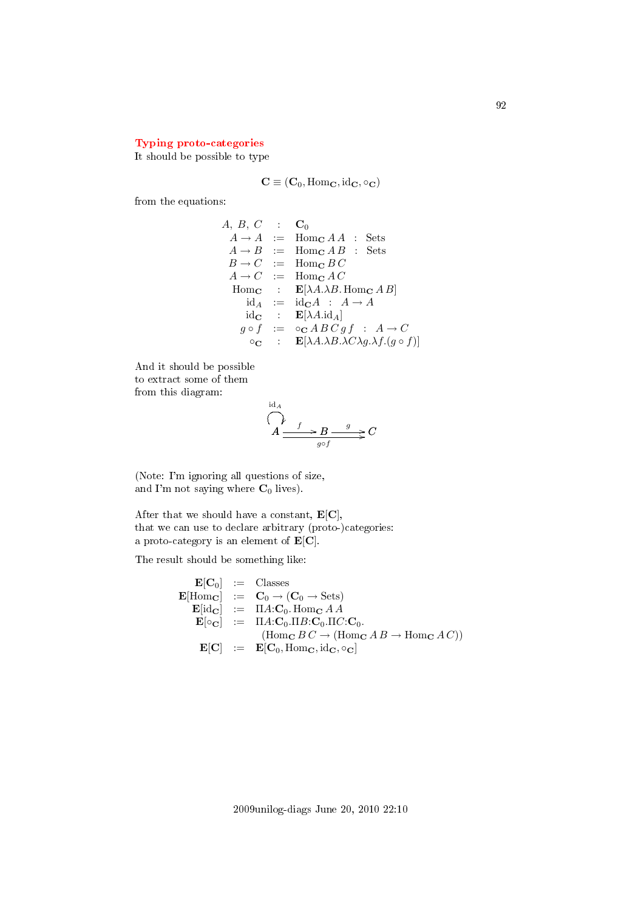### [Typing proto-categories](#page-3-7)

It should be possible to type

$$
\mathbf{C} \equiv (\mathbf{C}_0, \mathrm{Hom}_\mathbf{C}, \mathrm{id}_\mathbf{C}, \circ_\mathbf{C})
$$

from the equations:

 $A, B, C \quad : \quad \mathbf{C}_0$  $A \rightarrow A$  := Hom<sub>c</sub>  $A A$  : Sets  $A \rightarrow B$  := Hom<sub>c</sub>  $AB$  : Sets  $B \to C$  := Hom<sub>C</sub> B C  $A \rightarrow C$  := Hom<sub>c</sub>  $AC$ Hom<sub>c</sub> :  $\mathbf{E}[\lambda A. \lambda B.$  Hom<sub>c</sub> A B  $id_A := id_C A : A \rightarrow A$ id<sub>C</sub> :  $\mathbf{E}[\lambda A. \text{id}_A]$  $g\circ f$  :=  $\circ_{\mathbf{C}} \newcommand{\FF}{\mathbf{C}}\text{C} \newcommand{\FF}{\mathbf{F}}\!0 \hspace{0.1 cm} g\,f$  :  $A\to C$  $\circ_{\mathbf{C}}$  :  $\mathbf{E}[\lambda A.\lambda B.\lambda C\lambda g.\lambda f.(g \circ f)]$ 

And it should be possible to extract some of them from this diagram:

$$
\overbrace{A \xrightarrow{f} B \xrightarrow{g} C}^{id_A} C
$$

(Note: I'm ignoring all questions of size, and I'm not saying where  $C_0$  lives).

After that we should have a constant,  $\mathbf{E}[\mathbf{C}]$ , that we can use to declare arbitrary (proto-)categories: a proto-category is an element of  $E[C]$ .

The result should be something like:

$$
\begin{array}{rcl}\n\mathbf{E}[\mathbf{C}_0] & := & \text{Classes} \\
\mathbf{E}[\text{Hom}_{\mathbf{C}}] & := & \mathbf{C}_0 \rightarrow (\mathbf{C}_0 \rightarrow \text{Sets}) \\
\mathbf{E}[\text{id}_{\mathbf{C}}] & := & \Pi A : \mathbf{C}_0. \text{ Hom}_{\mathbf{C}} A A \\
\mathbf{E}[\circ_{\mathbf{C}}] & := & \Pi A : \mathbf{C}_0. \Pi B : \mathbf{C}_0. \Pi C : \mathbf{C}_0. \\
& & (\text{Hom}_{\mathbf{C}} B C \rightarrow (\text{Hom}_{\mathbf{C}} A B \rightarrow \text{Hom}_{\mathbf{C}} A C)) \\
\mathbf{E}[\mathbf{C}] & := & \mathbf{E}[\mathbf{C}_0, \text{Hom}_{\mathbf{C}}, \text{id}_{\mathbf{C}}, \circ_{\mathbf{C}}]\n\end{array}
$$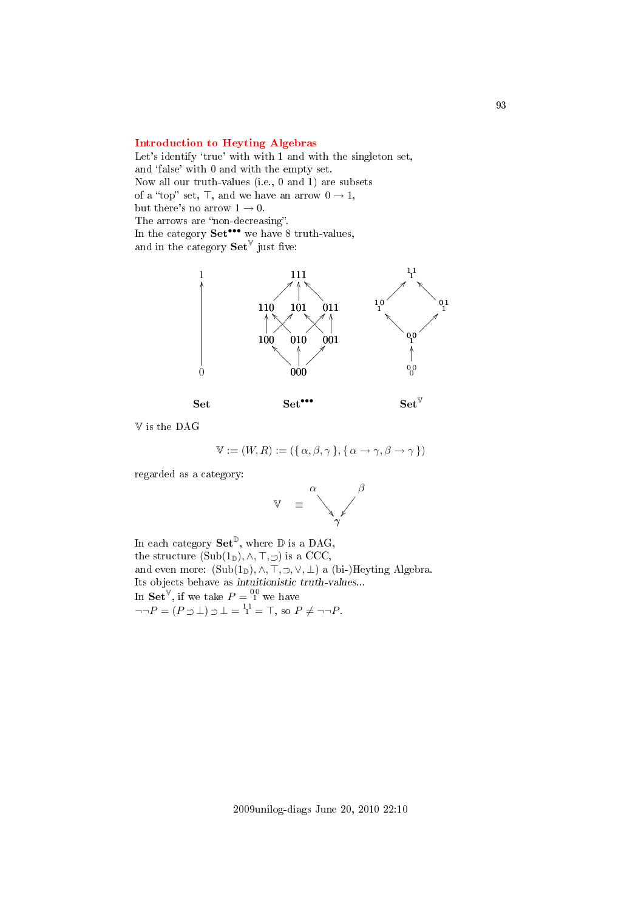### [Introduction to Heyting Algebras](#page-3-8)

Let's identify 'true' with with 1 and with the singleton set, and 'false' with 0 and with the empty set. Now all our truth-values (i.e., 0 and 1) are subsets of a "top" set,  $\top$ , and we have an arrow  $0 \to 1$ , but there's no arrow  $1 \rightarrow 0$ . The arrows are "non-decreasing". In the category  $Set^{\bullet\bullet\bullet}$  we have 8 truth-values, and in the category  $\mathbf{Set}^{\mathbb{V}}$  just five:



V is the DAG

$$
\mathbb{V} := (W, R) := (\{ \alpha, \beta, \gamma \}, \{ \alpha \to \gamma, \beta \to \gamma \})
$$

regarded as a category:



In each category  $\mathbf{Set}^{\mathbb{D}}$ , where  $\mathbb D$  is a DAG, the structure  $(Sub(1_{\mathbb{D}}), \wedge, \top, \supset)$  is a CCC, and even more:  $(Sub(1_{\mathbb{D}}), \wedge, \top, \supset, \vee, \bot)$  a (bi-)Heyting Algebra. Its objects behave as intuitionistic truth-values... In  $\mathbf{Set}^{\mathbb{V}},$  if we take  $P = \mathbb{S}^0$  we have  $\neg\neg P = (P \supset \bot) \supset \bot = \frac{11}{1} = \top$ , so  $P \neq \neg \neg P$ .

93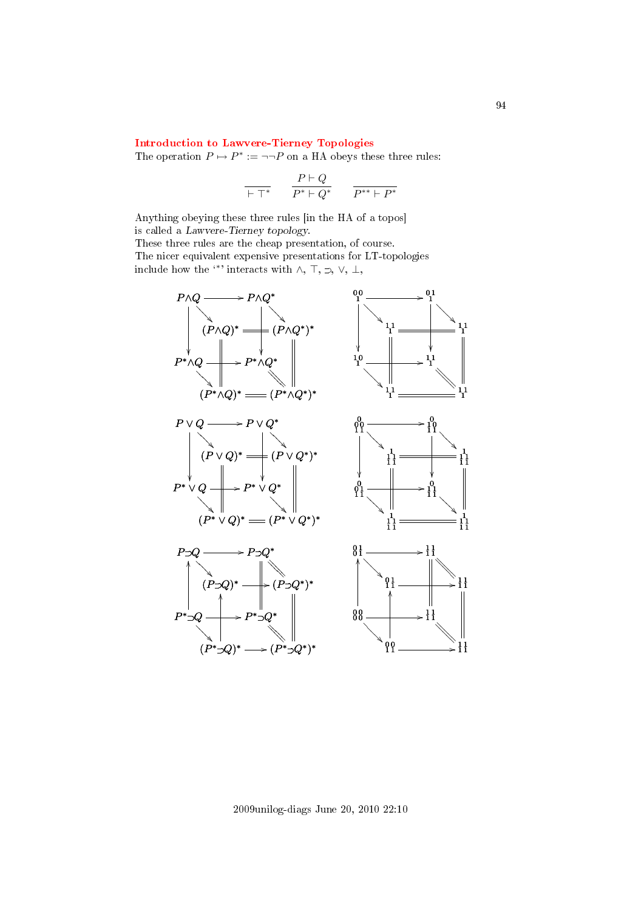### [Introduction to Lawvere-Tierney Topologies](#page-3-9)

The operation  $P \mapsto P^* := \neg \neg P$  on a HA obeys these three rules:

$$
\frac{}{\vdash \top^\ast}\qquad \frac{P\vdash Q}{P^\ast\vdash Q^\ast}\qquad \frac{}{P^{\ast\ast}\vdash P^\ast}
$$

Anything obeying these three rules [in the HA of a topos] is called a Lawvere-Tierney topology.

These three rules are the cheap presentation, of course. The nicer equivalent expensive presentations for LT-topologies include how the <sup>\*\*</sup>' interacts with  $\wedge$ ,  $\top$ ,  $\supset$ ,  $\vee$ ,  $\bot$ ,



2009unilog-diags June 20, 2010 22:10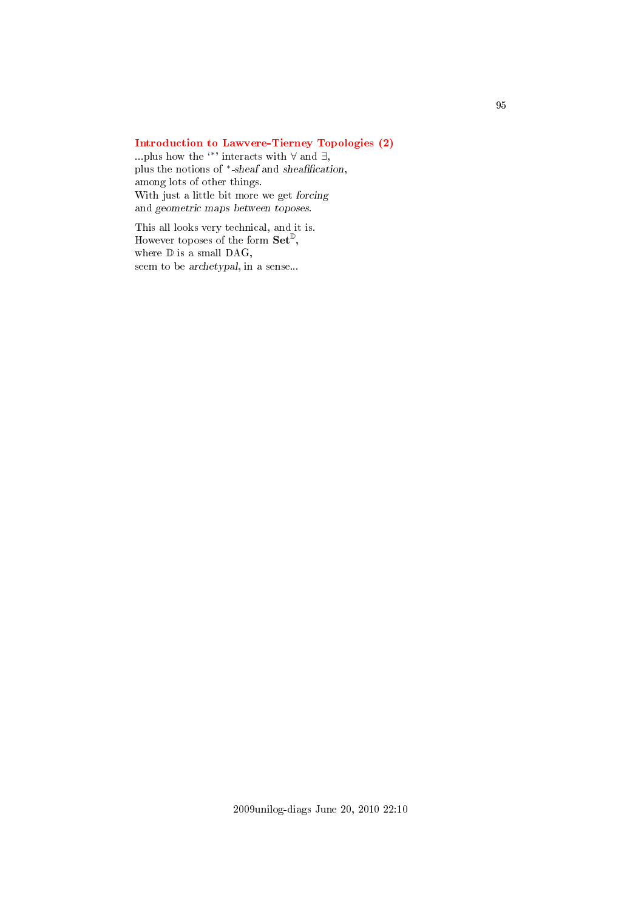## [Introduction to Lawvere-Tierney Topologies \(2\)](#page-3-10)

...plus how the  $\cdot\cdot\cdot$  interacts with  $\forall$  and  $\exists$ , plus the notions of \*-sheaf and sheafification, among lots of other things. With just a little bit more we get forcing and geometric maps between toposes.

This all looks very technical, and it is. However toposes of the form  $\mathbf{Set}^{\mathbb{D}}$ , where  $\mathbb D$  is a small DAG, seem to be archetypal, in a sense...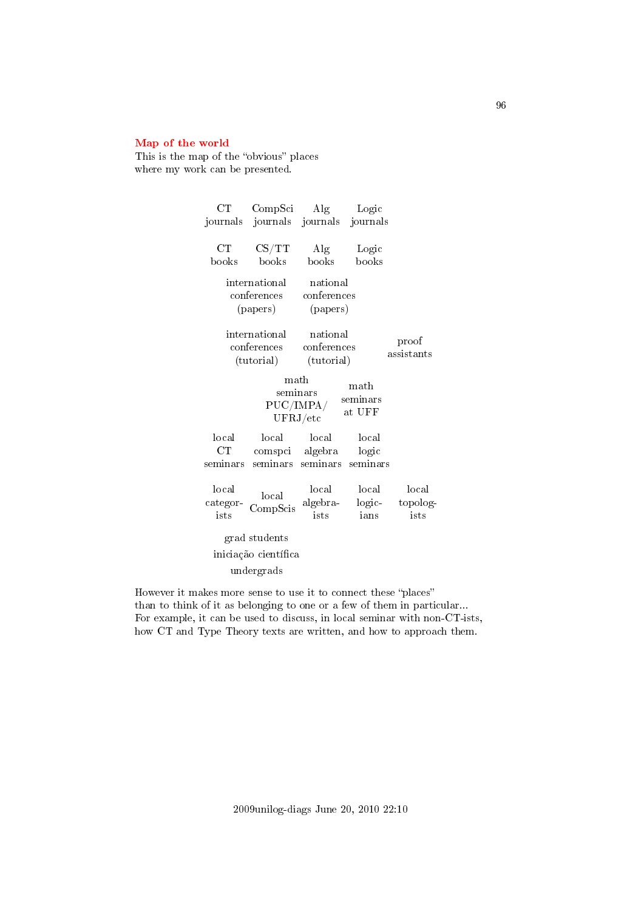### [Map of the world](#page-3-11)

This is the map of the "obvious" places where my work can be presented.

| $_{\rm CT}$                                                                                    | CompSci                                             | Alg                                   | Logic                      |                           |
|------------------------------------------------------------------------------------------------|-----------------------------------------------------|---------------------------------------|----------------------------|---------------------------|
| journals                                                                                       |                                                     | journals journals                     | journals                   |                           |
| CT<br>books                                                                                    | $\text{CS}/\text{TT}$<br>books                      | $\rm{Alg}$<br>books                   | Logic<br>books             |                           |
| international<br>conferences<br>(papers)                                                       | national<br>conferences<br>(papers)                 |                                       |                            |                           |
| international<br>conferences<br>(tutorial)                                                     |                                                     | national<br>conferences<br>(tutorial) |                            | proof<br>assistants       |
| math<br>$\mathop{\rm math}$<br>seminars<br>seminars<br>PUC/IMPA/<br>at UFF<br>${\rm UFRJ/etc}$ |                                                     |                                       |                            |                           |
| local<br>$_{\rm CT}$<br>seminars                                                               | local<br>comspci algebra<br>seminars                | local<br>seminars                     | local<br>logic<br>seminars |                           |
| local<br>categor-<br>ists                                                                      | local<br>CompScis                                   | local<br>algebra-<br>ists             | local<br>logic-<br>ians    | local<br>topolog-<br>ists |
|                                                                                                | grad students<br>iniciação científica<br>undergrads |                                       |                            |                           |

However it makes more sense to use it to connect these "places" than to think of it as belonging to one or a few of them in particular... For example, it can be used to discuss, in local seminar with non-CT-ists, how CT and Type Theory texts are written, and how to approach them.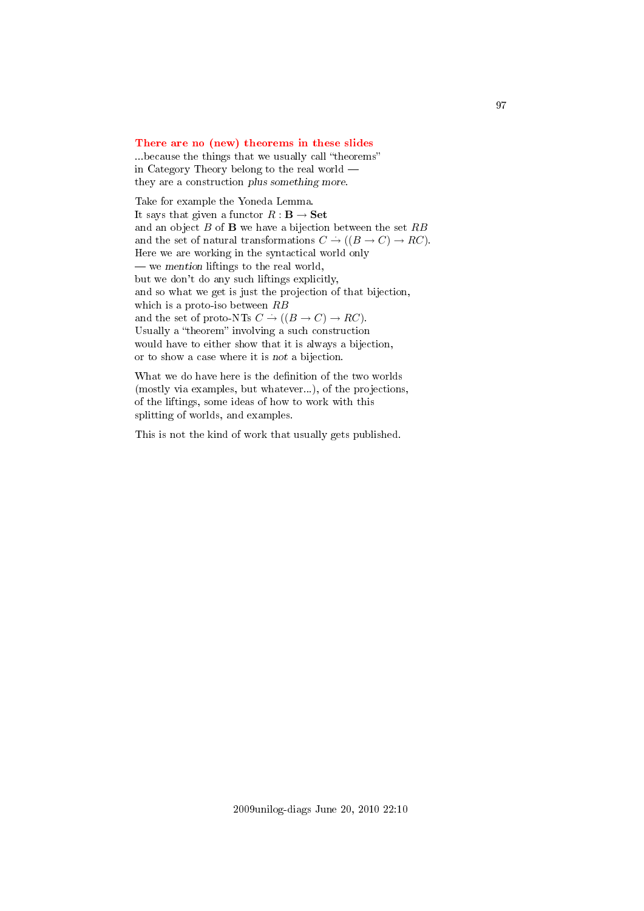#### [There are no \(new\) theorems in these slides](#page-3-12)

...because the things that we usually call "theorems" in Category Theory belong to the real world they are a construction plus something more.

Take for example the Yoneda Lemma. It says that given a functor  $R : \mathbf{B} \to \mathbf{Set}$ and an object  $B$  of  $\bf{B}$  we have a bijection between the set  $RB$ and the set of natural transformations  $C \to ((B \to C) \to RC)$ . Here we are working in the syntactical world only  $\frac{1}{x}$  we mention liftings to the real world, but we don't do any such liftings explicitly, and so what we get is just the projection of that bijection, which is a proto-iso between  $RB$ and the set of proto-NTs  $C \rightarrow ((B \rightarrow C) \rightarrow RC)$ . Usually a "theorem" involving a such construction would have to either show that it is always a bijection, or to show a case where it is not a bijection.

What we do have here is the definition of the two worlds (mostly via examples, but whatever...), of the projections, of the liftings, some ideas of how to work with this splitting of worlds, and examples.

This is not the kind of work that usually gets published.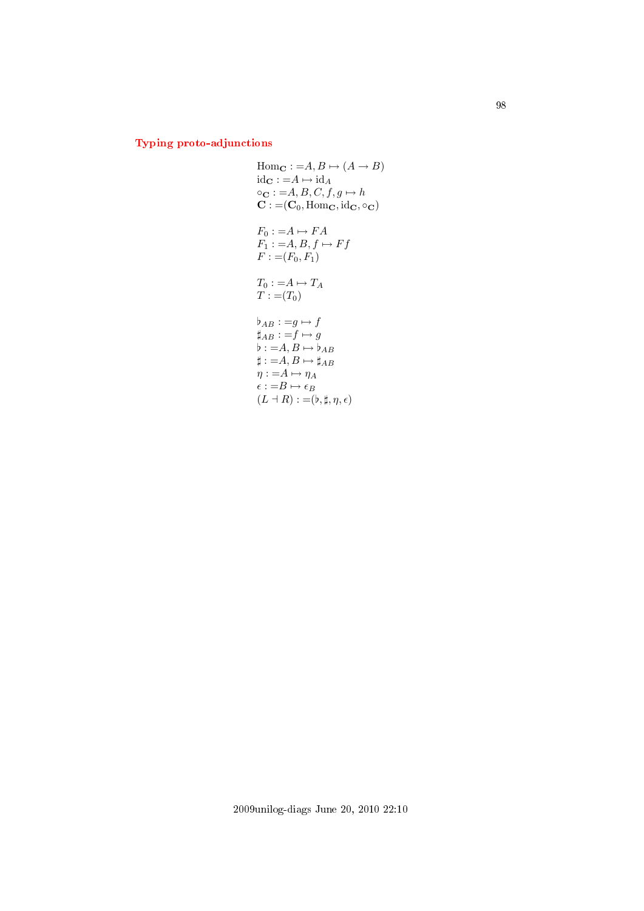# [Typing proto-adjunctions](#page-3-13)

Hom<sub>C</sub> := A, B \mapsto (A \rightarrow B)  
\nid<sub>C</sub> := A \mapsto id<sub>A</sub>  
\n
$$
\circ
$$
<sub>C</sub> := A, B, C, f, g \mapsto h  
\nC := (C<sub>0</sub>, Hom<sub>C</sub>, id<sub>C</sub>,  $\circ$ <sub>C</sub>)  
\nF<sub>0</sub> := A \mapsto FA  
\nF<sub>1</sub> := A, B, f \mapsto Ff  
\nF := (F<sub>0</sub>, F<sub>1</sub>)  
\nT<sub>0</sub> := A \mapsto T<sub>A</sub>  
\nT := (T<sub>0</sub>)  
\n $\flat$ <sub>AB</sub> := g \mapsto f  
\n $\sharp$ <sub>AB</sub> := f \mapsto g  
\n $\flat$  := A, B \mapsto \sharp<sub>AB</sub>  
\n $\sharp$  := A, B \mapsto \sharp<sub>AB</sub>  
\n $\eta$  := A \mapsto \eta<sub>A</sub>  
\n $\epsilon$  := B \mapsto \epsilon<sub>B</sub>  
\n(L  $\dash$  R) := (\flat, \sharp, \eta, \epsilon)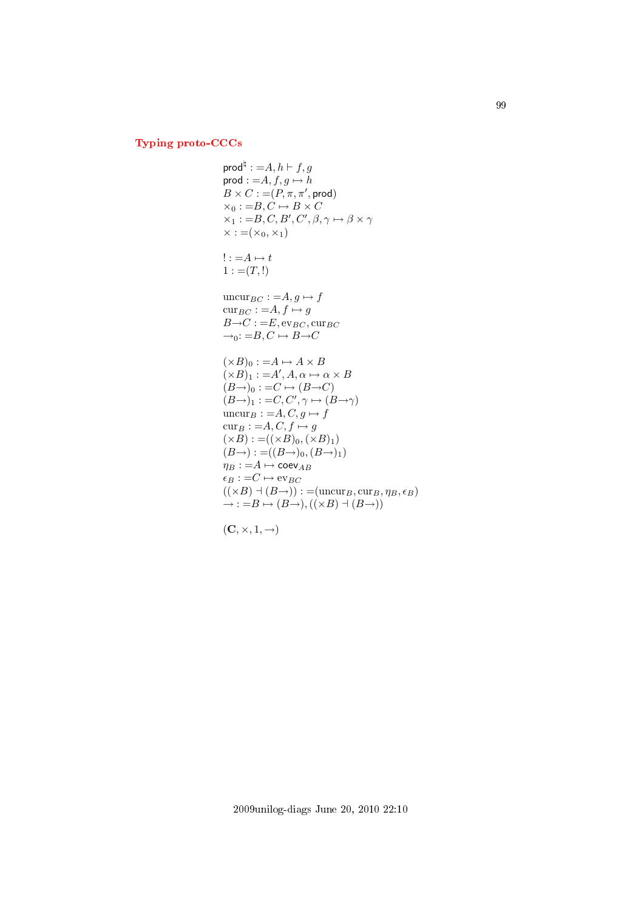# [Typing proto-CCCs](#page-3-14)

$$
\text{prod}^{\natural} := A, h \vdash f, g
$$
\n
$$
\text{prod} := A, f, g \mapsto h
$$
\n
$$
B \times C := (P, \pi, \pi', \text{prod})
$$
\n
$$
\times_0 := B, C \mapsto B \times C
$$
\n
$$
\times_1 := B, C, B', C', \beta, \gamma \mapsto \beta \times \gamma
$$
\n
$$
\times := (\times_0, \times_1)
$$
\n
$$
! := A \mapsto t
$$
\n
$$
1 := (T, !)
$$
\n
$$
\text{uncur}_{BC} := A, g \mapsto f
$$
\n
$$
\text{cur}_{BC} := A, f \mapsto g
$$
\n
$$
B \rightarrow C := E, \text{ev}_{BC}, \text{cur}_{BC}
$$
\n
$$
\rightarrow_0 := B, C \mapsto B \rightarrow C
$$
\n
$$
(\times B)_0 := A \mapsto A \times B
$$
\n
$$
(\times B)_1 := A', A, \alpha \mapsto \alpha \times B
$$
\n
$$
(B \rightarrow)_0 := C \mapsto (B \rightarrow C)
$$
\n
$$
(B \rightarrow)_1 := C, C', \gamma \mapsto (B \rightarrow \gamma)
$$
\n
$$
\text{uncur}_{B} := A, C, g \mapsto f
$$
\n
$$
\text{cur}_{B} := A, C, f \mapsto g
$$
\n
$$
(\times B) := ((\times B)_0, (\times B)_1)
$$
\n
$$
(B \rightarrow) := ((B \rightarrow)_0, (B \rightarrow)_1)
$$
\n
$$
\eta_B := A \mapsto \text{coev}_{AB}
$$
\n
$$
\epsilon_B := C \mapsto \text{ev}_{BC}
$$
\n
$$
((\times B) \dash (\text{B} \rightarrow)) := (\text{uncur}_{B}, \text{cur}_{B}, \eta_B, \epsilon_B)
$$
\n
$$
\rightarrow := B \mapsto (B \rightarrow), ((\times B) \dash (\text{B} \rightarrow))
$$

$$
(\mathbf{C},\times,1,\rightarrow)
$$